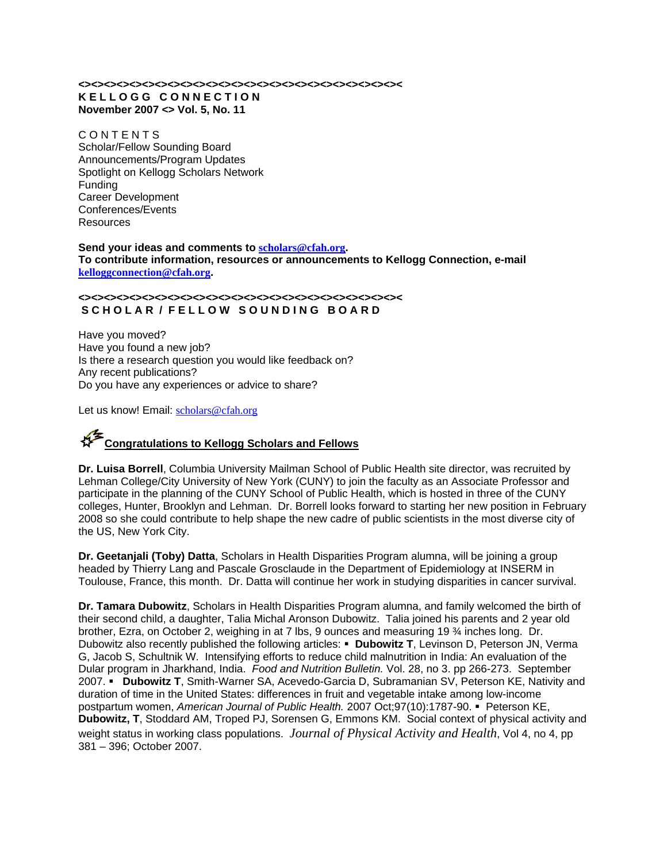# **<><><><><><><><><><><><><><><><><><><><><><><><><>< K E L L O G G C O N N E C T I O N November 2007 <> Vol. 5, No. 11**

**CONTENTS** Scholar/Fellow Sounding Board Announcements/Program Updates Spotlight on Kellogg Scholars Network Funding Career Development Conferences/Events Resources

#### **Send your ideas and comments to scholars@cfah.org. To contribute information, resources or announcements to Kellogg Connection, e-mail kelloggconnection@cfah.org.**

#### **<><><><><><><><><><><><><><><><><><><><><><><><><>< S C H O L A R / F E L L O W S O U N D I N G B O A R D**

Have you moved? Have you found a new job? Is there a research question you would like feedback on? Any recent publications? Do you have any experiences or advice to share?

Let us know! Email: scholars@cfah.org

# **Congratulations to Kellogg Scholars and Fellows**

**Dr. Luisa Borrell**, Columbia University Mailman School of Public Health site director, was recruited by Lehman College/City University of New York (CUNY) to join the faculty as an Associate Professor and participate in the planning of the CUNY School of Public Health, which is hosted in three of the CUNY colleges, Hunter, Brooklyn and Lehman. Dr. Borrell looks forward to starting her new position in February 2008 so she could contribute to help shape the new cadre of public scientists in the most diverse city of the US, New York City.

**Dr. Geetanjali (Toby) Datta**, Scholars in Health Disparities Program alumna, will be joining a group headed by Thierry Lang and Pascale Grosclaude in the Department of Epidemiology at INSERM in Toulouse, France, this month. Dr. Datta will continue her work in studying disparities in cancer survival.

**Dr. Tamara Dubowitz**, Scholars in Health Disparities Program alumna, and family welcomed the birth of their second child, a daughter, Talia Michal Aronson Dubowitz. Talia joined his parents and 2 year old brother, Ezra, on October 2, weighing in at 7 lbs, 9 ounces and measuring 19 ¾ inches long. Dr. Dubowitz also recently published the following articles: **Dubowitz T**, Levinson D, Peterson JN, Verma G, Jacob S, Schultnik W. Intensifying efforts to reduce child malnutrition in India: An evaluation of the Dular program in Jharkhand, India. *Food and Nutrition Bulletin.* Vol. 28, no 3. pp 266-273. September 2007. **Dubowitz T**, Smith-Warner SA, Acevedo-Garcia D, Subramanian SV, Peterson KE, Nativity and duration of time in the United States: differences in fruit and vegetable intake among low-income postpartum women, American Journal of Public Health. 2007 Oct;97(10):1787-90. <sup>■</sup> Peterson KE, **Dubowitz, T**, Stoddard AM, Troped PJ, Sorensen G, Emmons KM. Social context of physical activity and weight status in working class populations. *Journal of Physical Activity and Health*, Vol 4, no 4, pp 381 – 396; October 2007.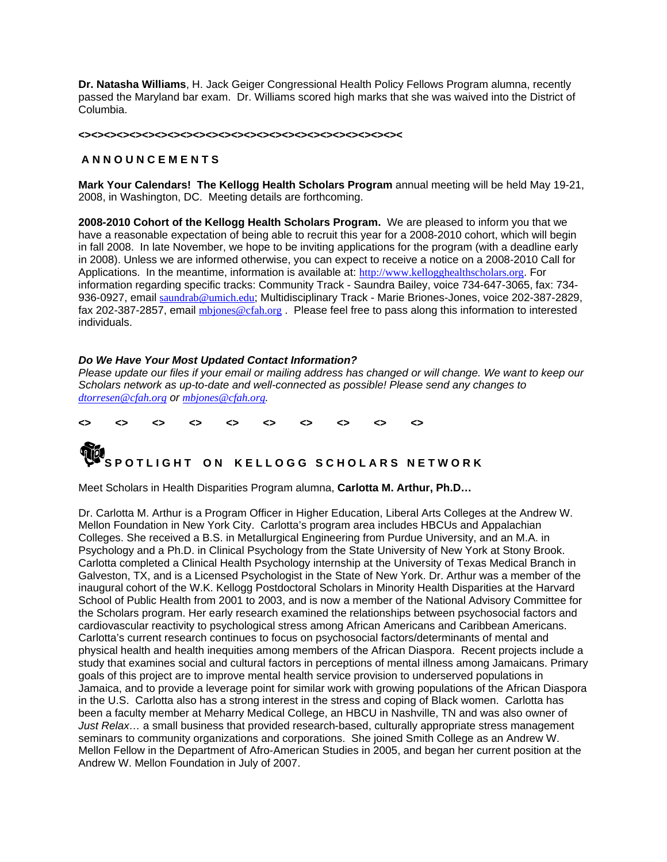**Dr. Natasha Williams**, H. Jack Geiger Congressional Health Policy Fellows Program alumna, recently passed the Maryland bar exam. Dr. Williams scored high marks that she was waived into the District of Columbia.

#### **<><><><><><><><><><><><><><><><><><><><><><><><><><**

# **A N N O U N C E M E N T S**

**Mark Your Calendars! The Kellogg Health Scholars Program** annual meeting will be held May 19-21, 2008, in Washington, DC. Meeting details are forthcoming.

**2008-2010 Cohort of the Kellogg Health Scholars Program.** We are pleased to inform you that we have a reasonable expectation of being able to recruit this year for a 2008-2010 cohort, which will begin in fall 2008. In late November, we hope to be inviting applications for the program (with a deadline early in 2008). Unless we are informed otherwise, you can expect to receive a notice on a 2008-2010 Call for Applications. In the meantime, information is available at: http://www.kellogghealthscholars.org. For information regarding specific tracks: Community Track - Saundra Bailey, voice 734-647-3065, fax: 734- 936-0927, email saundrab@umich.edu; Multidisciplinary Track - Marie Briones-Jones, voice 202-387-2829, fax 202-387-2857, email mbjones@cfah.org. Please feel free to pass along this information to interested individuals.

# *Do We Have Your Most Updated Contact Information?*

*Please update our files if your email or mailing address has changed or will change. We want to keep our Scholars network as up-to-date and well-connected as possible! Please send any changes to dtorresen@cfah.org or mbjones@cfah.org.* 

# **<> <> <> <> <> <> <> <> <> <> S POTLIGHT ON KELLOGG SCHOLARS NETWORK**

Meet Scholars in Health Disparities Program alumna, **Carlotta M. Arthur, Ph.D…** 

Dr. Carlotta M. Arthur is a Program Officer in Higher Education, Liberal Arts Colleges at the Andrew W. Mellon Foundation in New York City. Carlotta's program area includes HBCUs and Appalachian Colleges. She received a B.S. in Metallurgical Engineering from Purdue University, and an M.A. in Psychology and a Ph.D. in Clinical Psychology from the State University of New York at Stony Brook. Carlotta completed a Clinical Health Psychology internship at the University of Texas Medical Branch in Galveston, TX, and is a Licensed Psychologist in the State of New York. Dr. Arthur was a member of the inaugural cohort of the W.K. Kellogg Postdoctoral Scholars in Minority Health Disparities at the Harvard School of Public Health from 2001 to 2003, and is now a member of the National Advisory Committee for the Scholars program. Her early research examined the relationships between psychosocial factors and cardiovascular reactivity to psychological stress among African Americans and Caribbean Americans. Carlotta's current research continues to focus on psychosocial factors/determinants of mental and physical health and health inequities among members of the African Diaspora. Recent projects include a study that examines social and cultural factors in perceptions of mental illness among Jamaicans. Primary goals of this project are to improve mental health service provision to underserved populations in Jamaica, and to provide a leverage point for similar work with growing populations of the African Diaspora in the U.S. Carlotta also has a strong interest in the stress and coping of Black women. Carlotta has been a faculty member at Meharry Medical College, an HBCU in Nashville, TN and was also owner of *Just Relax...* a small business that provided research-based, culturally appropriate stress management seminars to community organizations and corporations. She joined Smith College as an Andrew W. Mellon Fellow in the Department of Afro-American Studies in 2005, and began her current position at the Andrew W. Mellon Foundation in July of 2007.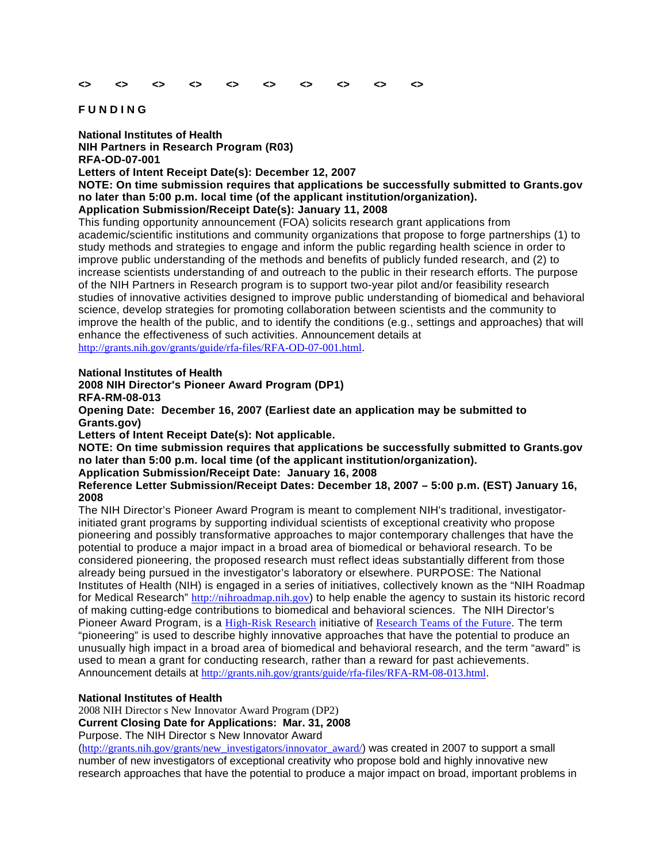#### **<> <> <> <> <> <> <> <> <> <>**

#### **F U N D I N G**

**National Institutes of Health NIH Partners in Research Program (R03) RFA-OD-07-001 Letters of Intent Receipt Date(s): December 12, 2007** 

**NOTE: On time submission requires that applications be successfully submitted to Grants.gov no later than 5:00 p.m. local time (of the applicant institution/organization).** 

**Application Submission/Receipt Date(s): January 11, 2008** 

This funding opportunity announcement (FOA) solicits research grant applications from academic/scientific institutions and community organizations that propose to forge partnerships (1) to study methods and strategies to engage and inform the public regarding health science in order to improve public understanding of the methods and benefits of publicly funded research, and (2) to increase scientists understanding of and outreach to the public in their research efforts. The purpose of the NIH Partners in Research program is to support two-year pilot and/or feasibility research studies of innovative activities designed to improve public understanding of biomedical and behavioral science, develop strategies for promoting collaboration between scientists and the community to improve the health of the public, and to identify the conditions (e.g., settings and approaches) that will enhance the effectiveness of such activities. Announcement details at http://grants.nih.gov/grants/guide/rfa-files/RFA-OD-07-001.html.

# **National Institutes of Health**

**2008 NIH Director's Pioneer Award Program (DP1)**

**RFA-RM-08-013** 

**Opening Date: December 16, 2007 (Earliest date an application may be submitted to Grants.gov)** 

**Letters of Intent Receipt Date(s): Not applicable.** 

**NOTE: On time submission requires that applications be successfully submitted to Grants.gov no later than 5:00 p.m. local time (of the applicant institution/organization).** 

**Application Submission/Receipt Date: January 16, 2008** 

**Reference Letter Submission/Receipt Dates: December 18, 2007 – 5:00 p.m. (EST) January 16, 2008**

The NIH Director's Pioneer Award Program is meant to complement NIH's traditional, investigatorinitiated grant programs by supporting individual scientists of exceptional creativity who propose pioneering and possibly transformative approaches to major contemporary challenges that have the potential to produce a major impact in a broad area of biomedical or behavioral research. To be considered pioneering, the proposed research must reflect ideas substantially different from those already being pursued in the investigator's laboratory or elsewhere. PURPOSE: The National Institutes of Health (NIH) is engaged in a series of initiatives, collectively known as the "NIH Roadmap for Medical Research" http://nihroadmap.nih.gov) to help enable the agency to sustain its historic record of making cutting-edge contributions to biomedical and behavioral sciences. The NIH Director's Pioneer Award Program, is a High-Risk Research initiative of Research Teams of the Future. The term "pioneering" is used to describe highly innovative approaches that have the potential to produce an unusually high impact in a broad area of biomedical and behavioral research, and the term "award" is used to mean a grant for conducting research, rather than a reward for past achievements. Announcement details at http://grants.nih.gov/grants/guide/rfa-files/RFA-RM-08-013.html.

# **National Institutes of Health**

2008 NIH Director s New Innovator Award Program (DP2)

**Current Closing Date for Applications: Mar. 31, 2008** 

Purpose. The NIH Director s New Innovator Award

(http://grants.nih.gov/grants/new\_investigators/innovator\_award/) was created in 2007 to support a small number of new investigators of exceptional creativity who propose bold and highly innovative new research approaches that have the potential to produce a major impact on broad, important problems in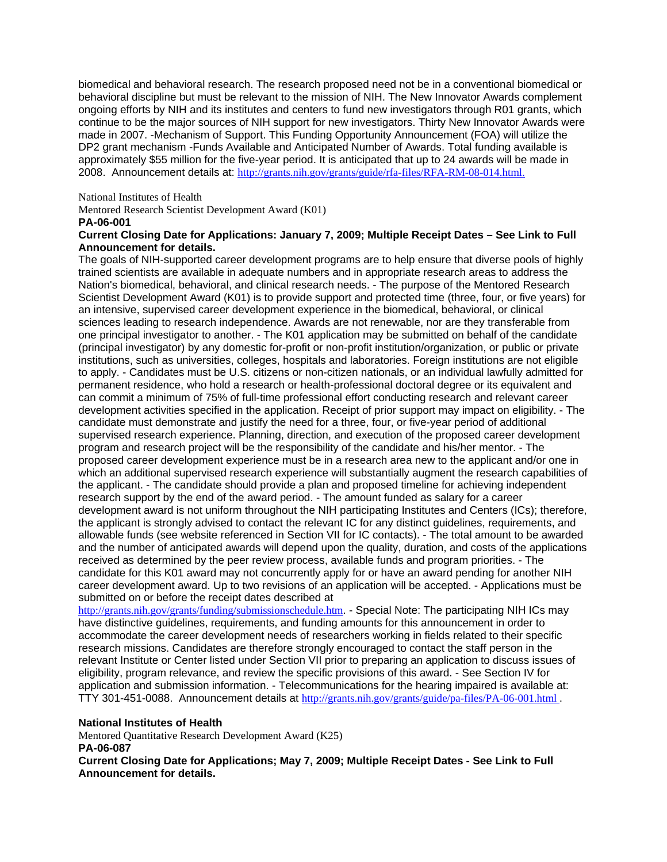biomedical and behavioral research. The research proposed need not be in a conventional biomedical or behavioral discipline but must be relevant to the mission of NIH. The New Innovator Awards complement ongoing efforts by NIH and its institutes and centers to fund new investigators through R01 grants, which continue to be the major sources of NIH support for new investigators. Thirty New Innovator Awards were made in 2007. -Mechanism of Support. This Funding Opportunity Announcement (FOA) will utilize the DP2 grant mechanism -Funds Available and Anticipated Number of Awards. Total funding available is approximately \$55 million for the five-year period. It is anticipated that up to 24 awards will be made in 2008. Announcement details at: http://grants.nih.gov/grants/guide/rfa-files/RFA-RM-08-014.html.

National Institutes of Health

Mentored Research Scientist Development Award (K01) **PA-06-001** 

# **Current Closing Date for Applications: January 7, 2009; Multiple Receipt Dates – See Link to Full Announcement for details.**

The goals of NIH-supported career development programs are to help ensure that diverse pools of highly trained scientists are available in adequate numbers and in appropriate research areas to address the Nation's biomedical, behavioral, and clinical research needs. - The purpose of the Mentored Research Scientist Development Award (K01) is to provide support and protected time (three, four, or five years) for an intensive, supervised career development experience in the biomedical, behavioral, or clinical sciences leading to research independence. Awards are not renewable, nor are they transferable from one principal investigator to another. - The K01 application may be submitted on behalf of the candidate (principal investigator) by any domestic for-profit or non-profit institution/organization, or public or private institutions, such as universities, colleges, hospitals and laboratories. Foreign institutions are not eligible to apply. - Candidates must be U.S. citizens or non-citizen nationals, or an individual lawfully admitted for permanent residence, who hold a research or health-professional doctoral degree or its equivalent and can commit a minimum of 75% of full-time professional effort conducting research and relevant career development activities specified in the application. Receipt of prior support may impact on eligibility. - The candidate must demonstrate and justify the need for a three, four, or five-year period of additional supervised research experience. Planning, direction, and execution of the proposed career development program and research project will be the responsibility of the candidate and his/her mentor. - The proposed career development experience must be in a research area new to the applicant and/or one in which an additional supervised research experience will substantially augment the research capabilities of the applicant. - The candidate should provide a plan and proposed timeline for achieving independent research support by the end of the award period. - The amount funded as salary for a career development award is not uniform throughout the NIH participating Institutes and Centers (ICs); therefore, the applicant is strongly advised to contact the relevant IC for any distinct guidelines, requirements, and allowable funds (see website referenced in Section VII for IC contacts). - The total amount to be awarded and the number of anticipated awards will depend upon the quality, duration, and costs of the applications received as determined by the peer review process, available funds and program priorities. - The candidate for this K01 award may not concurrently apply for or have an award pending for another NIH career development award. Up to two revisions of an application will be accepted. - Applications must be submitted on or before the receipt dates described at

http://grants.nih.gov/grants/funding/submissionschedule.htm. - Special Note: The participating NIH ICs may have distinctive guidelines, requirements, and funding amounts for this announcement in order to accommodate the career development needs of researchers working in fields related to their specific research missions. Candidates are therefore strongly encouraged to contact the staff person in the relevant Institute or Center listed under Section VII prior to preparing an application to discuss issues of eligibility, program relevance, and review the specific provisions of this award. - See Section IV for application and submission information. - Telecommunications for the hearing impaired is available at: TTY 301-451-0088. Announcement details at http://grants.nih.gov/grants/guide/pa-files/PA-06-001.html .

# **National Institutes of Health**

Mentored Quantitative Research Development Award (K25) **PA-06-087** 

**Current Closing Date for Applications; May 7, 2009; Multiple Receipt Dates - See Link to Full Announcement for details.**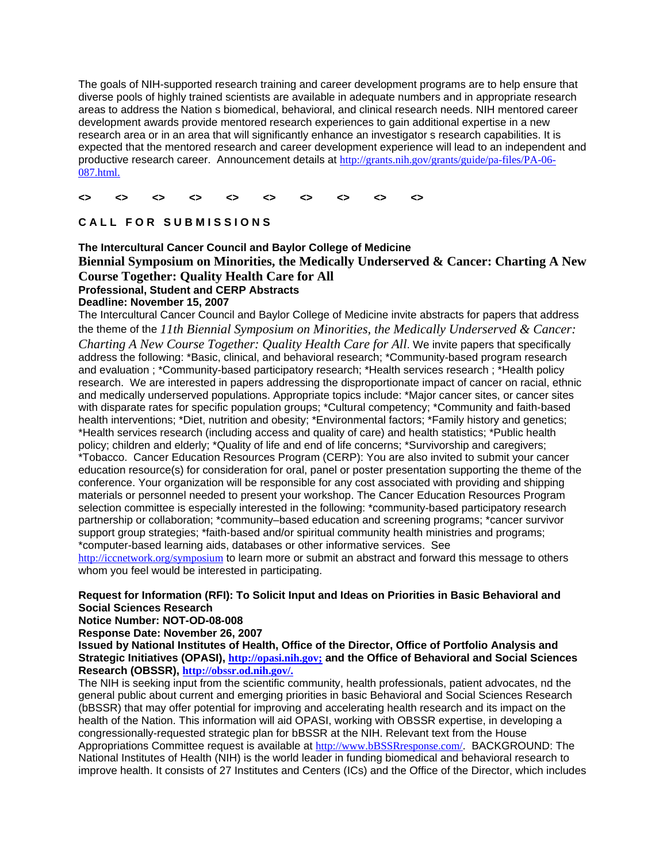The goals of NIH-supported research training and career development programs are to help ensure that diverse pools of highly trained scientists are available in adequate numbers and in appropriate research areas to address the Nation s biomedical, behavioral, and clinical research needs. NIH mentored career development awards provide mentored research experiences to gain additional expertise in a new research area or in an area that will significantly enhance an investigator s research capabilities. It is expected that the mentored research and career development experience will lead to an independent and productive research career. Announcement details at http://grants.nih.gov/grants/guide/pa-files/PA-06- 087.html.

#### **<> <> <> <> <> <> <> <> <> <>**

# CALL FOR SUBMISSIONS

# **The Intercultural Cancer Council and Baylor College of Medicine Biennial Symposium on Minorities, the Medically Underserved & Cancer: Charting A New Course Together: Quality Health Care for All Professional, Student and CERP Abstracts Deadline: November 15, 2007**

The Intercultural Cancer Council and Baylor College of Medicine invite abstracts for papers that address the theme of the *11th Biennial Symposium on Minorities, the Medically Underserved & Cancer: Charting A New Course Together: Quality Health Care for All*. We invite papers that specifically address the following: \*Basic, clinical, and behavioral research; \*Community-based program research and evaluation ; \*Community-based participatory research; \*Health services research ; \*Health policy research. We are interested in papers addressing the disproportionate impact of cancer on racial, ethnic and medically underserved populations. Appropriate topics include: \*Major cancer sites, or cancer sites with disparate rates for specific population groups; \*Cultural competency; \*Community and faith-based health interventions; \*Diet, nutrition and obesity; \*Environmental factors; \*Family history and genetics; \*Health services research (including access and quality of care) and health statistics; \*Public health policy; children and elderly; \*Quality of life and end of life concerns; \*Survivorship and caregivers; \*Tobacco. Cancer Education Resources Program (CERP): You are also invited to submit your cancer education resource(s) for consideration for oral, panel or poster presentation supporting the theme of the conference. Your organization will be responsible for any cost associated with providing and shipping materials or personnel needed to present your workshop. The Cancer Education Resources Program selection committee is especially interested in the following: \*community-based participatory research partnership or collaboration; \*community–based education and screening programs; \*cancer survivor support group strategies; \*faith-based and/or spiritual community health ministries and programs; \*computer-based learning aids, databases or other informative services. See http://iccnetwork.org/symposium to learn more or submit an abstract and forward this message to others

whom you feel would be interested in participating.

# **Request for Information (RFI): To Solicit Input and Ideas on Priorities in Basic Behavioral and Social Sciences Research**

**Notice Number: NOT-OD-08-008** 

**Response Date: November 26, 2007** 

**Issued by National Institutes of Health, Office of the Director, Office of Portfolio Analysis and Strategic Initiatives (OPASI), http://opasi.nih.gov; and the Office of Behavioral and Social Sciences Research (OBSSR), http://obssr.od.nih.gov/.**

The NIH is seeking input from the scientific community, health professionals, patient advocates, nd the general public about current and emerging priorities in basic Behavioral and Social Sciences Research (bBSSR) that may offer potential for improving and accelerating health research and its impact on the health of the Nation. This information will aid OPASI, working with OBSSR expertise, in developing a congressionally-requested strategic plan for bBSSR at the NIH. Relevant text from the House Appropriations Committee request is available at http://www.bBSSRresponse.com/. BACKGROUND: The National Institutes of Health (NIH) is the world leader in funding biomedical and behavioral research to improve health. It consists of 27 Institutes and Centers (ICs) and the Office of the Director, which includes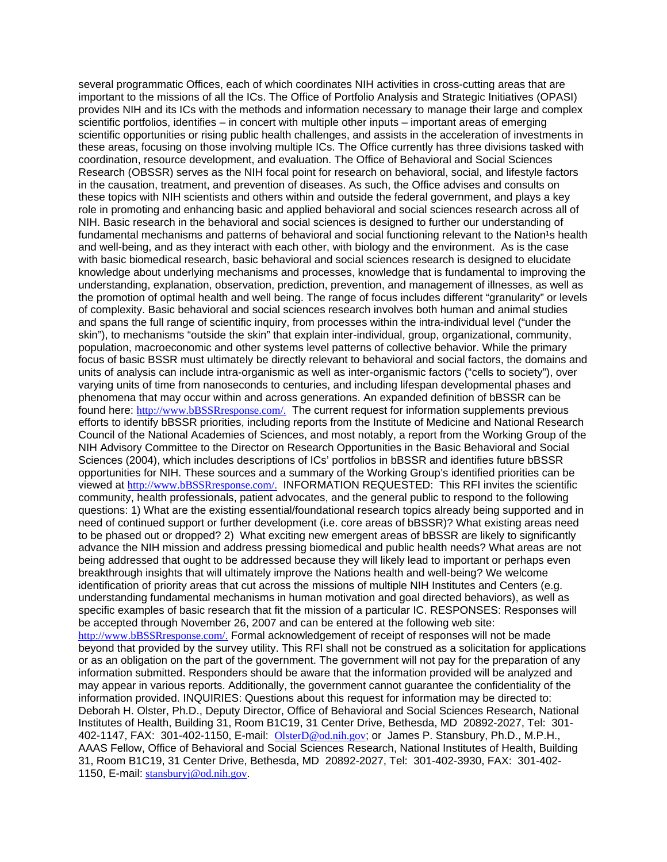several programmatic Offices, each of which coordinates NIH activities in cross-cutting areas that are important to the missions of all the ICs. The Office of Portfolio Analysis and Strategic Initiatives (OPASI) provides NIH and its ICs with the methods and information necessary to manage their large and complex scientific portfolios, identifies – in concert with multiple other inputs – important areas of emerging scientific opportunities or rising public health challenges, and assists in the acceleration of investments in these areas, focusing on those involving multiple ICs. The Office currently has three divisions tasked with coordination, resource development, and evaluation. The Office of Behavioral and Social Sciences Research (OBSSR) serves as the NIH focal point for research on behavioral, social, and lifestyle factors in the causation, treatment, and prevention of diseases. As such, the Office advises and consults on these topics with NIH scientists and others within and outside the federal government, and plays a key role in promoting and enhancing basic and applied behavioral and social sciences research across all of NIH. Basic research in the behavioral and social sciences is designed to further our understanding of fundamental mechanisms and patterns of behavioral and social functioning relevant to the Nation<sup>1</sup>s health and well-being, and as they interact with each other, with biology and the environment. As is the case with basic biomedical research, basic behavioral and social sciences research is designed to elucidate knowledge about underlying mechanisms and processes, knowledge that is fundamental to improving the understanding, explanation, observation, prediction, prevention, and management of illnesses, as well as the promotion of optimal health and well being. The range of focus includes different "granularity" or levels of complexity. Basic behavioral and social sciences research involves both human and animal studies and spans the full range of scientific inquiry, from processes within the intra-individual level ("under the skin"), to mechanisms "outside the skin" that explain inter-individual, group, organizational, community, population, macroeconomic and other systems level patterns of collective behavior. While the primary focus of basic BSSR must ultimately be directly relevant to behavioral and social factors, the domains and units of analysis can include intra-organismic as well as inter-organismic factors ("cells to society"), over varying units of time from nanoseconds to centuries, and including lifespan developmental phases and phenomena that may occur within and across generations. An expanded definition of bBSSR can be found here: http://www.bBSSRresponse.com/. The current request for information supplements previous efforts to identify bBSSR priorities, including reports from the Institute of Medicine and National Research Council of the National Academies of Sciences, and most notably, a report from the Working Group of the NIH Advisory Committee to the Director on Research Opportunities in the Basic Behavioral and Social Sciences (2004), which includes descriptions of ICs' portfolios in bBSSR and identifies future bBSSR opportunities for NIH. These sources and a summary of the Working Group's identified priorities can be viewed at http://www.bBSSRresponse.com/. INFORMATION REQUESTED: This RFI invites the scientific community, health professionals, patient advocates, and the general public to respond to the following questions: 1) What are the existing essential/foundational research topics already being supported and in need of continued support or further development (i.e. core areas of bBSSR)? What existing areas need to be phased out or dropped? 2) What exciting new emergent areas of bBSSR are likely to significantly advance the NIH mission and address pressing biomedical and public health needs? What areas are not being addressed that ought to be addressed because they will likely lead to important or perhaps even breakthrough insights that will ultimately improve the Nations health and well-being? We welcome identification of priority areas that cut across the missions of multiple NIH Institutes and Centers (e.g. understanding fundamental mechanisms in human motivation and goal directed behaviors), as well as specific examples of basic research that fit the mission of a particular IC. RESPONSES: Responses will be accepted through November 26, 2007 and can be entered at the following web site: http://www.bBSSRresponse.com/. Formal acknowledgement of receipt of responses will not be made beyond that provided by the survey utility. This RFI shall not be construed as a solicitation for applications or as an obligation on the part of the government. The government will not pay for the preparation of any information submitted. Responders should be aware that the information provided will be analyzed and may appear in various reports. Additionally, the government cannot guarantee the confidentiality of the information provided. INQUIRIES: Questions about this request for information may be directed to: Deborah H. Olster, Ph.D., Deputy Director, Office of Behavioral and Social Sciences Research, National Institutes of Health, Building 31, Room B1C19, 31 Center Drive, Bethesda, MD 20892-2027, Tel: 301- 402-1147, FAX: 301-402-1150, E-mail: OlsterD@od.nih.gov; or James P. Stansbury, Ph.D., M.P.H., AAAS Fellow, Office of Behavioral and Social Sciences Research, National Institutes of Health, Building 31, Room B1C19, 31 Center Drive, Bethesda, MD 20892-2027, Tel: 301-402-3930, FAX: 301-402- 1150, E-mail: stansburyj@od.nih.gov.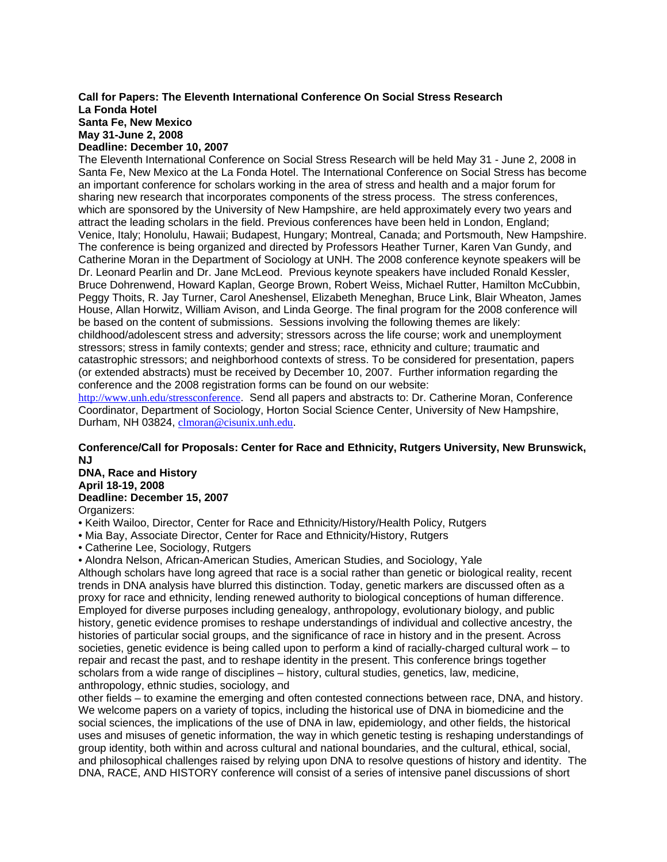#### **Call for Papers: The Eleventh International Conference On Social Stress Research La Fonda Hotel Santa Fe, New Mexico May 31-June 2, 2008 Deadline: December 10, 2007**

The Eleventh International Conference on Social Stress Research will be held May 31 - June 2, 2008 in Santa Fe, New Mexico at the La Fonda Hotel. The International Conference on Social Stress has become an important conference for scholars working in the area of stress and health and a major forum for sharing new research that incorporates components of the stress process. The stress conferences, which are sponsored by the University of New Hampshire, are held approximately every two years and attract the leading scholars in the field. Previous conferences have been held in London, England; Venice, Italy; Honolulu, Hawaii; Budapest, Hungary; Montreal, Canada; and Portsmouth, New Hampshire. The conference is being organized and directed by Professors Heather Turner, Karen Van Gundy, and Catherine Moran in the Department of Sociology at UNH. The 2008 conference keynote speakers will be Dr. Leonard Pearlin and Dr. Jane McLeod. Previous keynote speakers have included Ronald Kessler, Bruce Dohrenwend, Howard Kaplan, George Brown, Robert Weiss, Michael Rutter, Hamilton McCubbin, Peggy Thoits, R. Jay Turner, Carol Aneshensel, Elizabeth Meneghan, Bruce Link, Blair Wheaton, James House, Allan Horwitz, William Avison, and Linda George. The final program for the 2008 conference will be based on the content of submissions. Sessions involving the following themes are likely: childhood/adolescent stress and adversity; stressors across the life course; work and unemployment stressors; stress in family contexts; gender and stress; race, ethnicity and culture; traumatic and catastrophic stressors; and neighborhood contexts of stress. To be considered for presentation, papers (or extended abstracts) must be received by December 10, 2007. Further information regarding the conference and the 2008 registration forms can be found on our website:

http://www.unh.edu/stressconference. Send all papers and abstracts to: Dr. Catherine Moran, Conference Coordinator, Department of Sociology, Horton Social Science Center, University of New Hampshire, Durham, NH 03824, clmoran@cisunix.unh.edu.

# **Conference/Call for Proposals: Center for Race and Ethnicity, Rutgers University, New Brunswick, NJ**

**DNA, Race and History April 18-19, 2008 Deadline: December 15, 2007** 

Organizers:

- Keith Wailoo, Director, Center for Race and Ethnicity/History/Health Policy, Rutgers
- Mia Bay, Associate Director, Center for Race and Ethnicity/History, Rutgers
- Catherine Lee, Sociology, Rutgers

• Alondra Nelson, African-American Studies, American Studies, and Sociology, Yale

Although scholars have long agreed that race is a social rather than genetic or biological reality, recent trends in DNA analysis have blurred this distinction. Today, genetic markers are discussed often as a proxy for race and ethnicity, lending renewed authority to biological conceptions of human difference. Employed for diverse purposes including genealogy, anthropology, evolutionary biology, and public history, genetic evidence promises to reshape understandings of individual and collective ancestry, the histories of particular social groups, and the significance of race in history and in the present. Across societies, genetic evidence is being called upon to perform a kind of racially-charged cultural work – to repair and recast the past, and to reshape identity in the present. This conference brings together scholars from a wide range of disciplines – history, cultural studies, genetics, law, medicine, anthropology, ethnic studies, sociology, and

other fields – to examine the emerging and often contested connections between race, DNA, and history. We welcome papers on a variety of topics, including the historical use of DNA in biomedicine and the social sciences, the implications of the use of DNA in law, epidemiology, and other fields, the historical uses and misuses of genetic information, the way in which genetic testing is reshaping understandings of group identity, both within and across cultural and national boundaries, and the cultural, ethical, social, and philosophical challenges raised by relying upon DNA to resolve questions of history and identity. The DNA, RACE, AND HISTORY conference will consist of a series of intensive panel discussions of short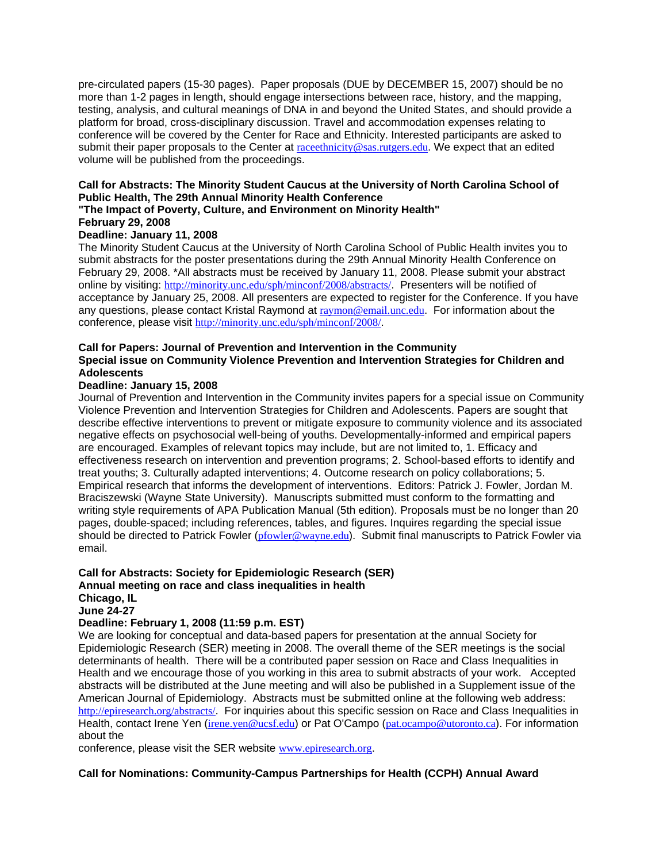pre-circulated papers (15-30 pages). Paper proposals (DUE by DECEMBER 15, 2007) should be no more than 1-2 pages in length, should engage intersections between race, history, and the mapping, testing, analysis, and cultural meanings of DNA in and beyond the United States, and should provide a platform for broad, cross-disciplinary discussion. Travel and accommodation expenses relating to conference will be covered by the Center for Race and Ethnicity. Interested participants are asked to submit their paper proposals to the Center at raceethnicity@sas.rutgers.edu. We expect that an edited volume will be published from the proceedings.

# **Call for Abstracts: The Minority Student Caucus at the University of North Carolina School of Public Health, The 29th Annual Minority Health Conference**

# **"The Impact of Poverty, Culture, and Environment on Minority Health"**

# **February 29, 2008**

# **Deadline: January 11, 2008**

The Minority Student Caucus at the University of North Carolina School of Public Health invites you to submit abstracts for the poster presentations during the 29th Annual Minority Health Conference on February 29, 2008. \*All abstracts must be received by January 11, 2008. Please submit your abstract online by visiting: http://minority.unc.edu/sph/minconf/2008/abstracts/. Presenters will be notified of acceptance by January 25, 2008. All presenters are expected to register for the Conference. If you have any questions, please contact Kristal Raymond at raymon@email.unc.edu. For information about the conference, please visit http://minority.unc.edu/sph/minconf/2008/.

# **Call for Papers: Journal of Prevention and Intervention in the Community Special issue on Community Violence Prevention and Intervention Strategies for Children and Adolescents**

# **Deadline: January 15, 2008**

Journal of Prevention and Intervention in the Community invites papers for a special issue on Community Violence Prevention and Intervention Strategies for Children and Adolescents. Papers are sought that describe effective interventions to prevent or mitigate exposure to community violence and its associated negative effects on psychosocial well-being of youths. Developmentally-informed and empirical papers are encouraged. Examples of relevant topics may include, but are not limited to, 1. Efficacy and effectiveness research on intervention and prevention programs; 2. School-based efforts to identify and treat youths; 3. Culturally adapted interventions; 4. Outcome research on policy collaborations; 5. Empirical research that informs the development of interventions. Editors: Patrick J. Fowler, Jordan M. Braciszewski (Wayne State University). Manuscripts submitted must conform to the formatting and writing style requirements of APA Publication Manual (5th edition). Proposals must be no longer than 20 pages, double-spaced; including references, tables, and figures. Inquires regarding the special issue should be directed to Patrick Fowler (pfowler@wayne.edu). Submit final manuscripts to Patrick Fowler via email.

# **Call for Abstracts: Society for Epidemiologic Research (SER) Annual meeting on race and class inequalities in health**

#### **Chicago, IL June 24-27**

# **Deadline: February 1, 2008 (11:59 p.m. EST)**

We are looking for conceptual and data-based papers for presentation at the annual Society for Epidemiologic Research (SER) meeting in 2008. The overall theme of the SER meetings is the social determinants of health. There will be a contributed paper session on Race and Class Inequalities in Health and we encourage those of you working in this area to submit abstracts of your work. Accepted abstracts will be distributed at the June meeting and will also be published in a Supplement issue of the American Journal of Epidemiology. Abstracts must be submitted online at the following web address: http://epiresearch.org/abstracts/. For inquiries about this specific session on Race and Class Inequalities in Health, contact Irene Yen (irene.yen@ucsf.edu) or Pat O'Campo (pat.ocampo@utoronto.ca). For information about the

conference, please visit the SER website www.epiresearch.org.

# **Call for Nominations: Community-Campus Partnerships for Health (CCPH) Annual Award**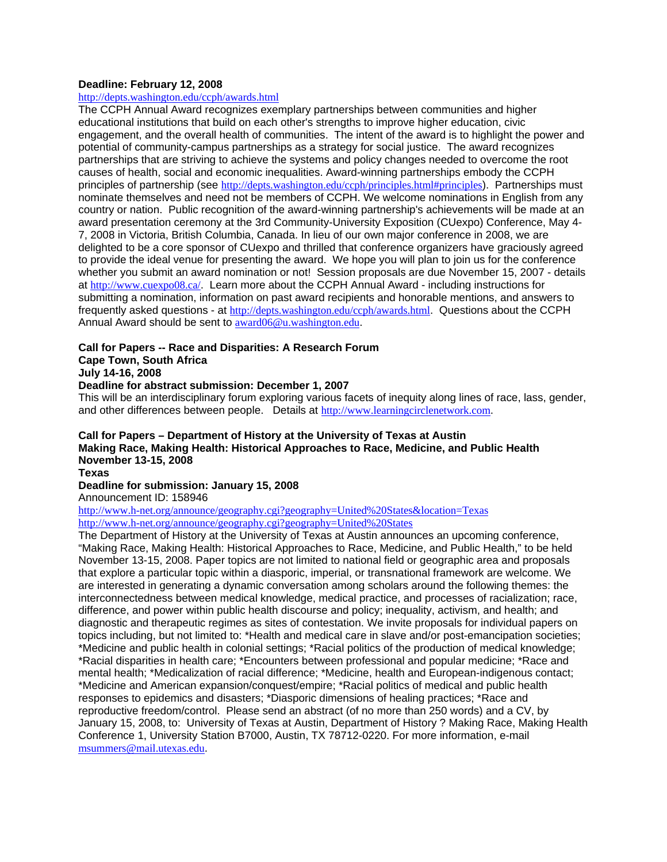#### **Deadline: February 12, 2008**

#### http://depts.washington.edu/ccph/awards.html

The CCPH Annual Award recognizes exemplary partnerships between communities and higher educational institutions that build on each other's strengths to improve higher education, civic engagement, and the overall health of communities. The intent of the award is to highlight the power and potential of community-campus partnerships as a strategy for social justice. The award recognizes partnerships that are striving to achieve the systems and policy changes needed to overcome the root causes of health, social and economic inequalities. Award-winning partnerships embody the CCPH principles of partnership (see http://depts.washington.edu/ccph/principles.html#principles). Partnerships must nominate themselves and need not be members of CCPH. We welcome nominations in English from any country or nation. Public recognition of the award-winning partnership's achievements will be made at an award presentation ceremony at the 3rd Community-University Exposition (CUexpo) Conference, May 4- 7, 2008 in Victoria, British Columbia, Canada. In lieu of our own major conference in 2008, we are delighted to be a core sponsor of CUexpo and thrilled that conference organizers have graciously agreed to provide the ideal venue for presenting the award. We hope you will plan to join us for the conference whether you submit an award nomination or not! Session proposals are due November 15, 2007 - details at http://www.cuexpo08.ca/. Learn more about the CCPH Annual Award - including instructions for submitting a nomination, information on past award recipients and honorable mentions, and answers to frequently asked questions - at http://depts.washington.edu/ccph/awards.html. Questions about the CCPH Annual Award should be sent to award06@u.washington.edu.

# **Call for Papers -- Race and Disparities: A Research Forum**

# **Cape Town, South Africa**

# **July 14-16, 2008**

# **Deadline for abstract submission: December 1, 2007**

This will be an interdisciplinary forum exploring various facets of inequity along lines of race, lass, gender, and other differences between people. Details at http://www.learningcirclenetwork.com.

# **Call for Papers – Department of History at the University of Texas at Austin Making Race, Making Health: Historical Approaches to Race, Medicine, and Public Health November 13-15, 2008**

**Texas** 

#### **Deadline for submission: January 15, 2008**

Announcement ID: 158946

http://www.h-net.org/announce/geography.cgi?geography=United%20States&location=Texas http://www.h-net.org/announce/geography.cgi?geography=United%20States

The Department of History at the University of Texas at Austin announces an upcoming conference, "Making Race, Making Health: Historical Approaches to Race, Medicine, and Public Health," to be held November 13-15, 2008. Paper topics are not limited to national field or geographic area and proposals that explore a particular topic within a diasporic, imperial, or transnational framework are welcome. We are interested in generating a dynamic conversation among scholars around the following themes: the interconnectedness between medical knowledge, medical practice, and processes of racialization; race, difference, and power within public health discourse and policy; inequality, activism, and health; and diagnostic and therapeutic regimes as sites of contestation. We invite proposals for individual papers on topics including, but not limited to: \*Health and medical care in slave and/or post-emancipation societies; \*Medicine and public health in colonial settings; \*Racial politics of the production of medical knowledge; \*Racial disparities in health care; \*Encounters between professional and popular medicine; \*Race and mental health; \*Medicalization of racial difference; \*Medicine, health and European-indigenous contact; \*Medicine and American expansion/conquest/empire; \*Racial politics of medical and public health responses to epidemics and disasters; \*Diasporic dimensions of healing practices; \*Race and reproductive freedom/control. Please send an abstract (of no more than 250 words) and a CV, by January 15, 2008, to: University of Texas at Austin, Department of History ? Making Race, Making Health Conference 1, University Station B7000, Austin, TX 78712-0220. For more information, e-mail msummers@mail.utexas.edu.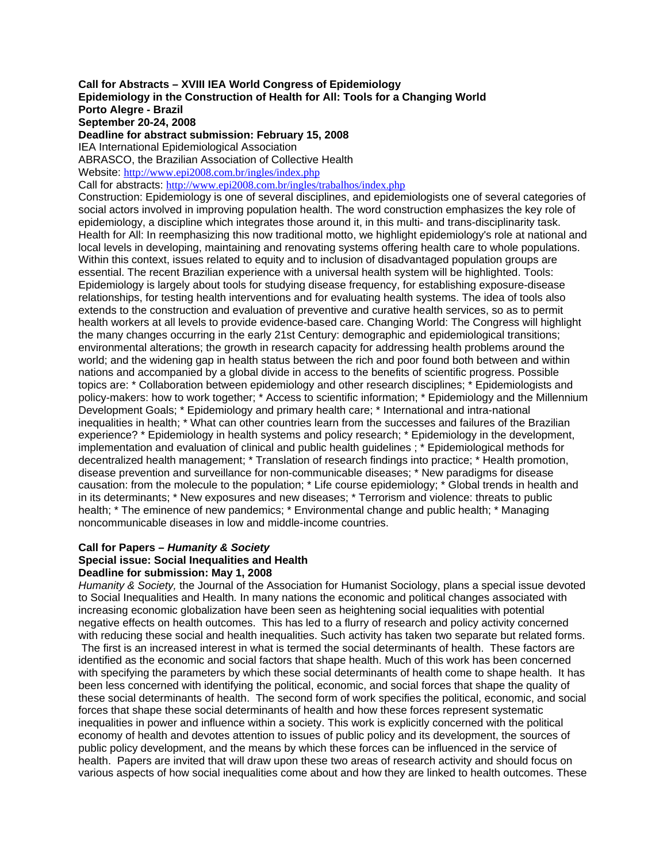**Call for Abstracts – XVIII IEA World Congress of Epidemiology Epidemiology in the Construction of Health for All: Tools for a Changing World Porto Alegre - Brazil September 20-24, 2008 Deadline for abstract submission: February 15, 2008**  IEA International Epidemiological Association ABRASCO, the Brazilian Association of Collective Health Website: http://www.epi2008.com.br/ingles/index.php Call for abstracts: http://www.epi2008.com.br/ingles/trabalhos/index.php Construction: Epidemiology is one of several disciplines, and epidemiologists one of several categories of social actors involved in improving population health. The word construction emphasizes the key role of epidemiology, a discipline which integrates those around it, in this multi- and trans-disciplinarity task. Health for All: In reemphasizing this now traditional motto, we highlight epidemiology's role at national and local levels in developing, maintaining and renovating systems offering health care to whole populations. Within this context, issues related to equity and to inclusion of disadvantaged population groups are essential. The recent Brazilian experience with a universal health system will be highlighted. Tools: Epidemiology is largely about tools for studying disease frequency, for establishing exposure-disease relationships, for testing health interventions and for evaluating health systems. The idea of tools also extends to the construction and evaluation of preventive and curative health services, so as to permit health workers at all levels to provide evidence-based care. Changing World: The Congress will highlight the many changes occurring in the early 21st Century: demographic and epidemiological transitions; environmental alterations; the growth in research capacity for addressing health problems around the world; and the widening gap in health status between the rich and poor found both between and within nations and accompanied by a global divide in access to the benefits of scientific progress. Possible topics are: \* Collaboration between epidemiology and other research disciplines; \* Epidemiologists and policy-makers: how to work together; \* Access to scientific information; \* Epidemiology and the Millennium Development Goals; \* Epidemiology and primary health care; \* International and intra-national inequalities in health; \* What can other countries learn from the successes and failures of the Brazilian experience? \* Epidemiology in health systems and policy research; \* Epidemiology in the development, implementation and evaluation of clinical and public health guidelines ; \* Epidemiological methods for decentralized health management; \* Translation of research findings into practice; \* Health promotion, disease prevention and surveillance for non-communicable diseases; \* New paradigms for disease causation: from the molecule to the population; \* Life course epidemiology; \* Global trends in health and in its determinants; \* New exposures and new diseases; \* Terrorism and violence: threats to public health; \* The eminence of new pandemics; \* Environmental change and public health; \* Managing noncommunicable diseases in low and middle-income countries.

#### **Call for Papers –** *Humanity & Society*  **Special issue: Social Inequalities and Health Deadline for submission: May 1, 2008**

*Humanity & Society,* the Journal of the Association for Humanist Sociology, plans a special issue devoted to Social Inequalities and Health*.* In many nations the economic and political changes associated with increasing economic globalization have been seen as heightening social iequalities with potential negative effects on health outcomes. This has led to a flurry of research and policy activity concerned with reducing these social and health inequalities. Such activity has taken two separate but related forms.

 The first is an increased interest in what is termed the social determinants of health. These factors are identified as the economic and social factors that shape health. Much of this work has been concerned with specifying the parameters by which these social determinants of health come to shape health. It has been less concerned with identifying the political, economic, and social forces that shape the quality of these social determinants of health. The second form of work specifies the political, economic, and social forces that shape these social determinants of health and how these forces represent systematic inequalities in power and influence within a society. This work is explicitly concerned with the political economy of health and devotes attention to issues of public policy and its development, the sources of public policy development, and the means by which these forces can be influenced in the service of health. Papers are invited that will draw upon these two areas of research activity and should focus on various aspects of how social inequalities come about and how they are linked to health outcomes. These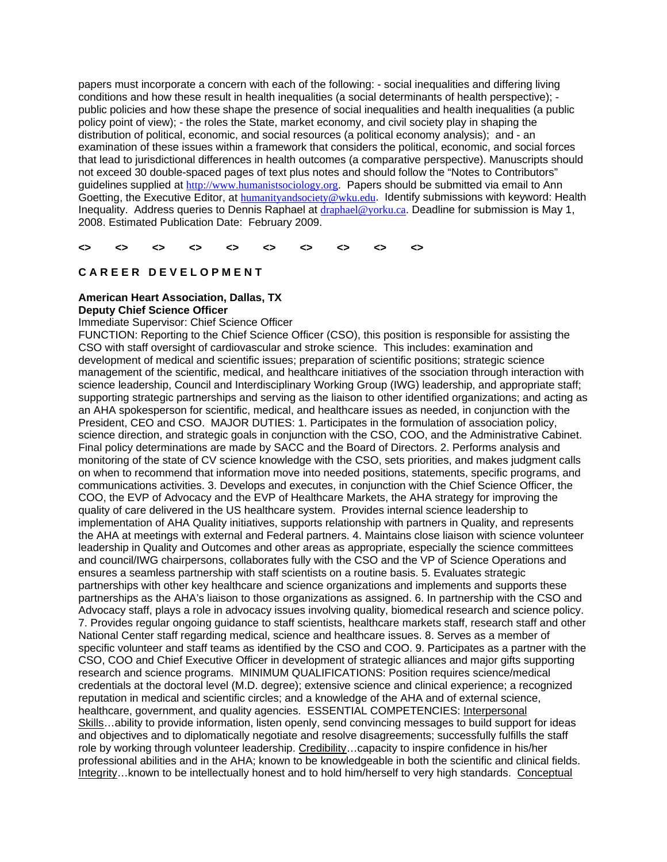papers must incorporate a concern with each of the following: - social inequalities and differing living conditions and how these result in health inequalities (a social determinants of health perspective); public policies and how these shape the presence of social inequalities and health inequalities (a public policy point of view); - the roles the State, market economy, and civil society play in shaping the distribution of political, economic, and social resources (a political economy analysis); and - an examination of these issues within a framework that considers the political, economic, and social forces that lead to jurisdictional differences in health outcomes (a comparative perspective). Manuscripts should not exceed 30 double-spaced pages of text plus notes and should follow the "Notes to Contributors" guidelines supplied at http://www.humanistsociology.org. Papers should be submitted via email to Ann Goetting, the Executive Editor, at **humanityandsociety@wku.edu.** Identify submissions with keyword: Health Inequality. Address queries to Dennis Raphael at draphael@yorku.ca. Deadline for submission is May 1, 2008. Estimated Publication Date: February 2009.

**<> <> <> <> <> <> <> <> <> <>** 

# **C A R E E R D E V E L O P M E N T**

# **American Heart Association, Dallas, TX Deputy Chief Science Officer**

Immediate Supervisor: Chief Science Officer

FUNCTION: Reporting to the Chief Science Officer (CSO), this position is responsible for assisting the CSO with staff oversight of cardiovascular and stroke science. This includes: examination and development of medical and scientific issues; preparation of scientific positions; strategic science management of the scientific, medical, and healthcare initiatives of the ssociation through interaction with science leadership, Council and Interdisciplinary Working Group (IWG) leadership, and appropriate staff; supporting strategic partnerships and serving as the liaison to other identified organizations; and acting as an AHA spokesperson for scientific, medical, and healthcare issues as needed, in conjunction with the President, CEO and CSO. MAJOR DUTIES: 1. Participates in the formulation of association policy, science direction, and strategic goals in conjunction with the CSO, COO, and the Administrative Cabinet. Final policy determinations are made by SACC and the Board of Directors. 2. Performs analysis and monitoring of the state of CV science knowledge with the CSO, sets priorities, and makes judgment calls on when to recommend that information move into needed positions, statements, specific programs, and communications activities. 3. Develops and executes, in conjunction with the Chief Science Officer, the COO, the EVP of Advocacy and the EVP of Healthcare Markets, the AHA strategy for improving the quality of care delivered in the US healthcare system. Provides internal science leadership to implementation of AHA Quality initiatives, supports relationship with partners in Quality, and represents the AHA at meetings with external and Federal partners. 4. Maintains close liaison with science volunteer leadership in Quality and Outcomes and other areas as appropriate, especially the science committees and council/IWG chairpersons, collaborates fully with the CSO and the VP of Science Operations and ensures a seamless partnership with staff scientists on a routine basis. 5. Evaluates strategic partnerships with other key healthcare and science organizations and implements and supports these partnerships as the AHA's liaison to those organizations as assigned. 6. In partnership with the CSO and Advocacy staff, plays a role in advocacy issues involving quality, biomedical research and science policy. 7. Provides regular ongoing guidance to staff scientists, healthcare markets staff, research staff and other National Center staff regarding medical, science and healthcare issues. 8. Serves as a member of specific volunteer and staff teams as identified by the CSO and COO. 9. Participates as a partner with the CSO, COO and Chief Executive Officer in development of strategic alliances and major gifts supporting research and science programs. MINIMUM QUALIFICATIONS: Position requires science/medical credentials at the doctoral level (M.D. degree); extensive science and clinical experience; a recognized reputation in medical and scientific circles; and a knowledge of the AHA and of external science, healthcare, government, and quality agencies. ESSENTIAL COMPETENCIES: Interpersonal Skills…ability to provide information, listen openly, send convincing messages to build support for ideas and objectives and to diplomatically negotiate and resolve disagreements; successfully fulfills the staff role by working through volunteer leadership. Credibility…capacity to inspire confidence in his/her professional abilities and in the AHA; known to be knowledgeable in both the scientific and clinical fields. Integrity…known to be intellectually honest and to hold him/herself to very high standards. Conceptual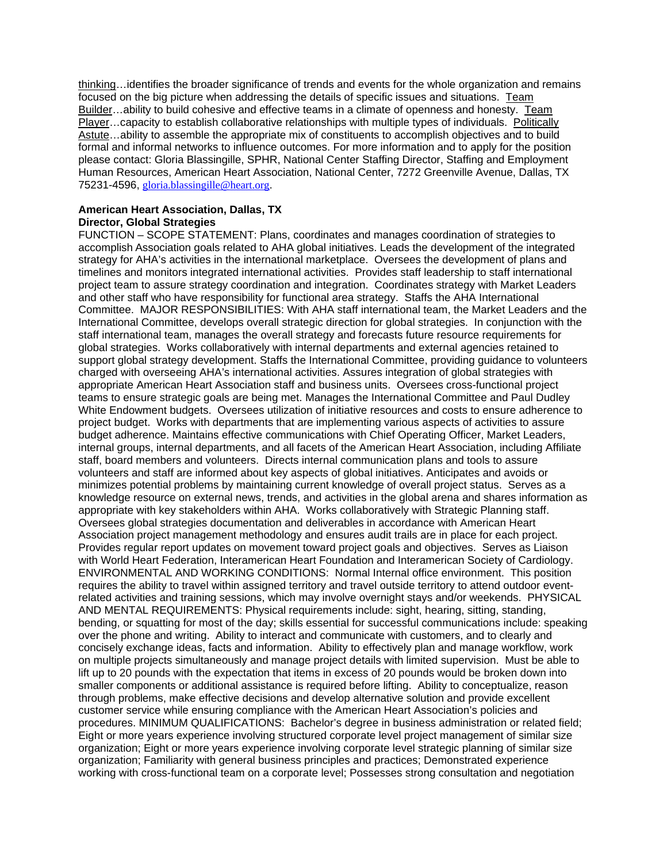thinking…identifies the broader significance of trends and events for the whole organization and remains focused on the big picture when addressing the details of specific issues and situations. Team Builder…ability to build cohesive and effective teams in a climate of openness and honesty. Team Player…capacity to establish collaborative relationships with multiple types of individuals. Politically Astute…ability to assemble the appropriate mix of constituents to accomplish objectives and to build formal and informal networks to influence outcomes. For more information and to apply for the position please contact: Gloria Blassingille, SPHR, National Center Staffing Director, Staffing and Employment Human Resources, American Heart Association, National Center, 7272 Greenville Avenue, Dallas, TX 75231-4596, gloria.blassingille@heart.org.

# **American Heart Association, Dallas, TX Director, Global Strategies**

FUNCTION – SCOPE STATEMENT: Plans, coordinates and manages coordination of strategies to accomplish Association goals related to AHA global initiatives. Leads the development of the integrated strategy for AHA's activities in the international marketplace. Oversees the development of plans and timelines and monitors integrated international activities. Provides staff leadership to staff international project team to assure strategy coordination and integration. Coordinates strategy with Market Leaders and other staff who have responsibility for functional area strategy. Staffs the AHA International Committee. MAJOR RESPONSIBILITIES: With AHA staff international team, the Market Leaders and the International Committee, develops overall strategic direction for global strategies. In conjunction with the staff international team, manages the overall strategy and forecasts future resource requirements for global strategies. Works collaboratively with internal departments and external agencies retained to support global strategy development. Staffs the International Committee, providing guidance to volunteers charged with overseeing AHA's international activities. Assures integration of global strategies with appropriate American Heart Association staff and business units. Oversees cross-functional project teams to ensure strategic goals are being met. Manages the International Committee and Paul Dudley White Endowment budgets. Oversees utilization of initiative resources and costs to ensure adherence to project budget. Works with departments that are implementing various aspects of activities to assure budget adherence. Maintains effective communications with Chief Operating Officer, Market Leaders, internal groups, internal departments, and all facets of the American Heart Association, including Affiliate staff, board members and volunteers. Directs internal communication plans and tools to assure volunteers and staff are informed about key aspects of global initiatives. Anticipates and avoids or minimizes potential problems by maintaining current knowledge of overall project status. Serves as a knowledge resource on external news, trends, and activities in the global arena and shares information as appropriate with key stakeholders within AHA. Works collaboratively with Strategic Planning staff. Oversees global strategies documentation and deliverables in accordance with American Heart Association project management methodology and ensures audit trails are in place for each project. Provides regular report updates on movement toward project goals and objectives. Serves as Liaison with World Heart Federation, Interamerican Heart Foundation and Interamerican Society of Cardiology. ENVIRONMENTAL AND WORKING CONDITIONS: Normal Internal office environment. This position requires the ability to travel within assigned territory and travel outside territory to attend outdoor eventrelated activities and training sessions, which may involve overnight stays and/or weekends. PHYSICAL AND MENTAL REQUIREMENTS: Physical requirements include: sight, hearing, sitting, standing, bending, or squatting for most of the day; skills essential for successful communications include: speaking over the phone and writing. Ability to interact and communicate with customers, and to clearly and concisely exchange ideas, facts and information. Ability to effectively plan and manage workflow, work on multiple projects simultaneously and manage project details with limited supervision. Must be able to lift up to 20 pounds with the expectation that items in excess of 20 pounds would be broken down into smaller components or additional assistance is required before lifting. Ability to conceptualize, reason through problems, make effective decisions and develop alternative solution and provide excellent customer service while ensuring compliance with the American Heart Association's policies and procedures. MINIMUM QUALIFICATIONS: Bachelor's degree in business administration or related field; Eight or more years experience involving structured corporate level project management of similar size organization; Eight or more years experience involving corporate level strategic planning of similar size organization; Familiarity with general business principles and practices; Demonstrated experience working with cross-functional team on a corporate level; Possesses strong consultation and negotiation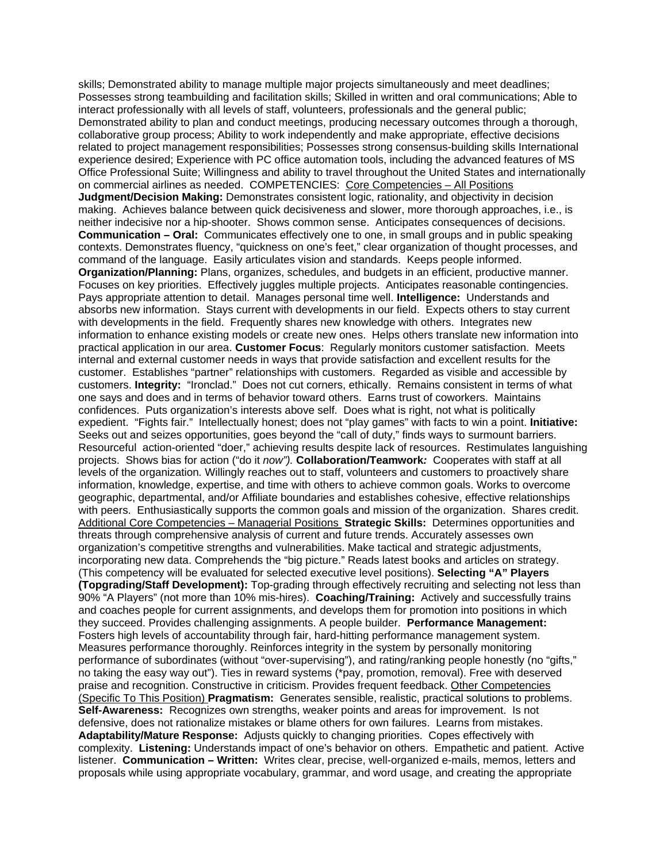skills; Demonstrated ability to manage multiple major projects simultaneously and meet deadlines; Possesses strong teambuilding and facilitation skills; Skilled in written and oral communications; Able to interact professionally with all levels of staff, volunteers, professionals and the general public; Demonstrated ability to plan and conduct meetings, producing necessary outcomes through a thorough, collaborative group process; Ability to work independently and make appropriate, effective decisions related to project management responsibilities; Possesses strong consensus-building skills International experience desired; Experience with PC office automation tools, including the advanced features of MS Office Professional Suite; Willingness and ability to travel throughout the United States and internationally on commercial airlines as needed. COMPETENCIES: Core Competencies – All Positions **Judgment/Decision Making:** Demonstrates consistent logic, rationality, and objectivity in decision making. Achieves balance between quick decisiveness and slower, more thorough approaches, i.e., is neither indecisive nor a hip-shooter. Shows common sense. Anticipates consequences of decisions. **Communication – Oral:** Communicates effectively one to one, in small groups and in public speaking contexts. Demonstrates fluency, "quickness on one's feet," clear organization of thought processes, and command of the language. Easily articulates vision and standards. Keeps people informed. **Organization/Planning:** Plans, organizes, schedules, and budgets in an efficient, productive manner. Focuses on key priorities. Effectively juggles multiple projects. Anticipates reasonable contingencies. Pays appropriate attention to detail. Manages personal time well. **Intelligence:** Understands and absorbs new information. Stays current with developments in our field. Expects others to stay current with developments in the field. Frequently shares new knowledge with others. Integrates new information to enhance existing models or create new ones. Helps others translate new information into practical application in our area. **Customer Focus**: Regularly monitors customer satisfaction. Meets internal and external customer needs in ways that provide satisfaction and excellent results for the customer. Establishes "partner" relationships with customers. Regarded as visible and accessible by customers. **Integrity:** "Ironclad." Does not cut corners, ethically. Remains consistent in terms of what one says and does and in terms of behavior toward others. Earns trust of coworkers. Maintains confidences. Puts organization's interests above self. Does what is right, not what is politically expedient. "Fights fair." Intellectually honest; does not "play games" with facts to win a point. **Initiative:**  Seeks out and seizes opportunities, goes beyond the "call of duty," finds ways to surmount barriers. Resourceful action-oriented "doer," achieving results despite lack of resources. Restimulates languishing projects. Shows bias for action ("do it *now").* **Collaboration/Teamwork***:* Cooperates with staff at all levels of the organization*.* Willingly reaches out to staff, volunteers and customers to proactively share information, knowledge, expertise, and time with others to achieve common goals. Works to overcome geographic, departmental, and/or Affiliate boundaries and establishes cohesive, effective relationships with peers. Enthusiastically supports the common goals and mission of the organization. Shares credit. Additional Core Competencies – Managerial Positions **Strategic Skills:** Determines opportunities and threats through comprehensive analysis of current and future trends. Accurately assesses own organization's competitive strengths and vulnerabilities. Make tactical and strategic adjustments, incorporating new data. Comprehends the "big picture." Reads latest books and articles on strategy. (This competency will be evaluated for selected executive level positions). **Selecting "A" Players (Topgrading/Staff Development):** Top-grading through effectively recruiting and selecting not less than 90% "A Players" (not more than 10% mis-hires). **Coaching/Training:** Actively and successfully trains and coaches people for current assignments, and develops them for promotion into positions in which they succeed. Provides challenging assignments. A people builder. **Performance Management:** Fosters high levels of accountability through fair, hard-hitting performance management system. Measures performance thoroughly. Reinforces integrity in the system by personally monitoring performance of subordinates (without "over-supervising"), and rating/ranking people honestly (no "gifts," no taking the easy way out"). Ties in reward systems (\*pay, promotion, removal). Free with deserved praise and recognition. Constructive in criticism. Provides frequent feedback. Other Competencies (Specific To This Position) **Pragmatism:** Generates sensible, realistic, practical solutions to problems. **Self-Awareness:** Recognizes own strengths, weaker points and areas for improvement. Is not defensive, does not rationalize mistakes or blame others for own failures. Learns from mistakes. **Adaptability/Mature Response:** Adjusts quickly to changing priorities. Copes effectively with complexity. **Listening:** Understands impact of one's behavior on others. Empathetic and patient. Active listener. **Communication – Written:** Writes clear, precise, well-organized e-mails, memos, letters and proposals while using appropriate vocabulary, grammar, and word usage, and creating the appropriate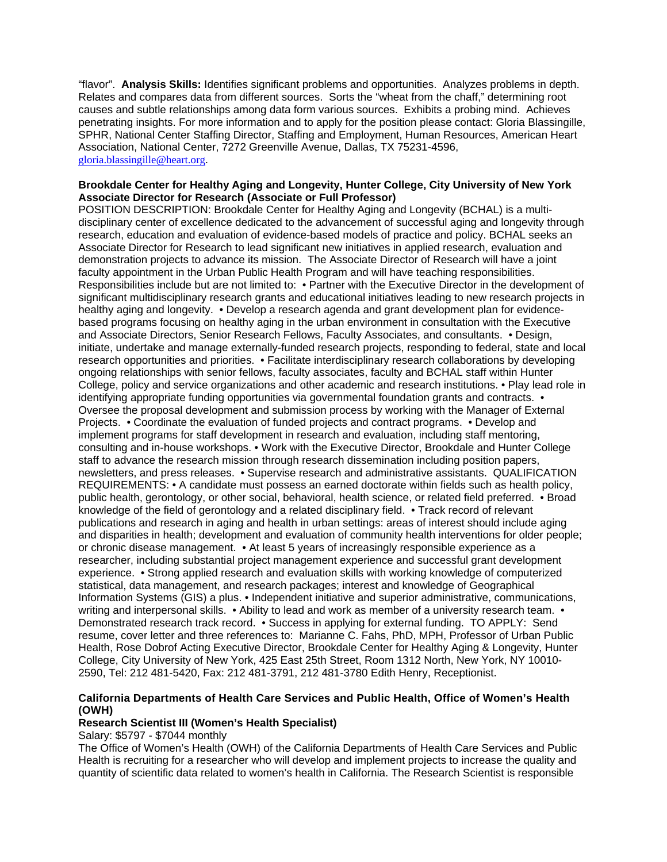"flavor". **Analysis Skills:** Identifies significant problems and opportunities. Analyzes problems in depth. Relates and compares data from different sources. Sorts the "wheat from the chaff," determining root causes and subtle relationships among data form various sources. Exhibits a probing mind. Achieves penetrating insights. For more information and to apply for the position please contact: Gloria Blassingille, SPHR, National Center Staffing Director, Staffing and Employment, Human Resources, American Heart Association, National Center, 7272 Greenville Avenue, Dallas, TX 75231-4596, gloria.blassingille@heart.org.

# **Brookdale Center for Healthy Aging and Longevity, Hunter College, City University of New York Associate Director for Research (Associate or Full Professor)**

POSITION DESCRIPTION: Brookdale Center for Healthy Aging and Longevity (BCHAL) is a multidisciplinary center of excellence dedicated to the advancement of successful aging and longevity through research, education and evaluation of evidence-based models of practice and policy. BCHAL seeks an Associate Director for Research to lead significant new initiatives in applied research, evaluation and demonstration projects to advance its mission. The Associate Director of Research will have a joint faculty appointment in the Urban Public Health Program and will have teaching responsibilities. Responsibilities include but are not limited to: • Partner with the Executive Director in the development of significant multidisciplinary research grants and educational initiatives leading to new research projects in healthy aging and longevity. • Develop a research agenda and grant development plan for evidencebased programs focusing on healthy aging in the urban environment in consultation with the Executive and Associate Directors, Senior Research Fellows, Faculty Associates, and consultants. • Design, initiate, undertake and manage externally-funded research projects, responding to federal, state and local research opportunities and priorities. • Facilitate interdisciplinary research collaborations by developing ongoing relationships with senior fellows, faculty associates, faculty and BCHAL staff within Hunter College, policy and service organizations and other academic and research institutions. • Play lead role in identifying appropriate funding opportunities via governmental foundation grants and contracts. • Oversee the proposal development and submission process by working with the Manager of External Projects. • Coordinate the evaluation of funded projects and contract programs. • Develop and implement programs for staff development in research and evaluation, including staff mentoring, consulting and in-house workshops. • Work with the Executive Director, Brookdale and Hunter College staff to advance the research mission through research dissemination including position papers, newsletters, and press releases. • Supervise research and administrative assistants. QUALIFICATION REQUIREMENTS: • A candidate must possess an earned doctorate within fields such as health policy, public health, gerontology, or other social, behavioral, health science, or related field preferred. • Broad knowledge of the field of gerontology and a related disciplinary field. • Track record of relevant publications and research in aging and health in urban settings: areas of interest should include aging and disparities in health; development and evaluation of community health interventions for older people; or chronic disease management. • At least 5 years of increasingly responsible experience as a researcher, including substantial project management experience and successful grant development experience. • Strong applied research and evaluation skills with working knowledge of computerized statistical, data management, and research packages; interest and knowledge of Geographical Information Systems (GIS) a plus. • Independent initiative and superior administrative, communications, writing and interpersonal skills. • Ability to lead and work as member of a university research team. • Demonstrated research track record. • Success in applying for external funding. TO APPLY: Send resume, cover letter and three references to: Marianne C. Fahs, PhD, MPH, Professor of Urban Public Health, Rose Dobrof Acting Executive Director, Brookdale Center for Healthy Aging & Longevity, Hunter College, City University of New York, 425 East 25th Street, Room 1312 North, New York, NY 10010- 2590, Tel: 212 481-5420, Fax: 212 481-3791, 212 481-3780 Edith Henry, Receptionist.

# **California Departments of Health Care Services and Public Health, Office of Women's Health (OWH)**

# **Research Scientist III (Women's Health Specialist)**

#### Salary: \$5797 - \$7044 monthly

The Office of Women's Health (OWH) of the California Departments of Health Care Services and Public Health is recruiting for a researcher who will develop and implement projects to increase the quality and quantity of scientific data related to women's health in California. The Research Scientist is responsible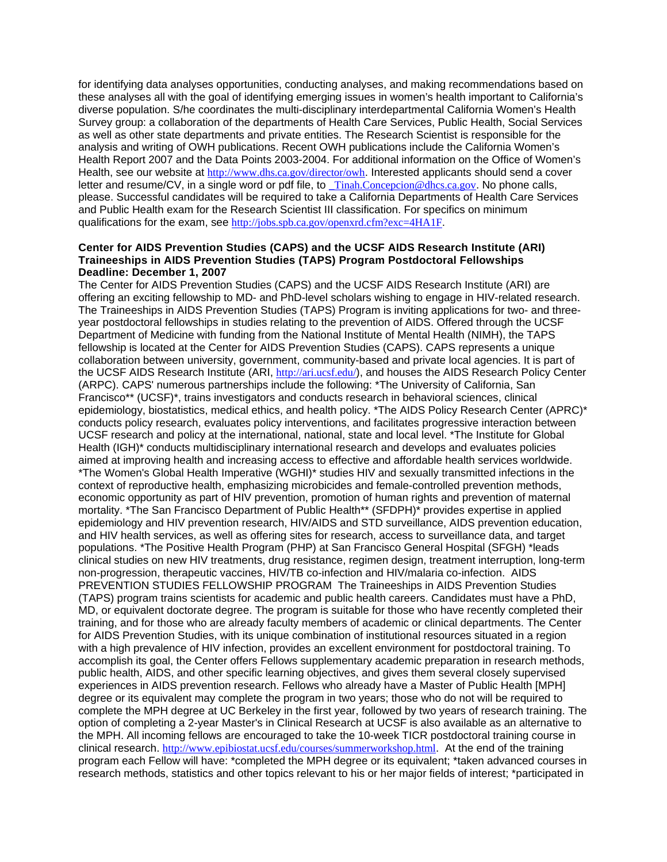for identifying data analyses opportunities, conducting analyses, and making recommendations based on these analyses all with the goal of identifying emerging issues in women's health important to California's diverse population. S/he coordinates the multi-disciplinary interdepartmental California Women's Health Survey group: a collaboration of the departments of Health Care Services, Public Health, Social Services as well as other state departments and private entities. The Research Scientist is responsible for the analysis and writing of OWH publications. Recent OWH publications include the California Women's Health Report 2007 and the Data Points 2003-2004. For additional information on the Office of Women's Health, see our website at http://www.dhs.ca.gov/director/owh. Interested applicants should send a cover letter and resume/CV, in a single word or pdf file, to Tinah.Concepcion@dhcs.ca.gov. No phone calls, please. Successful candidates will be required to take a California Departments of Health Care Services and Public Health exam for the Research Scientist III classification. For specifics on minimum qualifications for the exam, see http://jobs.spb.ca.gov/openxrd.cfm?exc=4HA1F.

#### **Center for AIDS Prevention Studies (CAPS) and the UCSF AIDS Research Institute (ARI) Traineeships in AIDS Prevention Studies (TAPS) Program Postdoctoral Fellowships Deadline: December 1, 2007**

The Center for AIDS Prevention Studies (CAPS) and the UCSF AIDS Research Institute (ARI) are offering an exciting fellowship to MD- and PhD-level scholars wishing to engage in HIV-related research. The Traineeships in AIDS Prevention Studies (TAPS) Program is inviting applications for two- and threeyear postdoctoral fellowships in studies relating to the prevention of AIDS. Offered through the UCSF Department of Medicine with funding from the National Institute of Mental Health (NIMH), the TAPS fellowship is located at the Center for AIDS Prevention Studies (CAPS). CAPS represents a unique collaboration between university, government, community-based and private local agencies. It is part of the UCSF AIDS Research Institute (ARI, http://ari.ucsf.edu/), and houses the AIDS Research Policy Center (ARPC). CAPS' numerous partnerships include the following: \*The University of California, San Francisco\*\* (UCSF)\*, trains investigators and conducts research in behavioral sciences, clinical epidemiology, biostatistics, medical ethics, and health policy. \*The AIDS Policy Research Center (APRC)\* conducts policy research, evaluates policy interventions, and facilitates progressive interaction between UCSF research and policy at the international, national, state and local level. \*The Institute for Global Health (IGH)\* conducts multidisciplinary international research and develops and evaluates policies aimed at improving health and increasing access to effective and affordable health services worldwide. \*The Women's Global Health Imperative (WGHI)\* studies HIV and sexually transmitted infections in the context of reproductive health, emphasizing microbicides and female-controlled prevention methods, economic opportunity as part of HIV prevention, promotion of human rights and prevention of maternal mortality. \*The San Francisco Department of Public Health\*\* (SFDPH)\* provides expertise in applied epidemiology and HIV prevention research, HIV/AIDS and STD surveillance, AIDS prevention education, and HIV health services, as well as offering sites for research, access to surveillance data, and target populations. \*The Positive Health Program (PHP) at San Francisco General Hospital (SFGH) \*leads clinical studies on new HIV treatments, drug resistance, regimen design, treatment interruption, long-term non-progression, therapeutic vaccines, HIV/TB co-infection and HIV/malaria co-infection. AIDS PREVENTION STUDIES FELLOWSHIP PROGRAM The Traineeships in AIDS Prevention Studies (TAPS) program trains scientists for academic and public health careers. Candidates must have a PhD, MD, or equivalent doctorate degree. The program is suitable for those who have recently completed their training, and for those who are already faculty members of academic or clinical departments. The Center for AIDS Prevention Studies, with its unique combination of institutional resources situated in a region with a high prevalence of HIV infection, provides an excellent environment for postdoctoral training. To accomplish its goal, the Center offers Fellows supplementary academic preparation in research methods, public health, AIDS, and other specific learning objectives, and gives them several closely supervised experiences in AIDS prevention research. Fellows who already have a Master of Public Health [MPH] degree or its equivalent may complete the program in two years; those who do not will be required to complete the MPH degree at UC Berkeley in the first year, followed by two years of research training. The option of completing a 2-year Master's in Clinical Research at UCSF is also available as an alternative to the MPH. All incoming fellows are encouraged to take the 10-week TICR postdoctoral training course in clinical research. http://www.epibiostat.ucsf.edu/courses/summerworkshop.html. At the end of the training program each Fellow will have: \*completed the MPH degree or its equivalent; \*taken advanced courses in research methods, statistics and other topics relevant to his or her major fields of interest; \*participated in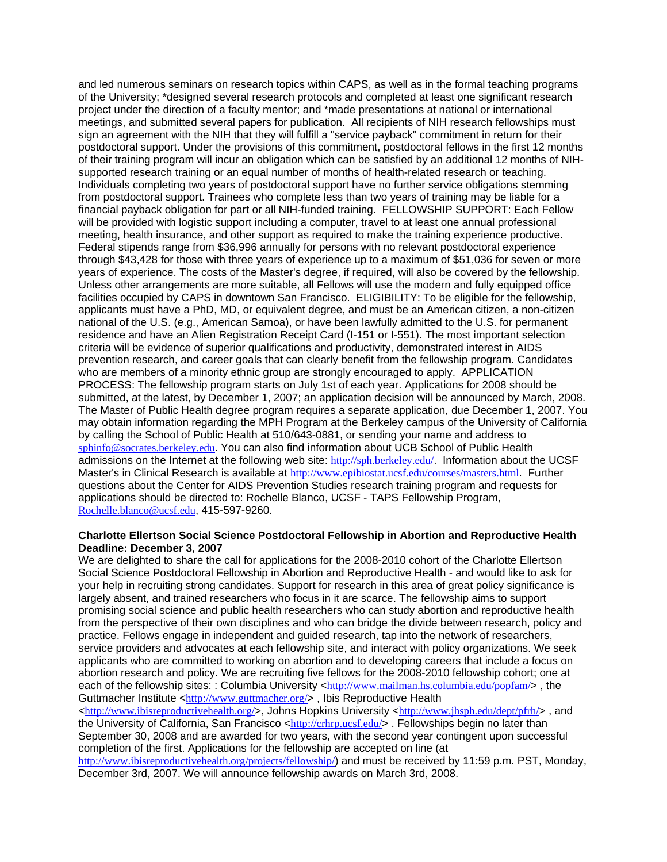and led numerous seminars on research topics within CAPS, as well as in the formal teaching programs of the University; \*designed several research protocols and completed at least one significant research project under the direction of a faculty mentor; and \*made presentations at national or international meetings, and submitted several papers for publication. All recipients of NIH research fellowships must sign an agreement with the NIH that they will fulfill a "service payback" commitment in return for their postdoctoral support. Under the provisions of this commitment, postdoctoral fellows in the first 12 months of their training program will incur an obligation which can be satisfied by an additional 12 months of NIHsupported research training or an equal number of months of health-related research or teaching. Individuals completing two years of postdoctoral support have no further service obligations stemming from postdoctoral support. Trainees who complete less than two years of training may be liable for a financial payback obligation for part or all NIH-funded training. FELLOWSHIP SUPPORT: Each Fellow will be provided with logistic support including a computer, travel to at least one annual professional meeting, health insurance, and other support as required to make the training experience productive. Federal stipends range from \$36,996 annually for persons with no relevant postdoctoral experience through \$43,428 for those with three years of experience up to a maximum of \$51,036 for seven or more years of experience. The costs of the Master's degree, if required, will also be covered by the fellowship. Unless other arrangements are more suitable, all Fellows will use the modern and fully equipped office facilities occupied by CAPS in downtown San Francisco. ELIGIBILITY: To be eligible for the fellowship, applicants must have a PhD, MD, or equivalent degree, and must be an American citizen, a non-citizen national of the U.S. (e.g., American Samoa), or have been lawfully admitted to the U.S. for permanent residence and have an Alien Registration Receipt Card (I-151 or I-551). The most important selection criteria will be evidence of superior qualifications and productivity, demonstrated interest in AIDS prevention research, and career goals that can clearly benefit from the fellowship program. Candidates who are members of a minority ethnic group are strongly encouraged to apply. APPLICATION PROCESS: The fellowship program starts on July 1st of each year. Applications for 2008 should be submitted, at the latest, by December 1, 2007; an application decision will be announced by March, 2008. The Master of Public Health degree program requires a separate application, due December 1, 2007. You may obtain information regarding the MPH Program at the Berkeley campus of the University of California by calling the School of Public Health at 510/643-0881, or sending your name and address to sphinfo@socrates.berkeley.edu. You can also find information about UCB School of Public Health admissions on the Internet at the following web site: http://sph.berkeley.edu/. Information about the UCSF Master's in Clinical Research is available at http://www.epibiostat.ucsf.edu/courses/masters.html. Further questions about the Center for AIDS Prevention Studies research training program and requests for applications should be directed to: Rochelle Blanco, UCSF - TAPS Fellowship Program, Rochelle.blanco@ucsf.edu, 415-597-9260.

#### **Charlotte Ellertson Social Science Postdoctoral Fellowship in Abortion and Reproductive Health Deadline: December 3, 2007**

We are delighted to share the call for applications for the 2008-2010 cohort of the Charlotte Ellertson Social Science Postdoctoral Fellowship in Abortion and Reproductive Health - and would like to ask for your help in recruiting strong candidates. Support for research in this area of great policy significance is largely absent, and trained researchers who focus in it are scarce. The fellowship aims to support promising social science and public health researchers who can study abortion and reproductive health from the perspective of their own disciplines and who can bridge the divide between research, policy and practice. Fellows engage in independent and guided research, tap into the network of researchers, service providers and advocates at each fellowship site, and interact with policy organizations. We seek applicants who are committed to working on abortion and to developing careers that include a focus on abortion research and policy. We are recruiting five fellows for the 2008-2010 fellowship cohort; one at each of the fellowship sites: : Columbia University <http://www.mailman.hs.columbia.edu/popfam/>, the Guttmacher Institute <http://www.guttmacher.org/>. Ibis Reproductive Health

 $\text{th}(y)/\text{www.ibisreproductive}$  , Johns Hopkins University  $\text{th}(y)/\text{www.ibsph.edu/depth/s}$ , and the University of California, San Francisco <http://crhrp.ucsf.edu/>. Fellowships begin no later than September 30, 2008 and are awarded for two years, with the second year contingent upon successful completion of the first. Applications for the fellowship are accepted on line (at

http://www.ibisreproductivehealth.org/projects/fellowship/) and must be received by 11:59 p.m. PST, Monday, December 3rd, 2007. We will announce fellowship awards on March 3rd, 2008.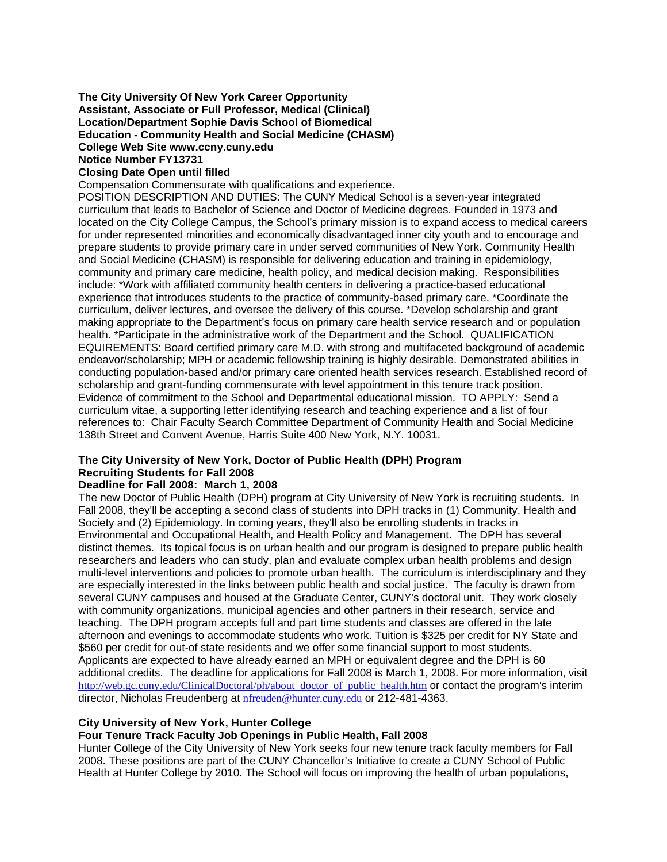# **The City University Of New York Career Opportunity Assistant, Associate or Full Professor, Medical (Clinical) Location/Department Sophie Davis School of Biomedical Education - Community Health and Social Medicine (CHASM) College Web Site www.ccny.cuny.edu Notice Number FY13731**

# **Closing Date Open until filled**

Compensation Commensurate with qualifications and experience.

POSITION DESCRIPTION AND DUTIES: The CUNY Medical School is a seven-year integrated curriculum that leads to Bachelor of Science and Doctor of Medicine degrees. Founded in 1973 and located on the City College Campus, the School's primary mission is to expand access to medical careers for under represented minorities and economically disadvantaged inner city youth and to encourage and prepare students to provide primary care in under served communities of New York. Community Health and Social Medicine (CHASM) is responsible for delivering education and training in epidemiology, community and primary care medicine, health policy, and medical decision making. Responsibilities include: \*Work with affiliated community health centers in delivering a practice-based educational experience that introduces students to the practice of community-based primary care. \*Coordinate the curriculum, deliver lectures, and oversee the delivery of this course. \*Develop scholarship and grant making appropriate to the Department's focus on primary care health service research and or population health. \*Participate in the administrative work of the Department and the School. QUALIFICATION EQUIREMENTS: Board certified primary care M.D. with strong and multifaceted background of academic endeavor/scholarship; MPH or academic fellowship training is highly desirable. Demonstrated abilities in conducting population-based and/or primary care oriented health services research. Established record of scholarship and grant-funding commensurate with level appointment in this tenure track position. Evidence of commitment to the School and Departmental educational mission. TO APPLY: Send a curriculum vitae, a supporting letter identifying research and teaching experience and a list of four references to: Chair Faculty Search Committee Department of Community Health and Social Medicine 138th Street and Convent Avenue, Harris Suite 400 New York, N.Y. 10031.

# **The City University of New York, Doctor of Public Health (DPH) Program Recruiting Students for Fall 2008**

#### **Deadline for Fall 2008: March 1, 2008**

The new Doctor of Public Health (DPH) program at City University of New York is recruiting students. In Fall 2008, they'll be accepting a second class of students into DPH tracks in (1) Community, Health and Society and (2) Epidemiology. In coming years, they'll also be enrolling students in tracks in Environmental and Occupational Health, and Health Policy and Management. The DPH has several distinct themes. Its topical focus is on urban health and our program is designed to prepare public health researchers and leaders who can study, plan and evaluate complex urban health problems and design multi-level interventions and policies to promote urban health. The curriculum is interdisciplinary and they are especially interested in the links between public health and social justice. The faculty is drawn from several CUNY campuses and housed at the Graduate Center, CUNY's doctoral unit. They work closely with community organizations, municipal agencies and other partners in their research, service and teaching. The DPH program accepts full and part time students and classes are offered in the late afternoon and evenings to accommodate students who work. Tuition is \$325 per credit for NY State and \$560 per credit for out-of state residents and we offer some financial support to most students. Applicants are expected to have already earned an MPH or equivalent degree and the DPH is 60 additional credits. The deadline for applications for Fall 2008 is March 1, 2008. For more information, visit http://web.gc.cuny.edu/ClinicalDoctoral/ph/about\_doctor\_of\_public\_health.htm or contact the program's interim director, Nicholas Freudenberg at nfreuden@hunter.cuny.edu or 212-481-4363.

#### **City University of New York, Hunter College**

#### **Four Tenure Track Faculty Job Openings in Public Health, Fall 2008**

Hunter College of the City University of New York seeks four new tenure track faculty members for Fall 2008. These positions are part of the CUNY Chancellor's Initiative to create a CUNY School of Public Health at Hunter College by 2010. The School will focus on improving the health of urban populations,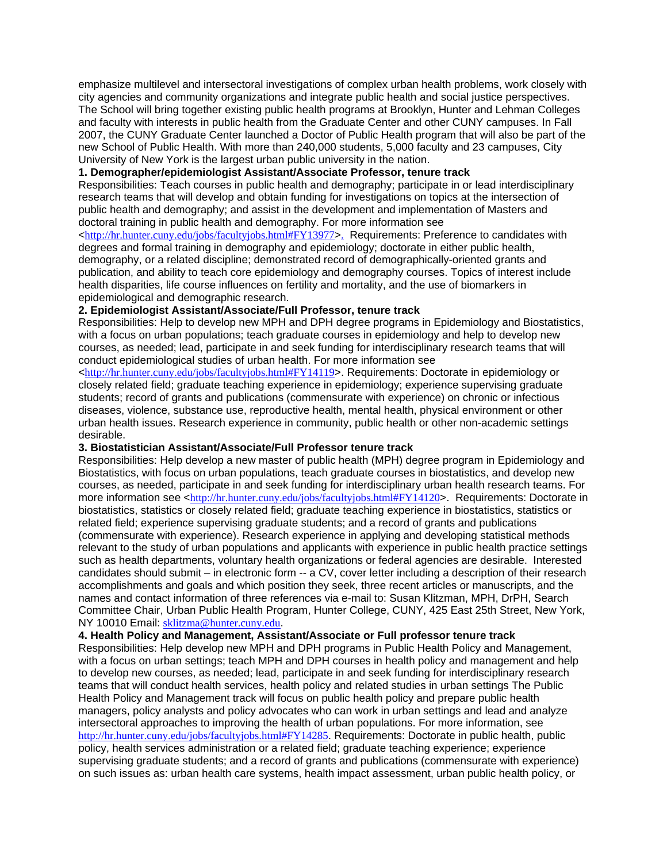emphasize multilevel and intersectoral investigations of complex urban health problems, work closely with city agencies and community organizations and integrate public health and social justice perspectives. The School will bring together existing public health programs at Brooklyn, Hunter and Lehman Colleges and faculty with interests in public health from the Graduate Center and other CUNY campuses. In Fall 2007, the CUNY Graduate Center launched a Doctor of Public Health program that will also be part of the new School of Public Health. With more than 240,000 students, 5,000 faculty and 23 campuses, City University of New York is the largest urban public university in the nation.

#### **1. Demographer/epidemiologist Assistant/Associate Professor, tenure track**

Responsibilities: Teach courses in public health and demography; participate in or lead interdisciplinary research teams that will develop and obtain funding for investigations on topics at the intersection of public health and demography; and assist in the development and implementation of Masters and doctoral training in public health and demography. For more information see

<http://hr.hunter.cuny.edu/jobs/facultyjobs.html#FY13977>. Requirements: Preference to candidates with degrees and formal training in demography and epidemiology; doctorate in either public health, demography, or a related discipline; demonstrated record of demographically-oriented grants and publication, and ability to teach core epidemiology and demography courses. Topics of interest include health disparities, life course influences on fertility and mortality, and the use of biomarkers in epidemiological and demographic research.

# **2. Epidemiologist Assistant/Associate/Full Professor, tenure track**

Responsibilities: Help to develop new MPH and DPH degree programs in Epidemiology and Biostatistics, with a focus on urban populations; teach graduate courses in epidemiology and help to develop new courses, as needed; lead, participate in and seek funding for interdisciplinary research teams that will conduct epidemiological studies of urban health. For more information see

<http://hr.hunter.cuny.edu/jobs/facultyjobs.html#FY14119>. Requirements: Doctorate in epidemiology or closely related field; graduate teaching experience in epidemiology; experience supervising graduate students; record of grants and publications (commensurate with experience) on chronic or infectious diseases, violence, substance use, reproductive health, mental health, physical environment or other urban health issues. Research experience in community, public health or other non-academic settings desirable.

#### **3. Biostatistician Assistant/Associate/Full Professor tenure track**

Responsibilities: Help develop a new master of public health (MPH) degree program in Epidemiology and Biostatistics, with focus on urban populations, teach graduate courses in biostatistics, and develop new courses, as needed, participate in and seek funding for interdisciplinary urban health research teams. For more information see <http://hr.hunter.cuny.edu/jobs/facultyjobs.html#FY14120>. Requirements: Doctorate in biostatistics, statistics or closely related field; graduate teaching experience in biostatistics, statistics or related field; experience supervising graduate students; and a record of grants and publications (commensurate with experience). Research experience in applying and developing statistical methods relevant to the study of urban populations and applicants with experience in public health practice settings such as health departments, voluntary health organizations or federal agencies are desirable. Interested candidates should submit – in electronic form -- a CV, cover letter including a description of their research accomplishments and goals and which position they seek, three recent articles or manuscripts, and the names and contact information of three references via e-mail to: Susan Klitzman, MPH, DrPH, Search Committee Chair, Urban Public Health Program, Hunter College, CUNY, 425 East 25th Street, New York, NY 10010 Email: sklitzma@hunter.cuny.edu.

**4. Health Policy and Management, Assistant/Associate or Full professor tenure track** 

Responsibilities: Help develop new MPH and DPH programs in Public Health Policy and Management, with a focus on urban settings; teach MPH and DPH courses in health policy and management and help to develop new courses, as needed; lead, participate in and seek funding for interdisciplinary research teams that will conduct health services, health policy and related studies in urban settings The Public Health Policy and Management track will focus on public health policy and prepare public health managers, policy analysts and policy advocates who can work in urban settings and lead and analyze intersectoral approaches to improving the health of urban populations. For more information, see http://hr.hunter.cuny.edu/jobs/facultyjobs.html#FY14285. Requirements: Doctorate in public health, public policy, health services administration or a related field; graduate teaching experience; experience supervising graduate students; and a record of grants and publications (commensurate with experience) on such issues as: urban health care systems, health impact assessment, urban public health policy, or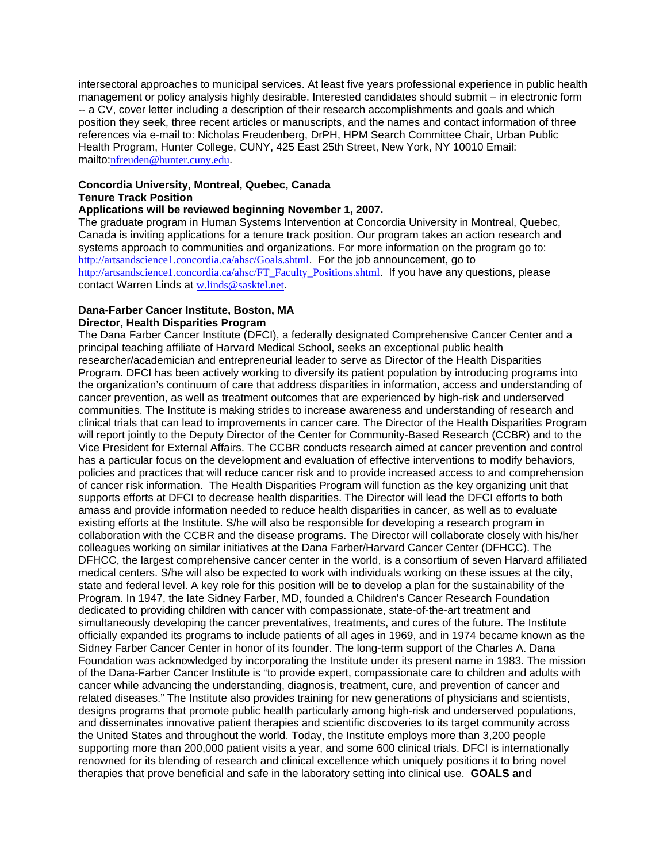intersectoral approaches to municipal services. At least five years professional experience in public health management or policy analysis highly desirable. Interested candidates should submit – in electronic form -- a CV, cover letter including a description of their research accomplishments and goals and which position they seek, three recent articles or manuscripts, and the names and contact information of three references via e-mail to: Nicholas Freudenberg, DrPH, HPM Search Committee Chair, Urban Public Health Program, Hunter College, CUNY, 425 East 25th Street, New York, NY 10010 Email: mailto:nfreuden@hunter.cuny.edu.

# **Concordia University, Montreal, Quebec, Canada Tenure Track Position**

# **Applications will be reviewed beginning November 1, 2007.**

The graduate program in Human Systems Intervention at Concordia University in Montreal, Quebec, Canada is inviting applications for a tenure track position. Our program takes an action research and systems approach to communities and organizations. For more information on the program go to: http://artsandscience1.concordia.ca/ahsc/Goals.shtml. For the job announcement, go to http://artsandscience1.concordia.ca/ahsc/FT\_Faculty\_Positions.shtml. If you have any questions, please contact Warren Linds at w.linds@sasktel.net.

#### **Dana-Farber Cancer Institute, Boston, MA Director, Health Disparities Program**

The Dana Farber Cancer Institute (DFCI), a federally designated Comprehensive Cancer Center and a principal teaching affiliate of Harvard Medical School, seeks an exceptional public health researcher/academician and entrepreneurial leader to serve as Director of the Health Disparities Program. DFCI has been actively working to diversify its patient population by introducing programs into the organization's continuum of care that address disparities in information, access and understanding of cancer prevention, as well as treatment outcomes that are experienced by high-risk and underserved communities. The Institute is making strides to increase awareness and understanding of research and clinical trials that can lead to improvements in cancer care. The Director of the Health Disparities Program will report jointly to the Deputy Director of the Center for Community-Based Research (CCBR) and to the Vice President for External Affairs. The CCBR conducts research aimed at cancer prevention and control has a particular focus on the development and evaluation of effective interventions to modify behaviors, policies and practices that will reduce cancer risk and to provide increased access to and comprehension of cancer risk information. The Health Disparities Program will function as the key organizing unit that supports efforts at DFCI to decrease health disparities. The Director will lead the DFCI efforts to both amass and provide information needed to reduce health disparities in cancer, as well as to evaluate existing efforts at the Institute. S/he will also be responsible for developing a research program in collaboration with the CCBR and the disease programs. The Director will collaborate closely with his/her colleagues working on similar initiatives at the Dana Farber/Harvard Cancer Center (DFHCC). The DFHCC, the largest comprehensive cancer center in the world, is a consortium of seven Harvard affiliated medical centers. S/he will also be expected to work with individuals working on these issues at the city, state and federal level. A key role for this position will be to develop a plan for the sustainability of the Program. In 1947, the late Sidney Farber, MD, founded a Children's Cancer Research Foundation dedicated to providing children with cancer with compassionate, state-of-the-art treatment and simultaneously developing the cancer preventatives, treatments, and cures of the future. The Institute officially expanded its programs to include patients of all ages in 1969, and in 1974 became known as the Sidney Farber Cancer Center in honor of its founder. The long-term support of the Charles A. Dana Foundation was acknowledged by incorporating the Institute under its present name in 1983. The mission of the Dana-Farber Cancer Institute is "to provide expert, compassionate care to children and adults with cancer while advancing the understanding, diagnosis, treatment, cure, and prevention of cancer and related diseases." The Institute also provides training for new generations of physicians and scientists, designs programs that promote public health particularly among high-risk and underserved populations, and disseminates innovative patient therapies and scientific discoveries to its target community across the United States and throughout the world. Today, the Institute employs more than 3,200 people supporting more than 200,000 patient visits a year, and some 600 clinical trials. DFCI is internationally renowned for its blending of research and clinical excellence which uniquely positions it to bring novel therapies that prove beneficial and safe in the laboratory setting into clinical use. **GOALS and**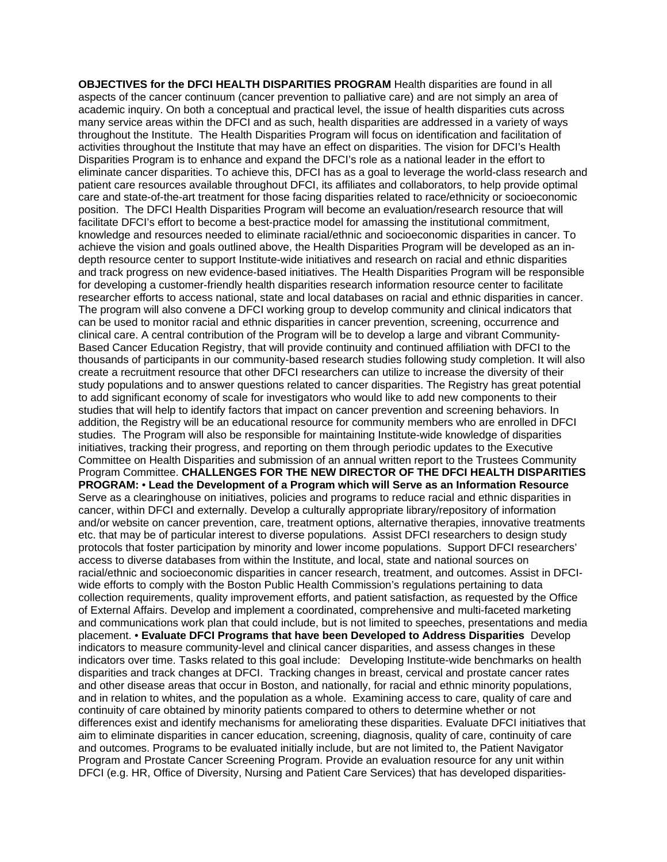**OBJECTIVES for the DFCI HEALTH DISPARITIES PROGRAM Health disparities are found in all** aspects of the cancer continuum (cancer prevention to palliative care) and are not simply an area of academic inquiry. On both a conceptual and practical level, the issue of health disparities cuts across many service areas within the DFCI and as such, health disparities are addressed in a variety of ways throughout the Institute. The Health Disparities Program will focus on identification and facilitation of activities throughout the Institute that may have an effect on disparities. The vision for DFCI's Health Disparities Program is to enhance and expand the DFCI's role as a national leader in the effort to eliminate cancer disparities. To achieve this, DFCI has as a goal to leverage the world-class research and patient care resources available throughout DFCI, its affiliates and collaborators, to help provide optimal care and state-of-the-art treatment for those facing disparities related to race/ethnicity or socioeconomic position. The DFCI Health Disparities Program will become an evaluation/research resource that will facilitate DFCI's effort to become a best-practice model for amassing the institutional commitment, knowledge and resources needed to eliminate racial/ethnic and socioeconomic disparities in cancer. To achieve the vision and goals outlined above, the Health Disparities Program will be developed as an indepth resource center to support Institute-wide initiatives and research on racial and ethnic disparities and track progress on new evidence-based initiatives. The Health Disparities Program will be responsible for developing a customer-friendly health disparities research information resource center to facilitate researcher efforts to access national, state and local databases on racial and ethnic disparities in cancer. The program will also convene a DFCI working group to develop community and clinical indicators that can be used to monitor racial and ethnic disparities in cancer prevention, screening, occurrence and clinical care. A central contribution of the Program will be to develop a large and vibrant Community-Based Cancer Education Registry, that will provide continuity and continued affiliation with DFCI to the thousands of participants in our community-based research studies following study completion. It will also create a recruitment resource that other DFCI researchers can utilize to increase the diversity of their study populations and to answer questions related to cancer disparities. The Registry has great potential to add significant economy of scale for investigators who would like to add new components to their studies that will help to identify factors that impact on cancer prevention and screening behaviors. In addition, the Registry will be an educational resource for community members who are enrolled in DFCI studies. The Program will also be responsible for maintaining Institute-wide knowledge of disparities initiatives, tracking their progress, and reporting on them through periodic updates to the Executive Committee on Health Disparities and submission of an annual written report to the Trustees Community Program Committee. **CHALLENGES FOR THE NEW DIRECTOR OF THE DFCI HEALTH DISPARITIES PROGRAM:** • **Lead the Development of a Program which will Serve as an Information Resource**  Serve as a clearinghouse on initiatives, policies and programs to reduce racial and ethnic disparities in cancer, within DFCI and externally. Develop a culturally appropriate library/repository of information and/or website on cancer prevention, care, treatment options, alternative therapies, innovative treatments etc. that may be of particular interest to diverse populations. Assist DFCI researchers to design study protocols that foster participation by minority and lower income populations. Support DFCI researchers' access to diverse databases from within the Institute, and local, state and national sources on racial/ethnic and socioeconomic disparities in cancer research, treatment, and outcomes. Assist in DFCIwide efforts to comply with the Boston Public Health Commission's regulations pertaining to data collection requirements, quality improvement efforts, and patient satisfaction, as requested by the Office of External Affairs. Develop and implement a coordinated, comprehensive and multi-faceted marketing and communications work plan that could include, but is not limited to speeches, presentations and media placement. • **Evaluate DFCI Programs that have been Developed to Address Disparities** Develop indicators to measure community-level and clinical cancer disparities, and assess changes in these indicators over time. Tasks related to this goal include: Developing Institute-wide benchmarks on health disparities and track changes at DFCI. Tracking changes in breast, cervical and prostate cancer rates and other disease areas that occur in Boston, and nationally, for racial and ethnic minority populations, and in relation to whites, and the population as a whole. Examining access to care, quality of care and continuity of care obtained by minority patients compared to others to determine whether or not differences exist and identify mechanisms for ameliorating these disparities. Evaluate DFCI initiatives that aim to eliminate disparities in cancer education, screening, diagnosis, quality of care, continuity of care and outcomes. Programs to be evaluated initially include, but are not limited to, the Patient Navigator Program and Prostate Cancer Screening Program. Provide an evaluation resource for any unit within DFCI (e.g. HR, Office of Diversity, Nursing and Patient Care Services) that has developed disparities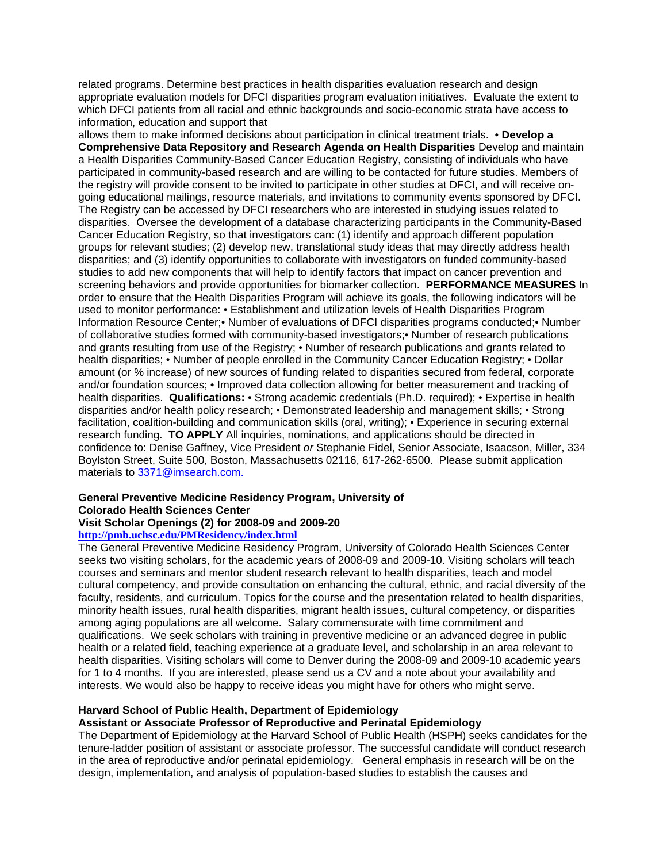related programs. Determine best practices in health disparities evaluation research and design appropriate evaluation models for DFCI disparities program evaluation initiatives. Evaluate the extent to which DFCI patients from all racial and ethnic backgrounds and socio-economic strata have access to information, education and support that

allows them to make informed decisions about participation in clinical treatment trials. • **Develop a Comprehensive Data Repository and Research Agenda on Health Disparities** Develop and maintain a Health Disparities Community-Based Cancer Education Registry, consisting of individuals who have participated in community-based research and are willing to be contacted for future studies. Members of the registry will provide consent to be invited to participate in other studies at DFCI, and will receive ongoing educational mailings, resource materials, and invitations to community events sponsored by DFCI. The Registry can be accessed by DFCI researchers who are interested in studying issues related to disparities. Oversee the development of a database characterizing participants in the Community-Based Cancer Education Registry, so that investigators can: (1) identify and approach different population groups for relevant studies; (2) develop new, translational study ideas that may directly address health disparities; and (3) identify opportunities to collaborate with investigators on funded community-based studies to add new components that will help to identify factors that impact on cancer prevention and screening behaviors and provide opportunities for biomarker collection. **PERFORMANCE MEASURES** In order to ensure that the Health Disparities Program will achieve its goals, the following indicators will be used to monitor performance: • Establishment and utilization levels of Health Disparities Program Information Resource Center;• Number of evaluations of DFCI disparities programs conducted;• Number of collaborative studies formed with community-based investigators;• Number of research publications and grants resulting from use of the Registry; • Number of research publications and grants related to health disparities; • Number of people enrolled in the Community Cancer Education Registry; • Dollar amount (or % increase) of new sources of funding related to disparities secured from federal, corporate and/or foundation sources; • Improved data collection allowing for better measurement and tracking of health disparities. **Qualifications:** • Strong academic credentials (Ph.D. required); • Expertise in health disparities and/or health policy research; • Demonstrated leadership and management skills; • Strong facilitation, coalition-building and communication skills (oral, writing); • Experience in securing external research funding. **TO APPLY** All inquiries, nominations, and applications should be directed in confidence to: Denise Gaffney, Vice President *or* Stephanie Fidel, Senior Associate, Isaacson, Miller, 334 Boylston Street, Suite 500, Boston, Massachusetts 02116, 617-262-6500. Please submit application materials to 3371@imsearch.com.

#### **General Preventive Medicine Residency Program, University of Colorado Health Sciences Center Visit Scholar Openings (2) for 2008-09 and 2009-20**

# **http://pmb.uchsc.edu/PMResidency/index.html**

The General Preventive Medicine Residency Program, University of Colorado Health Sciences Center seeks two visiting scholars, for the academic years of 2008-09 and 2009-10. Visiting scholars will teach courses and seminars and mentor student research relevant to health disparities, teach and model cultural competency, and provide consultation on enhancing the cultural, ethnic, and racial diversity of the faculty, residents, and curriculum. Topics for the course and the presentation related to health disparities, minority health issues, rural health disparities, migrant health issues, cultural competency, or disparities among aging populations are all welcome. Salary commensurate with time commitment and qualifications. We seek scholars with training in preventive medicine or an advanced degree in public health or a related field, teaching experience at a graduate level, and scholarship in an area relevant to health disparities. Visiting scholars will come to Denver during the 2008-09 and 2009-10 academic years for 1 to 4 months. If you are interested, please send us a CV and a note about your availability and interests. We would also be happy to receive ideas you might have for others who might serve.

# **Harvard School of Public Health, Department of Epidemiology**

# **Assistant or Associate Professor of Reproductive and Perinatal Epidemiology**

The Department of Epidemiology at the Harvard School of Public Health (HSPH) seeks candidates for the tenure-ladder position of assistant or associate professor. The successful candidate will conduct research in the area of reproductive and/or perinatal epidemiology. General emphasis in research will be on the design, implementation, and analysis of population-based studies to establish the causes and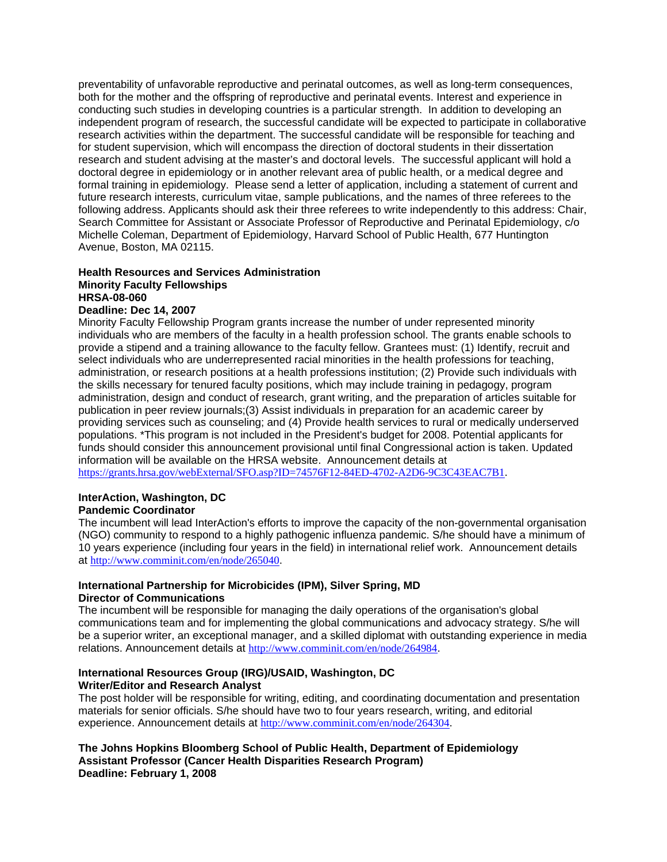preventability of unfavorable reproductive and perinatal outcomes, as well as long-term consequences, both for the mother and the offspring of reproductive and perinatal events. Interest and experience in conducting such studies in developing countries is a particular strength. In addition to developing an independent program of research, the successful candidate will be expected to participate in collaborative research activities within the department. The successful candidate will be responsible for teaching and for student supervision, which will encompass the direction of doctoral students in their dissertation research and student advising at the master's and doctoral levels. The successful applicant will hold a doctoral degree in epidemiology or in another relevant area of public health, or a medical degree and formal training in epidemiology. Please send a letter of application, including a statement of current and future research interests, curriculum vitae, sample publications, and the names of three referees to the following address. Applicants should ask their three referees to write independently to this address: Chair, Search Committee for Assistant or Associate Professor of Reproductive and Perinatal Epidemiology, c/o Michelle Coleman, Department of Epidemiology, Harvard School of Public Health, 677 Huntington Avenue, Boston, MA 02115.

# **Health Resources and Services Administration Minority Faculty Fellowships HRSA-08-060**

# **Deadline: Dec 14, 2007**

Minority Faculty Fellowship Program grants increase the number of under represented minority individuals who are members of the faculty in a health profession school. The grants enable schools to provide a stipend and a training allowance to the faculty fellow. Grantees must: (1) Identify, recruit and select individuals who are underrepresented racial minorities in the health professions for teaching, administration, or research positions at a health professions institution; (2) Provide such individuals with the skills necessary for tenured faculty positions, which may include training in pedagogy, program administration, design and conduct of research, grant writing, and the preparation of articles suitable for publication in peer review journals;(3) Assist individuals in preparation for an academic career by providing services such as counseling; and (4) Provide health services to rural or medically underserved populations. \*This program is not included in the President's budget for 2008. Potential applicants for funds should consider this announcement provisional until final Congressional action is taken. Updated information will be available on the HRSA website. Announcement details at https://grants.hrsa.gov/webExternal/SFO.asp?ID=74576F12-84ED-4702-A2D6-9C3C43EAC7B1.

# **InterAction, Washington, DC**

# **Pandemic Coordinator**

The incumbent will lead InterAction's efforts to improve the capacity of the non-governmental organisation (NGO) community to respond to a highly pathogenic influenza pandemic. S/he should have a minimum of 10 years experience (including four years in the field) in international relief work. Announcement details at http://www.comminit.com/en/node/265040.

# **International Partnership for Microbicides (IPM), Silver Spring, MD Director of Communications**

The incumbent will be responsible for managing the daily operations of the organisation's global communications team and for implementing the global communications and advocacy strategy. S/he will be a superior writer, an exceptional manager, and a skilled diplomat with outstanding experience in media relations. Announcement details at http://www.comminit.com/en/node/264984.

# **International Resources Group (IRG)/USAID, Washington, DC Writer/Editor and Research Analyst**

The post holder will be responsible for writing, editing, and coordinating documentation and presentation materials for senior officials. S/he should have two to four years research, writing, and editorial experience. Announcement details at http://www.comminit.com/en/node/264304.

**The Johns Hopkins Bloomberg School of Public Health, Department of Epidemiology Assistant Professor (Cancer Health Disparities Research Program) Deadline: February 1, 2008**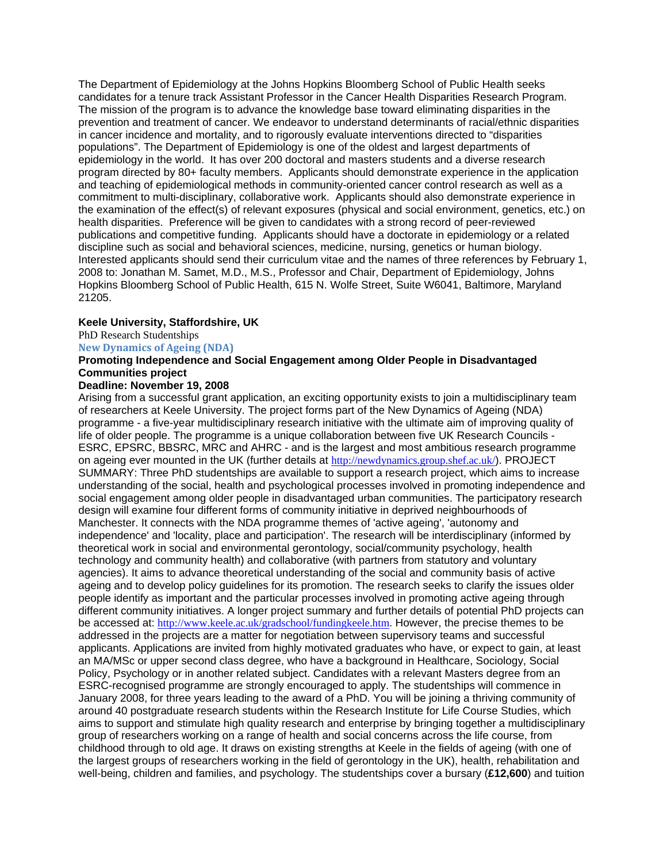The Department of Epidemiology at the Johns Hopkins Bloomberg School of Public Health seeks candidates for a tenure track Assistant Professor in the Cancer Health Disparities Research Program. The mission of the program is to advance the knowledge base toward eliminating disparities in the prevention and treatment of cancer. We endeavor to understand determinants of racial/ethnic disparities in cancer incidence and mortality, and to rigorously evaluate interventions directed to "disparities populations". The Department of Epidemiology is one of the oldest and largest departments of epidemiology in the world. It has over 200 doctoral and masters students and a diverse research program directed by 80+ faculty members. Applicants should demonstrate experience in the application and teaching of epidemiological methods in community-oriented cancer control research as well as a commitment to multi-disciplinary, collaborative work. Applicants should also demonstrate experience in the examination of the effect(s) of relevant exposures (physical and social environment, genetics, etc.) on health disparities. Preference will be given to candidates with a strong record of peer-reviewed publications and competitive funding. Applicants should have a doctorate in epidemiology or a related discipline such as social and behavioral sciences, medicine, nursing, genetics or human biology. Interested applicants should send their curriculum vitae and the names of three references by February 1, 2008 to: Jonathan M. Samet, M.D., M.S., Professor and Chair, Department of Epidemiology, Johns Hopkins Bloomberg School of Public Health, 615 N. Wolfe Street, Suite W6041, Baltimore, Maryland 21205.

# **Keele University, Staffordshire, UK**

PhD Research Studentships

#### **New Dynamics of Ageing (NDA)**

# **Promoting Independence and Social Engagement among Older People in Disadvantaged Communities project**

# **Deadline: November 19, 2008**

Arising from a successful grant application, an exciting opportunity exists to join a multidisciplinary team of researchers at Keele University. The project forms part of the New Dynamics of Ageing (NDA) programme - a five-year multidisciplinary research initiative with the ultimate aim of improving quality of life of older people. The programme is a unique collaboration between five UK Research Councils - ESRC, EPSRC, BBSRC, MRC and AHRC - and is the largest and most ambitious research programme on ageing ever mounted in the UK (further details at http://newdynamics.group.shef.ac.uk/). PROJECT SUMMARY: Three PhD studentships are available to support a research project, which aims to increase understanding of the social, health and psychological processes involved in promoting independence and social engagement among older people in disadvantaged urban communities. The participatory research design will examine four different forms of community initiative in deprived neighbourhoods of Manchester. It connects with the NDA programme themes of 'active ageing', 'autonomy and independence' and 'locality, place and participation'. The research will be interdisciplinary (informed by theoretical work in social and environmental gerontology, social/community psychology, health technology and community health) and collaborative (with partners from statutory and voluntary agencies). It aims to advance theoretical understanding of the social and community basis of active ageing and to develop policy guidelines for its promotion. The research seeks to clarify the issues older people identify as important and the particular processes involved in promoting active ageing through different community initiatives. A longer project summary and further details of potential PhD projects can be accessed at: http://www.keele.ac.uk/gradschool/fundingkeele.htm. However, the precise themes to be addressed in the projects are a matter for negotiation between supervisory teams and successful applicants. Applications are invited from highly motivated graduates who have, or expect to gain, at least an MA/MSc or upper second class degree, who have a background in Healthcare, Sociology, Social Policy, Psychology or in another related subject. Candidates with a relevant Masters degree from an ESRC-recognised programme are strongly encouraged to apply. The studentships will commence in January 2008, for three years leading to the award of a PhD. You will be joining a thriving community of around 40 postgraduate research students within the Research Institute for Life Course Studies, which aims to support and stimulate high quality research and enterprise by bringing together a multidisciplinary group of researchers working on a range of health and social concerns across the life course, from childhood through to old age. It draws on existing strengths at Keele in the fields of ageing (with one of the largest groups of researchers working in the field of gerontology in the UK), health, rehabilitation and well-being, children and families, and psychology. The studentships cover a bursary (**£12,600**) and tuition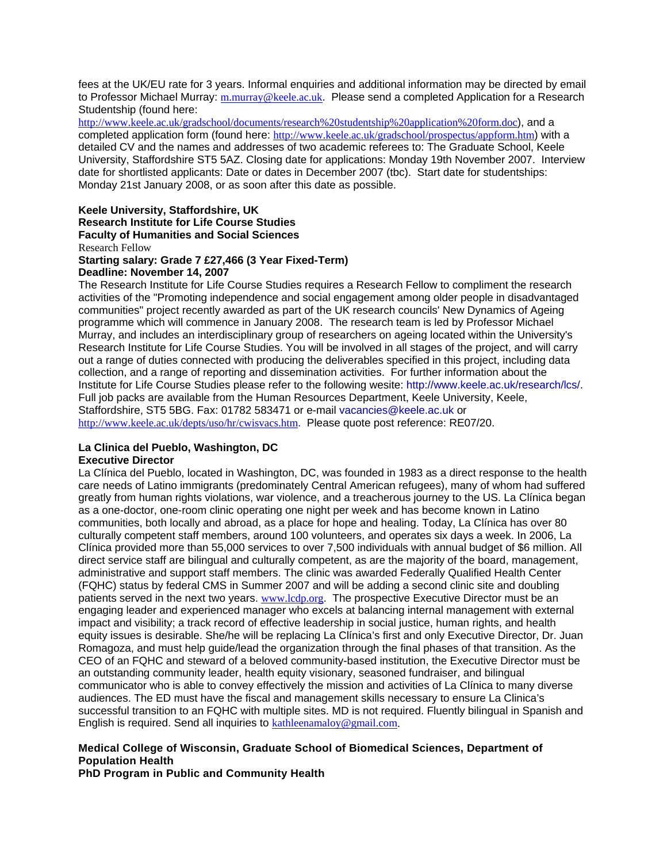fees at the UK/EU rate for 3 years. Informal enquiries and additional information may be directed by email to Professor Michael Murray: m.murray@keele.ac.uk. Please send a completed Application for a Research Studentship (found here:

http://www.keele.ac.uk/gradschool/documents/research%20studentship%20application%20form.doc), and a completed application form (found here: http://www.keele.ac.uk/gradschool/prospectus/appform.htm) with a detailed CV and the names and addresses of two academic referees to: The Graduate School, Keele University, Staffordshire ST5 5AZ. Closing date for applications: Monday 19th November 2007. Interview date for shortlisted applicants: Date or dates in December 2007 (tbc). Start date for studentships: Monday 21st January 2008, or as soon after this date as possible.

**Keele University, Staffordshire, UK Research Institute for Life Course Studies Faculty of Humanities and Social Sciences**  Research Fellow **Starting salary: Grade 7 £27,466 (3 Year Fixed-Term)**

# **Deadline: November 14, 2007**

The Research Institute for Life Course Studies requires a Research Fellow to compliment the research activities of the "Promoting independence and social engagement among older people in disadvantaged communities" project recently awarded as part of the UK research councils' New Dynamics of Ageing programme which will commence in January 2008. The research team is led by Professor Michael Murray, and includes an interdisciplinary group of researchers on ageing located within the University's Research Institute for Life Course Studies. You will be involved in all stages of the project, and will carry out a range of duties connected with producing the deliverables specified in this project, including data collection, and a range of reporting and dissemination activities. For further information about the Institute for Life Course Studies please refer to the following wesite: http://www.keele.ac.uk/research/lcs/. Full job packs are available from the Human Resources Department, Keele University, Keele, Staffordshire, ST5 5BG. Fax: 01782 583471 or e-mail vacancies@keele.ac.uk or http://www.keele.ac.uk/depts/uso/hr/cwisvacs.htm. Please quote post reference: RE07/20.

# **La Clinica del Pueblo, Washington, DC**

# **Executive Director**

La Clínica del Pueblo, located in Washington, DC, was founded in 1983 as a direct response to the health care needs of Latino immigrants (predominately Central American refugees), many of whom had suffered greatly from human rights violations, war violence, and a treacherous journey to the US. La Clínica began as a one-doctor, one-room clinic operating one night per week and has become known in Latino communities, both locally and abroad, as a place for hope and healing. Today, La Clínica has over 80 culturally competent staff members, around 100 volunteers, and operates six days a week. In 2006, La Clínica provided more than 55,000 services to over 7,500 individuals with annual budget of \$6 million. All direct service staff are bilingual and culturally competent, as are the majority of the board, management, administrative and support staff members. The clinic was awarded Federally Qualified Health Center (FQHC) status by federal CMS in Summer 2007 and will be adding a second clinic site and doubling patients served in the next two years. www.lcdp.org. The prospective Executive Director must be an engaging leader and experienced manager who excels at balancing internal management with external impact and visibility; a track record of effective leadership in social justice, human rights, and health equity issues is desirable. She/he will be replacing La Clínica's first and only Executive Director, Dr. Juan Romagoza, and must help guide/lead the organization through the final phases of that transition. As the CEO of an FQHC and steward of a beloved community-based institution, the Executive Director must be an outstanding community leader, health equity visionary, seasoned fundraiser, and bilingual communicator who is able to convey effectively the mission and activities of La Clínica to many diverse audiences. The ED must have the fiscal and management skills necessary to ensure La Clinica's successful transition to an FQHC with multiple sites. MD is not required. Fluently bilingual in Spanish and English is required. Send all inquiries to kathleenamaloy@gmail.com.

# **Medical College of Wisconsin, Graduate School of Biomedical Sciences, Department of Population Health**

**PhD Program in Public and Community Health**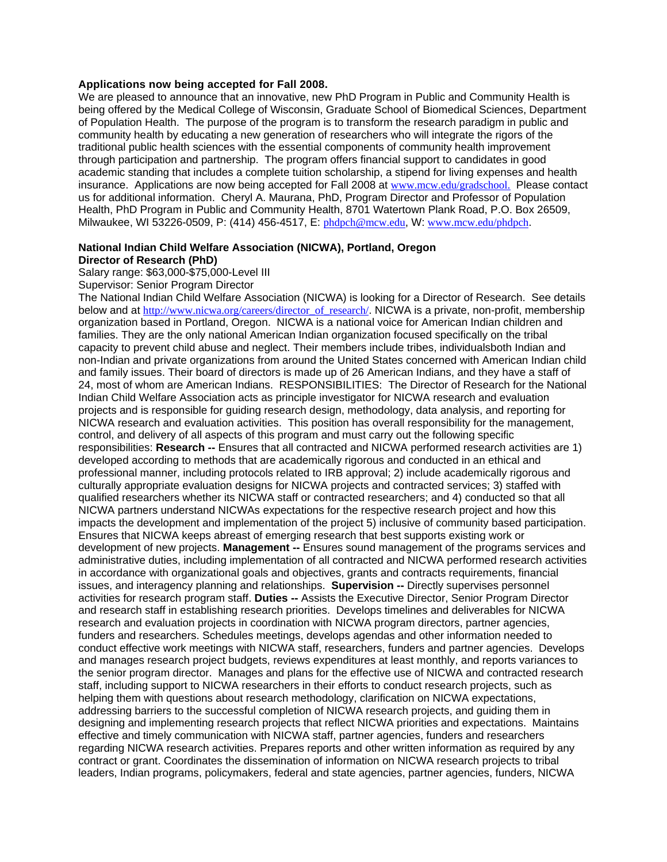#### **Applications now being accepted for Fall 2008.**

We are pleased to announce that an innovative, new PhD Program in Public and Community Health is being offered by the Medical College of Wisconsin, Graduate School of Biomedical Sciences, Department of Population Health. The purpose of the program is to transform the research paradigm in public and community health by educating a new generation of researchers who will integrate the rigors of the traditional public health sciences with the essential components of community health improvement through participation and partnership. The program offers financial support to candidates in good academic standing that includes a complete tuition scholarship, a stipend for living expenses and health insurance. Applications are now being accepted for Fall 2008 at www.mcw.edu/gradschool. Please contact us for additional information. Cheryl A. Maurana, PhD, Program Director and Professor of Population Health, PhD Program in Public and Community Health, 8701 Watertown Plank Road, P.O. Box 26509, Milwaukee, WI 53226-0509, P: (414) 456-4517, E: phdpch@mcw.edu, W: www.mcw.edu/phdpch.

# **National Indian Child Welfare Association (NICWA), Portland, Oregon Director of Research (PhD)**

Salary range: \$63,000-\$75,000-Level III

Supervisor: Senior Program Director

The National Indian Child Welfare Association (NICWA) is looking for a Director of Research. See details below and at http://www.nicwa.org/careers/director\_of\_research/. NICWA is a private, non-profit, membership organization based in Portland, Oregon. NICWA is a national voice for American Indian children and families. They are the only national American Indian organization focused specifically on the tribal capacity to prevent child abuse and neglect. Their members include tribes, individualsboth Indian and non-Indian and private organizations from around the United States concerned with American Indian child and family issues. Their board of directors is made up of 26 American Indians, and they have a staff of 24, most of whom are American Indians. RESPONSIBILITIES: The Director of Research for the National Indian Child Welfare Association acts as principle investigator for NICWA research and evaluation projects and is responsible for guiding research design, methodology, data analysis, and reporting for NICWA research and evaluation activities. This position has overall responsibility for the management, control, and delivery of all aspects of this program and must carry out the following specific responsibilities: **Research --** Ensures that all contracted and NICWA performed research activities are 1) developed according to methods that are academically rigorous and conducted in an ethical and professional manner, including protocols related to IRB approval; 2) include academically rigorous and culturally appropriate evaluation designs for NICWA projects and contracted services; 3) staffed with qualified researchers whether its NICWA staff or contracted researchers; and 4) conducted so that all NICWA partners understand NICWAs expectations for the respective research project and how this impacts the development and implementation of the project 5) inclusive of community based participation. Ensures that NICWA keeps abreast of emerging research that best supports existing work or development of new projects. **Management --** Ensures sound management of the programs services and administrative duties, including implementation of all contracted and NICWA performed research activities in accordance with organizational goals and objectives, grants and contracts requirements, financial issues, and interagency planning and relationships. **Supervision --** Directly supervises personnel activities for research program staff. **Duties --** Assists the Executive Director, Senior Program Director and research staff in establishing research priorities. Develops timelines and deliverables for NICWA research and evaluation projects in coordination with NICWA program directors, partner agencies, funders and researchers. Schedules meetings, develops agendas and other information needed to conduct effective work meetings with NICWA staff, researchers, funders and partner agencies. Develops and manages research project budgets, reviews expenditures at least monthly, and reports variances to the senior program director. Manages and plans for the effective use of NICWA and contracted research staff, including support to NICWA researchers in their efforts to conduct research projects, such as helping them with questions about research methodology, clarification on NICWA expectations, addressing barriers to the successful completion of NICWA research projects, and guiding them in designing and implementing research projects that reflect NICWA priorities and expectations. Maintains effective and timely communication with NICWA staff, partner agencies, funders and researchers regarding NICWA research activities. Prepares reports and other written information as required by any contract or grant. Coordinates the dissemination of information on NICWA research projects to tribal leaders, Indian programs, policymakers, federal and state agencies, partner agencies, funders, NICWA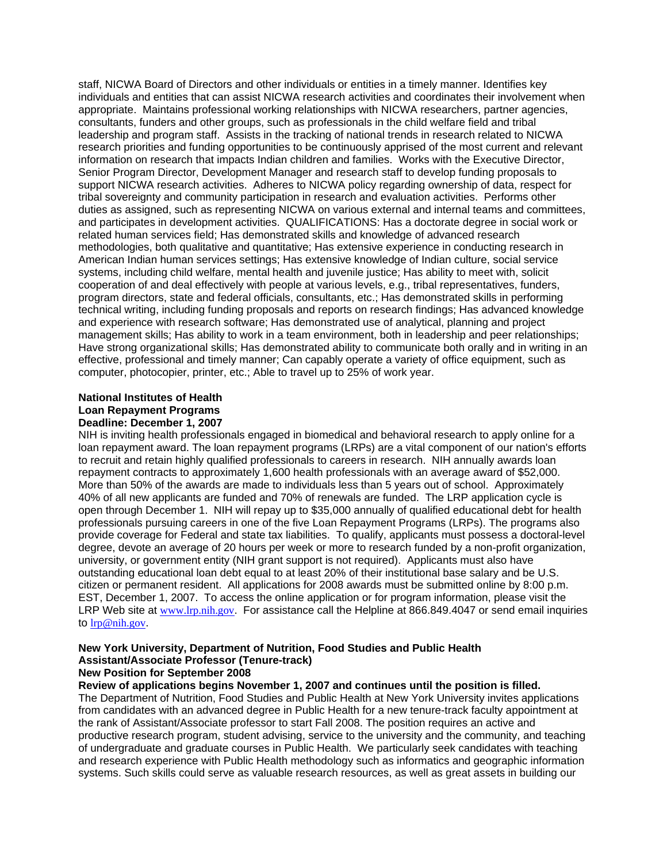staff, NICWA Board of Directors and other individuals or entities in a timely manner. Identifies key individuals and entities that can assist NICWA research activities and coordinates their involvement when appropriate. Maintains professional working relationships with NICWA researchers, partner agencies, consultants, funders and other groups, such as professionals in the child welfare field and tribal leadership and program staff. Assists in the tracking of national trends in research related to NICWA research priorities and funding opportunities to be continuously apprised of the most current and relevant information on research that impacts Indian children and families. Works with the Executive Director, Senior Program Director, Development Manager and research staff to develop funding proposals to support NICWA research activities. Adheres to NICWA policy regarding ownership of data, respect for tribal sovereignty and community participation in research and evaluation activities. Performs other duties as assigned, such as representing NICWA on various external and internal teams and committees, and participates in development activities. QUALIFICATIONS: Has a doctorate degree in social work or related human services field; Has demonstrated skills and knowledge of advanced research methodologies, both qualitative and quantitative; Has extensive experience in conducting research in American Indian human services settings; Has extensive knowledge of Indian culture, social service systems, including child welfare, mental health and juvenile justice; Has ability to meet with, solicit cooperation of and deal effectively with people at various levels, e.g., tribal representatives, funders, program directors, state and federal officials, consultants, etc.; Has demonstrated skills in performing technical writing, including funding proposals and reports on research findings; Has advanced knowledge and experience with research software; Has demonstrated use of analytical, planning and project management skills; Has ability to work in a team environment, both in leadership and peer relationships; Have strong organizational skills; Has demonstrated ability to communicate both orally and in writing in an effective, professional and timely manner; Can capably operate a variety of office equipment, such as computer, photocopier, printer, etc.; Able to travel up to 25% of work year.

# **National Institutes of Health Loan Repayment Programs Deadline: December 1, 2007**

NIH is inviting health professionals engaged in biomedical and behavioral research to apply online for a loan repayment award. The loan repayment programs (LRPs) are a vital component of our nation's efforts to recruit and retain highly qualified professionals to careers in research. NIH annually awards loan repayment contracts to approximately 1,600 health professionals with an average award of \$52,000. More than 50% of the awards are made to individuals less than 5 years out of school. Approximately 40% of all new applicants are funded and 70% of renewals are funded. The LRP application cycle is open through December 1. NIH will repay up to \$35,000 annually of qualified educational debt for health professionals pursuing careers in one of the five Loan Repayment Programs (LRPs). The programs also provide coverage for Federal and state tax liabilities. To qualify, applicants must possess a doctoral-level degree, devote an average of 20 hours per week or more to research funded by a non-profit organization, university, or government entity (NIH grant support is not required). Applicants must also have outstanding educational loan debt equal to at least 20% of their institutional base salary and be U.S. citizen or permanent resident. All applications for 2008 awards must be submitted online by 8:00 p.m. EST, December 1, 2007. To access the online application or for program information, please visit the LRP Web site at www.lrp.nih.gov. For assistance call the Helpline at 866.849.4047 or send email inquiries to lrp@nih.gov.

#### **New York University, Department of Nutrition, Food Studies and Public Health Assistant/Associate Professor (Tenure-track) New Position for September 2008**

# **Review of applications begins November 1, 2007 and continues until the position is filled.**

The Department of Nutrition, Food Studies and Public Health at New York University invites applications from candidates with an advanced degree in Public Health for a new tenure-track faculty appointment at the rank of Assistant/Associate professor to start Fall 2008. The position requires an active and productive research program, student advising, service to the university and the community, and teaching of undergraduate and graduate courses in Public Health. We particularly seek candidates with teaching and research experience with Public Health methodology such as informatics and geographic information systems. Such skills could serve as valuable research resources, as well as great assets in building our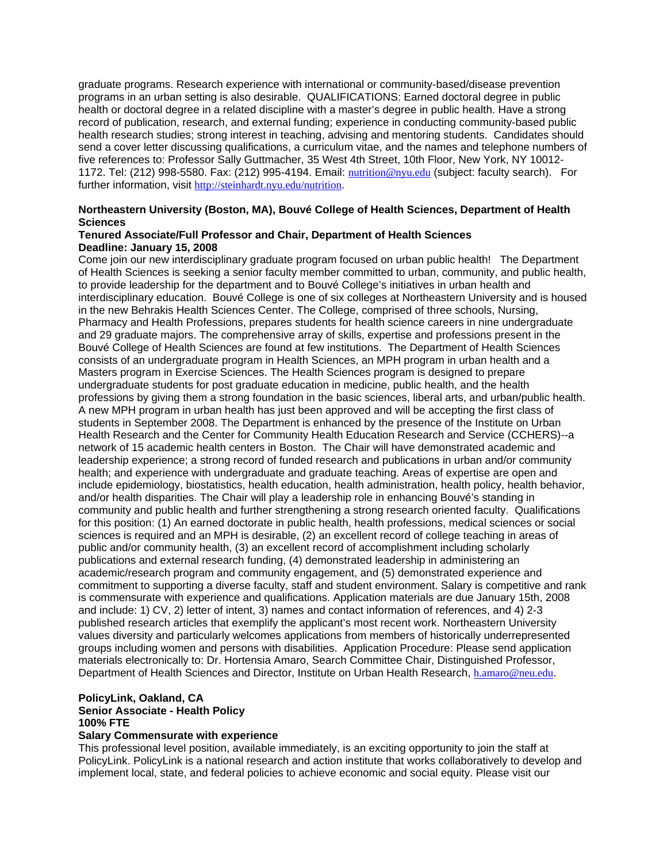graduate programs. Research experience with international or community-based/disease prevention programs in an urban setting is also desirable. QUALIFICATIONS: Earned doctoral degree in public health or doctoral degree in a related discipline with a master's degree in public health. Have a strong record of publication, research, and external funding; experience in conducting community-based public health research studies; strong interest in teaching, advising and mentoring students. Candidates should send a cover letter discussing qualifications, a curriculum vitae, and the names and telephone numbers of five references to: Professor Sally Guttmacher, 35 West 4th Street, 10th Floor, New York, NY 10012- 1172. Tel: (212) 998-5580. Fax: (212) 995-4194. Email: nutrition@nyu.edu (subject: faculty search). For further information, visit http://steinhardt.nyu.edu/nutrition.

# **Northeastern University (Boston, MA), Bouvé College of Health Sciences, Department of Health Sciences**

# **Tenured Associate/Full Professor and Chair, Department of Health Sciences Deadline: January 15, 2008**

Come join our new interdisciplinary graduate program focused on urban public health! The Department of Health Sciences is seeking a senior faculty member committed to urban, community, and public health, to provide leadership for the department and to Bouvé College's initiatives in urban health and interdisciplinary education. Bouvé College is one of six colleges at Northeastern University and is housed in the new Behrakis Health Sciences Center. The College, comprised of three schools, Nursing, Pharmacy and Health Professions, prepares students for health science careers in nine undergraduate and 29 graduate majors. The comprehensive array of skills, expertise and professions present in the Bouvé College of Health Sciences are found at few institutions. The Department of Health Sciences consists of an undergraduate program in Health Sciences, an MPH program in urban health and a Masters program in Exercise Sciences. The Health Sciences program is designed to prepare undergraduate students for post graduate education in medicine, public health, and the health professions by giving them a strong foundation in the basic sciences, liberal arts, and urban/public health. A new MPH program in urban health has just been approved and will be accepting the first class of students in September 2008. The Department is enhanced by the presence of the Institute on Urban Health Research and the Center for Community Health Education Research and Service (CCHERS)--a network of 15 academic health centers in Boston. The Chair will have demonstrated academic and leadership experience; a strong record of funded research and publications in urban and/or community health; and experience with undergraduate and graduate teaching. Areas of expertise are open and include epidemiology, biostatistics, health education, health administration, health policy, health behavior, and/or health disparities. The Chair will play a leadership role in enhancing Bouvé's standing in community and public health and further strengthening a strong research oriented faculty. Qualifications for this position: (1) An earned doctorate in public health, health professions, medical sciences or social sciences is required and an MPH is desirable, (2) an excellent record of college teaching in areas of public and/or community health, (3) an excellent record of accomplishment including scholarly publications and external research funding, (4) demonstrated leadership in administering an academic/research program and community engagement, and (5) demonstrated experience and commitment to supporting a diverse faculty, staff and student environment. Salary is competitive and rank is commensurate with experience and qualifications. Application materials are due January 15th, 2008 and include: 1) CV, 2) letter of intent, 3) names and contact information of references, and 4) 2-3 published research articles that exemplify the applicant's most recent work. Northeastern University values diversity and particularly welcomes applications from members of historically underrepresented groups including women and persons with disabilities. Application Procedure: Please send application materials electronically to: Dr. Hortensia Amaro, Search Committee Chair, Distinguished Professor, Department of Health Sciences and Director, Institute on Urban Health Research, h.amaro@neu.edu.

# **PolicyLink, Oakland, CA Senior Associate - Health Policy 100% FTE**

#### **Salary Commensurate with experience**

This professional level position, available immediately, is an exciting opportunity to join the staff at PolicyLink. PolicyLink is a national research and action institute that works collaboratively to develop and implement local, state, and federal policies to achieve economic and social equity. Please visit our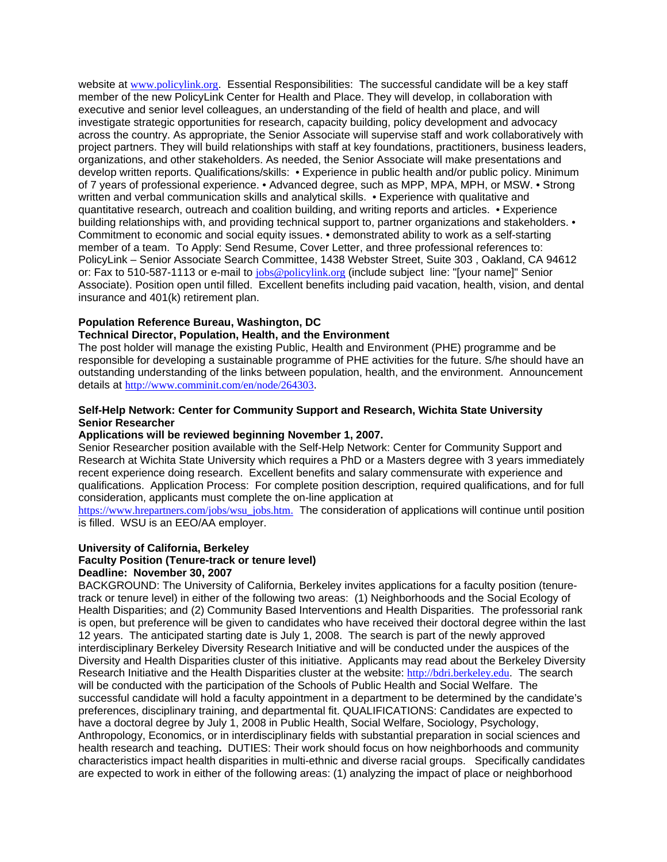website at www.policylink.org. Essential Responsibilities: The successful candidate will be a key staff member of the new PolicyLink Center for Health and Place. They will develop, in collaboration with executive and senior level colleagues, an understanding of the field of health and place, and will investigate strategic opportunities for research, capacity building, policy development and advocacy across the country. As appropriate, the Senior Associate will supervise staff and work collaboratively with project partners. They will build relationships with staff at key foundations, practitioners, business leaders, organizations, and other stakeholders. As needed, the Senior Associate will make presentations and develop written reports. Qualifications/skills: • Experience in public health and/or public policy. Minimum of 7 years of professional experience. • Advanced degree, such as MPP, MPA, MPH, or MSW. • Strong written and verbal communication skills and analytical skills. • Experience with qualitative and quantitative research, outreach and coalition building, and writing reports and articles. • Experience building relationships with, and providing technical support to, partner organizations and stakeholders. • Commitment to economic and social equity issues. • demonstrated ability to work as a self-starting member of a team. To Apply: Send Resume, Cover Letter, and three professional references to: PolicyLink – Senior Associate Search Committee, 1438 Webster Street, Suite 303 , Oakland, CA 94612 or: Fax to 510-587-1113 or e-mail to jobs@policylink.org (include subject line: "[your name]" Senior Associate). Position open until filled. Excellent benefits including paid vacation, health, vision, and dental insurance and 401(k) retirement plan.

# **Population Reference Bureau, Washington, DC**

# **Technical Director, Population, Health, and the Environment**

The post holder will manage the existing Public, Health and Environment (PHE) programme and be responsible for developing a sustainable programme of PHE activities for the future. S/he should have an outstanding understanding of the links between population, health, and the environment. Announcement details at http://www.comminit.com/en/node/264303.

# **Self-Help Network: Center for Community Support and Research, Wichita State University Senior Researcher**

# **Applications will be reviewed beginning November 1, 2007.**

Senior Researcher position available with the Self-Help Network: Center for Community Support and Research at Wichita State University which requires a PhD or a Masters degree with 3 years immediately recent experience doing research. Excellent benefits and salary commensurate with experience and qualifications. Application Process: For complete position description, required qualifications, and for full consideration, applicants must complete the on-line application at

https://www.hrepartners.com/jobs/wsu\_jobs.htm. The consideration of applications will continue until position is filled. WSU is an EEO/AA employer.

# **University of California, Berkeley**

# **Faculty Position (Tenure-track or tenure level)**

# **Deadline: November 30, 2007**

BACKGROUND: The University of California, Berkeley invites applications for a faculty position (tenuretrack or tenure level) in either of the following two areas: (1) Neighborhoods and the Social Ecology of Health Disparities; and (2) Community Based Interventions and Health Disparities. The professorial rank is open, but preference will be given to candidates who have received their doctoral degree within the last 12 years. The anticipated starting date is July 1, 2008. The search is part of the newly approved interdisciplinary Berkeley Diversity Research Initiative and will be conducted under the auspices of the Diversity and Health Disparities cluster of this initiative. Applicants may read about the Berkeley Diversity Research Initiative and the Health Disparities cluster at the website: http://bdri.berkeley.edu. The search will be conducted with the participation of the Schools of Public Health and Social Welfare. The successful candidate will hold a faculty appointment in a department to be determined by the candidate's preferences, disciplinary training, and departmental fit. QUALIFICATIONS: Candidates are expected to have a doctoral degree by July 1, 2008 in Public Health, Social Welfare, Sociology, Psychology, Anthropology, Economics, or in interdisciplinary fields with substantial preparation in social sciences and health research and teaching**.** DUTIES: Their work should focus on how neighborhoods and community characteristics impact health disparities in multi-ethnic and diverse racial groups. Specifically candidates are expected to work in either of the following areas: (1) analyzing the impact of place or neighborhood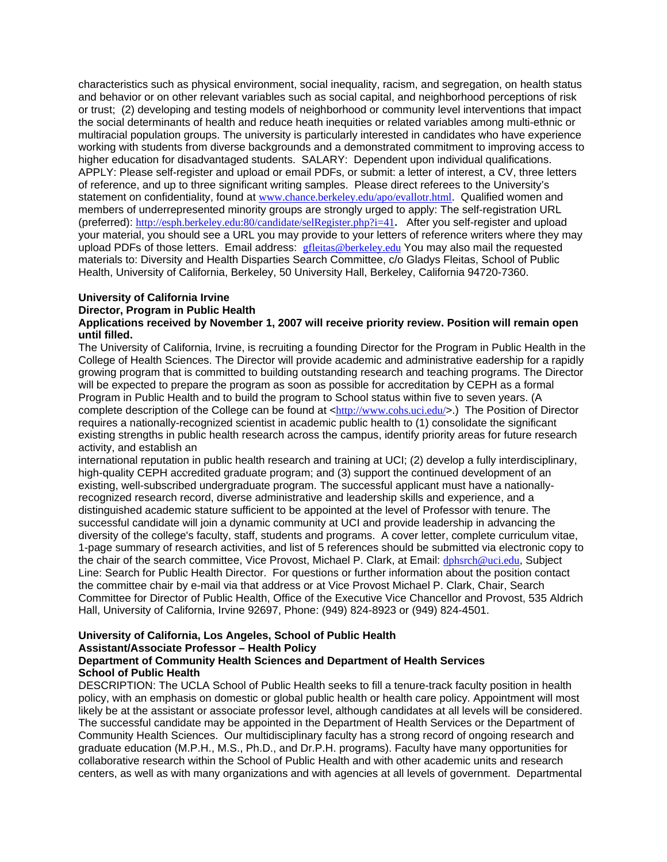characteristics such as physical environment, social inequality, racism, and segregation, on health status and behavior or on other relevant variables such as social capital, and neighborhood perceptions of risk or trust; (2) developing and testing models of neighborhood or community level interventions that impact the social determinants of health and reduce heath inequities or related variables among multi-ethnic or multiracial population groups. The university is particularly interested in candidates who have experience working with students from diverse backgrounds and a demonstrated commitment to improving access to higher education for disadvantaged students. SALARY: Dependent upon individual qualifications. APPLY: Please self-register and upload or email PDFs, or submit: a letter of interest, a CV, three letters of reference, and up to three significant writing samples. Please direct referees to the University's statement on confidentiality, found at www.chance.berkeley.edu/apo/evallotr.html. Qualified women and members of underrepresented minority groups are strongly urged to apply: The self-registration URL (preferred): http://esph.berkeley.edu:80/candidate/selRegister.php?i=41**.** After you self-register and upload your material, you should see a URL you may provide to your letters of reference writers where they may upload PDFs of those letters. Email address: **gfleitas@berkeley.edu** You may also mail the requested materials to: Diversity and Health Disparties Search Committee, c/o Gladys Fleitas, School of Public Health, University of California, Berkeley, 50 University Hall, Berkeley, California 94720-7360.

# **University of California Irvine**

# **Director, Program in Public Health**

#### **Applications received by November 1, 2007 will receive priority review. Position will remain open until filled.**

The University of California, Irvine, is recruiting a founding Director for the Program in Public Health in the College of Health Sciences. The Director will provide academic and administrative eadership for a rapidly growing program that is committed to building outstanding research and teaching programs. The Director will be expected to prepare the program as soon as possible for accreditation by CEPH as a formal Program in Public Health and to build the program to School status within five to seven years. (A complete description of the College can be found at <http://www.cohs.uci.edu/>.) The Position of Director requires a nationally-recognized scientist in academic public health to (1) consolidate the significant existing strengths in public health research across the campus, identify priority areas for future research activity, and establish an

international reputation in public health research and training at UCI; (2) develop a fully interdisciplinary, high-quality CEPH accredited graduate program; and (3) support the continued development of an existing, well-subscribed undergraduate program. The successful applicant must have a nationallyrecognized research record, diverse administrative and leadership skills and experience, and a distinguished academic stature sufficient to be appointed at the level of Professor with tenure. The successful candidate will join a dynamic community at UCI and provide leadership in advancing the diversity of the college's faculty, staff, students and programs. A cover letter, complete curriculum vitae, 1-page summary of research activities, and list of 5 references should be submitted via electronic copy to the chair of the search committee, Vice Provost, Michael P. Clark, at Email: dphsrch@uci.edu, Subject Line: Search for Public Health Director. For questions or further information about the position contact the committee chair by e-mail via that address or at Vice Provost Michael P. Clark, Chair, Search Committee for Director of Public Health, Office of the Executive Vice Chancellor and Provost, 535 Aldrich Hall, University of California, Irvine 92697, Phone: (949) 824-8923 or (949) 824-4501.

#### **University of California, Los Angeles, School of Public Health Assistant/Associate Professor – Health Policy Department of Community Health Sciences and Department of Health Services School of Public Health**

DESCRIPTION: The UCLA School of Public Health seeks to fill a tenure-track faculty position in health policy, with an emphasis on domestic or global public health or health care policy. Appointment will most likely be at the assistant or associate professor level, although candidates at all levels will be considered. The successful candidate may be appointed in the Department of Health Services or the Department of Community Health Sciences. Our multidisciplinary faculty has a strong record of ongoing research and graduate education (M.P.H., M.S., Ph.D., and Dr.P.H. programs). Faculty have many opportunities for collaborative research within the School of Public Health and with other academic units and research centers, as well as with many organizations and with agencies at all levels of government. Departmental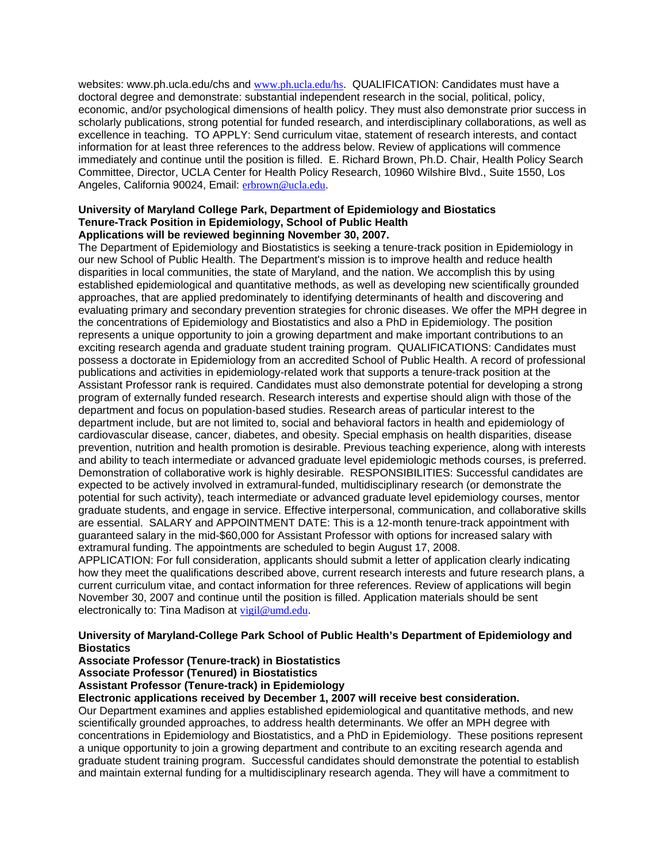websites: www.ph.ucla.edu/chs and www.ph.ucla.edu/hs. QUALIFICATION: Candidates must have a doctoral degree and demonstrate: substantial independent research in the social, political, policy, economic, and/or psychological dimensions of health policy. They must also demonstrate prior success in scholarly publications, strong potential for funded research, and interdisciplinary collaborations, as well as excellence in teaching. TO APPLY: Send curriculum vitae, statement of research interests, and contact information for at least three references to the address below. Review of applications will commence immediately and continue until the position is filled. E. Richard Brown, Ph.D. Chair, Health Policy Search Committee, Director, UCLA Center for Health Policy Research, 10960 Wilshire Blvd., Suite 1550, Los Angeles, California 90024, Email: erbrown@ucla.edu.

#### **University of Maryland College Park, Department of Epidemiology and Biostatics Tenure-Track Position in Epidemiology, School of Public Health Applications will be reviewed beginning November 30, 2007.**

The Department of Epidemiology and Biostatistics is seeking a tenure-track position in Epidemiology in our new School of Public Health. The Department's mission is to improve health and reduce health disparities in local communities, the state of Maryland, and the nation. We accomplish this by using established epidemiological and quantitative methods, as well as developing new scientifically grounded approaches, that are applied predominately to identifying determinants of health and discovering and evaluating primary and secondary prevention strategies for chronic diseases. We offer the MPH degree in the concentrations of Epidemiology and Biostatistics and also a PhD in Epidemiology. The position represents a unique opportunity to join a growing department and make important contributions to an exciting research agenda and graduate student training program. QUALIFICATIONS: Candidates must possess a doctorate in Epidemiology from an accredited School of Public Health. A record of professional publications and activities in epidemiology-related work that supports a tenure-track position at the Assistant Professor rank is required. Candidates must also demonstrate potential for developing a strong program of externally funded research. Research interests and expertise should align with those of the department and focus on population-based studies. Research areas of particular interest to the department include, but are not limited to, social and behavioral factors in health and epidemiology of cardiovascular disease, cancer, diabetes, and obesity. Special emphasis on health disparities, disease prevention, nutrition and health promotion is desirable. Previous teaching experience, along with interests and ability to teach intermediate or advanced graduate level epidemiologic methods courses, is preferred. Demonstration of collaborative work is highly desirable. RESPONSIBILITIES: Successful candidates are expected to be actively involved in extramural-funded, multidisciplinary research (or demonstrate the potential for such activity), teach intermediate or advanced graduate level epidemiology courses, mentor graduate students, and engage in service. Effective interpersonal, communication, and collaborative skills are essential. SALARY and APPOINTMENT DATE: This is a 12-month tenure-track appointment with guaranteed salary in the mid-\$60,000 for Assistant Professor with options for increased salary with extramural funding. The appointments are scheduled to begin August 17, 2008.

APPLICATION: For full consideration, applicants should submit a letter of application clearly indicating how they meet the qualifications described above, current research interests and future research plans, a current curriculum vitae, and contact information for three references. Review of applications will begin November 30, 2007 and continue until the position is filled. Application materials should be sent electronically to: Tina Madison at vigil@umd.edu.

# **University of Maryland-College Park School of Public Health's Department of Epidemiology and Biostatics**

#### **Associate Professor (Tenure-track) in Biostatistics Associate Professor (Tenured) in Biostatistics**

**Assistant Professor (Tenure-track) in Epidemiology** 

# **Electronic applications received by December 1, 2007 will receive best consideration.**

Our Department examines and applies established epidemiological and quantitative methods, and new scientifically grounded approaches, to address health determinants. We offer an MPH degree with concentrations in Epidemiology and Biostatistics, and a PhD in Epidemiology. These positions represent a unique opportunity to join a growing department and contribute to an exciting research agenda and graduate student training program. Successful candidates should demonstrate the potential to establish and maintain external funding for a multidisciplinary research agenda. They will have a commitment to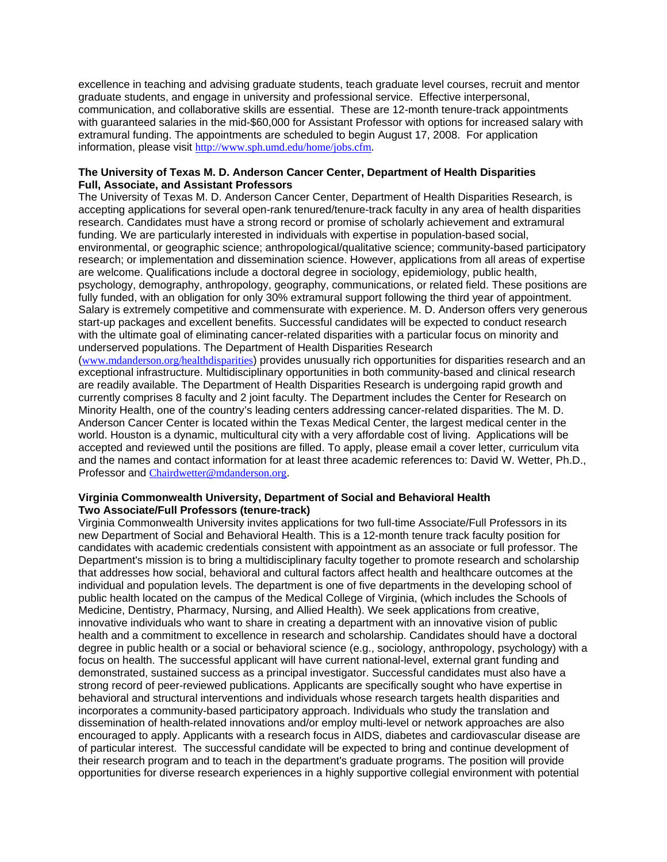excellence in teaching and advising graduate students, teach graduate level courses, recruit and mentor graduate students, and engage in university and professional service. Effective interpersonal, communication, and collaborative skills are essential. These are 12-month tenure-track appointments with guaranteed salaries in the mid-\$60,000 for Assistant Professor with options for increased salary with extramural funding. The appointments are scheduled to begin August 17, 2008. For application information, please visit http://www.sph.umd.edu/home/jobs.cfm.

# **The University of Texas M. D. Anderson Cancer Center, Department of Health Disparities Full, Associate, and Assistant Professors**

The University of Texas M. D. Anderson Cancer Center, Department of Health Disparities Research, is accepting applications for several open-rank tenured/tenure-track faculty in any area of health disparities research. Candidates must have a strong record or promise of scholarly achievement and extramural funding. We are particularly interested in individuals with expertise in population-based social, environmental, or geographic science; anthropological/qualitative science; community-based participatory research; or implementation and dissemination science. However, applications from all areas of expertise are welcome. Qualifications include a doctoral degree in sociology, epidemiology, public health, psychology, demography, anthropology, geography, communications, or related field. These positions are fully funded, with an obligation for only 30% extramural support following the third year of appointment. Salary is extremely competitive and commensurate with experience. M. D. Anderson offers very generous start-up packages and excellent benefits. Successful candidates will be expected to conduct research with the ultimate goal of eliminating cancer-related disparities with a particular focus on minority and underserved populations. The Department of Health Disparities Research

(www.mdanderson.org/healthdisparities) provides unusually rich opportunities for disparities research and an exceptional infrastructure. Multidisciplinary opportunities in both community-based and clinical research are readily available. The Department of Health Disparities Research is undergoing rapid growth and currently comprises 8 faculty and 2 joint faculty. The Department includes the Center for Research on Minority Health, one of the country's leading centers addressing cancer-related disparities. The M. D. Anderson Cancer Center is located within the Texas Medical Center, the largest medical center in the world. Houston is a dynamic, multicultural city with a very affordable cost of living. Applications will be accepted and reviewed until the positions are filled. To apply, please email a cover letter, curriculum vita and the names and contact information for at least three academic references to: David W. Wetter, Ph.D., Professor and Chairdwetter@mdanderson.org.

# **Virginia Commonwealth University, Department of Social and Behavioral Health Two Associate/Full Professors (tenure-track)**

Virginia Commonwealth University invites applications for two full-time Associate/Full Professors in its new Department of Social and Behavioral Health. This is a 12-month tenure track faculty position for candidates with academic credentials consistent with appointment as an associate or full professor. The Department's mission is to bring a multidisciplinary faculty together to promote research and scholarship that addresses how social, behavioral and cultural factors affect health and healthcare outcomes at the individual and population levels. The department is one of five departments in the developing school of public health located on the campus of the Medical College of Virginia, (which includes the Schools of Medicine, Dentistry, Pharmacy, Nursing, and Allied Health). We seek applications from creative, innovative individuals who want to share in creating a department with an innovative vision of public health and a commitment to excellence in research and scholarship. Candidates should have a doctoral degree in public health or a social or behavioral science (e.g., sociology, anthropology, psychology) with a focus on health. The successful applicant will have current national-level, external grant funding and demonstrated, sustained success as a principal investigator. Successful candidates must also have a strong record of peer-reviewed publications. Applicants are specifically sought who have expertise in behavioral and structural interventions and individuals whose research targets health disparities and incorporates a community-based participatory approach. Individuals who study the translation and dissemination of health-related innovations and/or employ multi-level or network approaches are also encouraged to apply. Applicants with a research focus in AIDS, diabetes and cardiovascular disease are of particular interest. The successful candidate will be expected to bring and continue development of their research program and to teach in the department's graduate programs. The position will provide opportunities for diverse research experiences in a highly supportive collegial environment with potential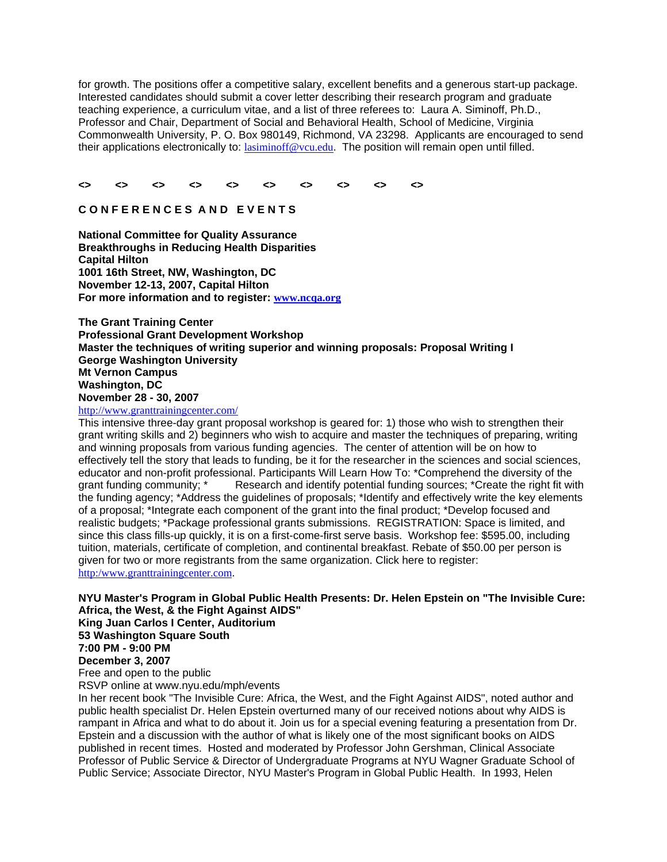for growth. The positions offer a competitive salary, excellent benefits and a generous start-up package. Interested candidates should submit a cover letter describing their research program and graduate teaching experience, a curriculum vitae, and a list of three referees to: Laura A. Siminoff, Ph.D., Professor and Chair, Department of Social and Behavioral Health, School of Medicine, Virginia Commonwealth University, P. O. Box 980149, Richmond, VA 23298. Applicants are encouraged to send their applications electronically to: lasiminoff@vcu.edu. The position will remain open until filled.

#### **<> <> <> <> <> <> <> <> <> <>**

# **C O N F E R E N C E S A N D E V E N T S**

**National Committee for Quality Assurance Breakthroughs in Reducing Health Disparities Capital Hilton 1001 16th Street, NW, Washington, DC November 12-13, 2007, Capital Hilton For more information and to register: www.ncqa.org**

**The Grant Training Center Professional Grant Development Workshop Master the techniques of writing superior and winning proposals: Proposal Writing I George Washington University Mt Vernon Campus Washington, DC November 28 - 30, 2007** 

# http://www.granttrainingcenter.com/

This intensive three-day grant proposal workshop is geared for: 1) those who wish to strengthen their grant writing skills and 2) beginners who wish to acquire and master the techniques of preparing, writing and winning proposals from various funding agencies. The center of attention will be on how to effectively tell the story that leads to funding, be it for the researcher in the sciences and social sciences, educator and non-profit professional. Participants Will Learn How To: \*Comprehend the diversity of the grant funding community; \* Research and identify potential funding sources; \*Create the right fit wi Research and identify potential funding sources; \*Create the right fit with the funding agency; \*Address the guidelines of proposals; \*Identify and effectively write the key elements of a proposal; \*Integrate each component of the grant into the final product; \*Develop focused and realistic budgets; \*Package professional grants submissions. REGISTRATION: Space is limited, and since this class fills-up quickly, it is on a first-come-first serve basis. Workshop fee: \$595.00, including tuition, materials, certificate of completion, and continental breakfast. Rebate of \$50.00 per person is given for two or more registrants from the same organization. Click here to register: http:/www.granttrainingcenter.com.

**NYU Master's Program in Global Public Health Presents: Dr. Helen Epstein on "The Invisible Cure: Africa, the West, & the Fight Against AIDS" King Juan Carlos I Center, Auditorium 53 Washington Square South** 

**7:00 PM - 9:00 PM** 

# **December 3, 2007**

Free and open to the public

RSVP online at www.nyu.edu/mph/events

In her recent book "The Invisible Cure: Africa, the West, and the Fight Against AIDS", noted author and public health specialist Dr. Helen Epstein overturned many of our received notions about why AIDS is rampant in Africa and what to do about it. Join us for a special evening featuring a presentation from Dr. Epstein and a discussion with the author of what is likely one of the most significant books on AIDS published in recent times. Hosted and moderated by Professor John Gershman, Clinical Associate Professor of Public Service & Director of Undergraduate Programs at NYU Wagner Graduate School of Public Service; Associate Director, NYU Master's Program in Global Public Health. In 1993, Helen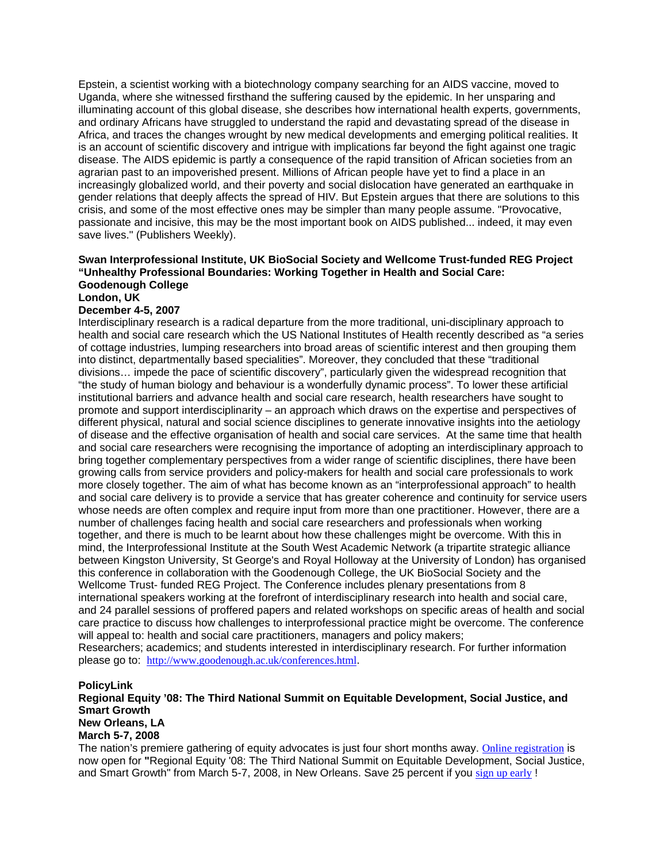Epstein, a scientist working with a biotechnology company searching for an AIDS vaccine, moved to Uganda, where she witnessed firsthand the suffering caused by the epidemic. In her unsparing and illuminating account of this global disease, she describes how international health experts, governments, and ordinary Africans have struggled to understand the rapid and devastating spread of the disease in Africa, and traces the changes wrought by new medical developments and emerging political realities. It is an account of scientific discovery and intrigue with implications far beyond the fight against one tragic disease. The AIDS epidemic is partly a consequence of the rapid transition of African societies from an agrarian past to an impoverished present. Millions of African people have yet to find a place in an increasingly globalized world, and their poverty and social dislocation have generated an earthquake in gender relations that deeply affects the spread of HIV. But Epstein argues that there are solutions to this crisis, and some of the most effective ones may be simpler than many people assume. "Provocative, passionate and incisive, this may be the most important book on AIDS published... indeed, it may even save lives." (Publishers Weekly).

#### **Swan Interprofessional Institute, UK BioSocial Society and Wellcome Trust-funded REG Project "Unhealthy Professional Boundaries: Working Together in Health and Social Care: Goodenough College London, UK**

# **December 4-5, 2007**

Interdisciplinary research is a radical departure from the more traditional, uni-disciplinary approach to health and social care research which the US National Institutes of Health recently described as "a series of cottage industries, lumping researchers into broad areas of scientific interest and then grouping them into distinct, departmentally based specialities". Moreover, they concluded that these "traditional divisions… impede the pace of scientific discovery", particularly given the widespread recognition that "the study of human biology and behaviour is a wonderfully dynamic process". To lower these artificial institutional barriers and advance health and social care research, health researchers have sought to promote and support interdisciplinarity – an approach which draws on the expertise and perspectives of different physical, natural and social science disciplines to generate innovative insights into the aetiology of disease and the effective organisation of health and social care services. At the same time that health and social care researchers were recognising the importance of adopting an interdisciplinary approach to bring together complementary perspectives from a wider range of scientific disciplines, there have been growing calls from service providers and policy-makers for health and social care professionals to work more closely together. The aim of what has become known as an "interprofessional approach" to health and social care delivery is to provide a service that has greater coherence and continuity for service users whose needs are often complex and require input from more than one practitioner. However, there are a number of challenges facing health and social care researchers and professionals when working together, and there is much to be learnt about how these challenges might be overcome. With this in mind, the Interprofessional Institute at the South West Academic Network (a tripartite strategic alliance between Kingston University, St George's and Royal Holloway at the University of London) has organised this conference in collaboration with the Goodenough College, the UK BioSocial Society and the Wellcome Trust- funded REG Project. The Conference includes plenary presentations from 8 international speakers working at the forefront of interdisciplinary research into health and social care, and 24 parallel sessions of proffered papers and related workshops on specific areas of health and social care practice to discuss how challenges to interprofessional practice might be overcome. The conference will appeal to: health and social care practitioners, managers and policy makers; Researchers; academics; and students interested in interdisciplinary research. For further information please go to: http://www.goodenough.ac.uk/conferences.html.

#### **PolicyLink**

**Regional Equity '08: The Third National Summit on Equitable Development, Social Justice, and Smart Growth New Orleans, LA March 5-7, 2008** 

The nation's premiere gathering of equity advocates is just four short months away. Online registration is now open for **"**Regional Equity '08: The Third National Summit on Equitable Development, Social Justice, and Smart Growth" from March 5-7, 2008, in New Orleans. Save 25 percent if you sign up early !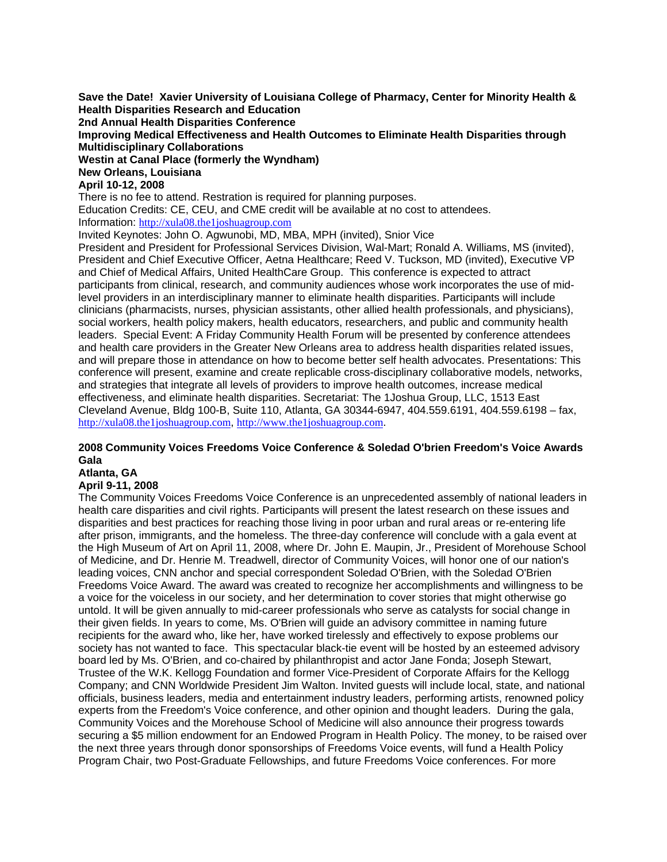**Save the Date! Xavier University of Louisiana College of Pharmacy, Center for Minority Health & Health Disparities Research and Education** 

**2nd Annual Health Disparities Conference** 

**Improving Medical Effectiveness and Health Outcomes to Eliminate Health Disparities through Multidisciplinary Collaborations** 

**Westin at Canal Place (formerly the Wyndham)** 

# **New Orleans, Louisiana**

# **April 10-12, 2008**

There is no fee to attend. Restration is required for planning purposes.

Education Credits: CE, CEU, and CME credit will be available at no cost to attendees.

Information: http://xula08.the1joshuagroup.com

Invited Keynotes: John O. Agwunobi, MD, MBA, MPH (invited), Snior Vice

President and President for Professional Services Division, Wal-Mart; Ronald A. Williams, MS (invited), President and Chief Executive Officer, Aetna Healthcare; Reed V. Tuckson, MD (invited), Executive VP and Chief of Medical Affairs, United HealthCare Group. This conference is expected to attract participants from clinical, research, and community audiences whose work incorporates the use of midlevel providers in an interdisciplinary manner to eliminate health disparities. Participants will include clinicians (pharmacists, nurses, physician assistants, other allied health professionals, and physicians), social workers, health policy makers, health educators, researchers, and public and community health leaders. Special Event: A Friday Community Health Forum will be presented by conference attendees and health care providers in the Greater New Orleans area to address health disparities related issues, and will prepare those in attendance on how to become better self health advocates. Presentations: This conference will present, examine and create replicable cross-disciplinary collaborative models, networks, and strategies that integrate all levels of providers to improve health outcomes, increase medical effectiveness, and eliminate health disparities. Secretariat: The 1Joshua Group, LLC, 1513 East Cleveland Avenue, Bldg 100-B, Suite 110, Atlanta, GA 30344-6947, 404.559.6191, 404.559.6198 – fax, http://xula08.the1joshuagroup.com, http://www.the1joshuagroup.com.

# **2008 Community Voices Freedoms Voice Conference & Soledad O'brien Freedom's Voice Awards Gala**

**Atlanta, GA** 

# **April 9-11, 2008**

The Community Voices Freedoms Voice Conference is an unprecedented assembly of national leaders in health care disparities and civil rights. Participants will present the latest research on these issues and disparities and best practices for reaching those living in poor urban and rural areas or re-entering life after prison, immigrants, and the homeless. The three-day conference will conclude with a gala event at the High Museum of Art on April 11, 2008, where Dr. John E. Maupin, Jr., President of Morehouse School of Medicine, and Dr. Henrie M. Treadwell, director of Community Voices, will honor one of our nation's leading voices, CNN anchor and special correspondent Soledad O'Brien, with the Soledad O'Brien Freedoms Voice Award. The award was created to recognize her accomplishments and willingness to be a voice for the voiceless in our society, and her determination to cover stories that might otherwise go untold. It will be given annually to mid-career professionals who serve as catalysts for social change in their given fields. In years to come, Ms. O'Brien will guide an advisory committee in naming future recipients for the award who, like her, have worked tirelessly and effectively to expose problems our society has not wanted to face. This spectacular black-tie event will be hosted by an esteemed advisory board led by Ms. O'Brien, and co-chaired by philanthropist and actor Jane Fonda; Joseph Stewart, Trustee of the W.K. Kellogg Foundation and former Vice-President of Corporate Affairs for the Kellogg Company; and CNN Worldwide President Jim Walton. Invited guests will include local, state, and national officials, business leaders, media and entertainment industry leaders, performing artists, renowned policy experts from the Freedom's Voice conference, and other opinion and thought leaders. During the gala, Community Voices and the Morehouse School of Medicine will also announce their progress towards securing a \$5 million endowment for an Endowed Program in Health Policy. The money, to be raised over the next three years through donor sponsorships of Freedoms Voice events, will fund a Health Policy Program Chair, two Post-Graduate Fellowships, and future Freedoms Voice conferences. For more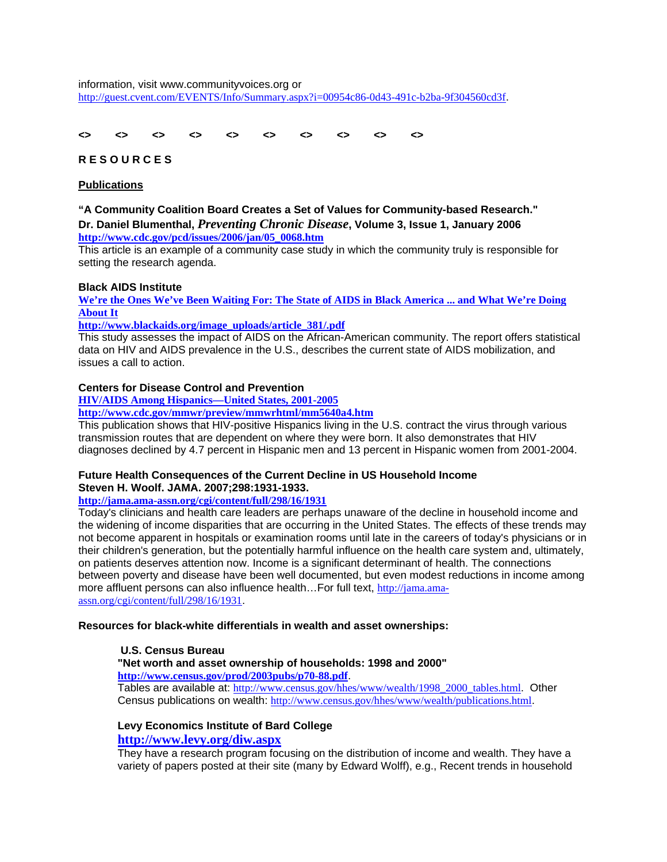information, visit www.communityvoices.org or http://guest.cvent.com/EVENTS/Info/Summary.aspx?i=00954c86-0d43-491c-b2ba-9f304560cd3f.

#### **<> <> <> <> <> <> <> <> <> <>**

# **R E S O U R C E S**

# **Publications**

**"A Community Coalition Board Creates a Set of Values for Community-based Research." Dr. Daniel Blumenthal,** *Preventing Chronic Disease***, Volume 3, Issue 1, January 2006 http://www.cdc.gov/pcd/issues/2006/jan/05\_0068.htm**

This article is an example of a community case study in which the community truly is responsible for setting the research agenda.

#### **Black AIDS Institute**

**We're the Ones We've Been Waiting For: The State of AIDS in Black America ... and What We're Doing About It** 

**http://www.blackaids.org/image\_uploads/article\_381/.pdf**

This study assesses the impact of AIDS on the African-American community. The report offers statistical data on HIV and AIDS prevalence in the U.S., describes the current state of AIDS mobilization, and issues a call to action.

# **Centers for Disease Control and Prevention**

**HIV/AIDS Among Hispanics—United States, 2001-2005**

**http://www.cdc.gov/mmwr/preview/mmwrhtml/mm5640a4.htm**

This publication shows that HIV-positive Hispanics living in the U.S. contract the virus through various transmission routes that are dependent on where they were born. It also demonstrates that HIV diagnoses declined by 4.7 percent in Hispanic men and 13 percent in Hispanic women from 2001-2004.

# **Future Health Consequences of the Current Decline in US Household Income Steven H. Woolf. JAMA. 2007;298:1931-1933.**

# **http://jama.ama-assn.org/cgi/content/full/298/16/1931**

Today's clinicians and health care leaders are perhaps unaware of the decline in household income and the widening of income disparities that are occurring in the United States. The effects of these trends may not become apparent in hospitals or examination rooms until late in the careers of today's physicians or in their children's generation, but the potentially harmful influence on the health care system and, ultimately, on patients deserves attention now. Income is a significant determinant of health. The connections between poverty and disease have been well documented, but even modest reductions in income among more affluent persons can also influence health…For full text, http://jama.amaassn.org/cgi/content/full/298/16/1931.

**Resources for black-white differentials in wealth and asset ownerships:** 

# **U.S. Census Bureau**

# **"Net worth and asset ownership of households: 1998 and 2000" http://www.census.gov/prod/2003pubs/p70-88.pdf**.

Tables are available at: http://www.census.gov/hhes/www/wealth/1998\_2000\_tables.html. Other Census publications on wealth: http://www.census.gov/hhes/www/wealth/publications.html.

# **Levy Economics Institute of Bard College**

# **http://www.levy.org/diw.aspx**

They have a research program focusing on the distribution of income and wealth. They have a variety of papers posted at their site (many by Edward Wolff), e.g., Recent trends in household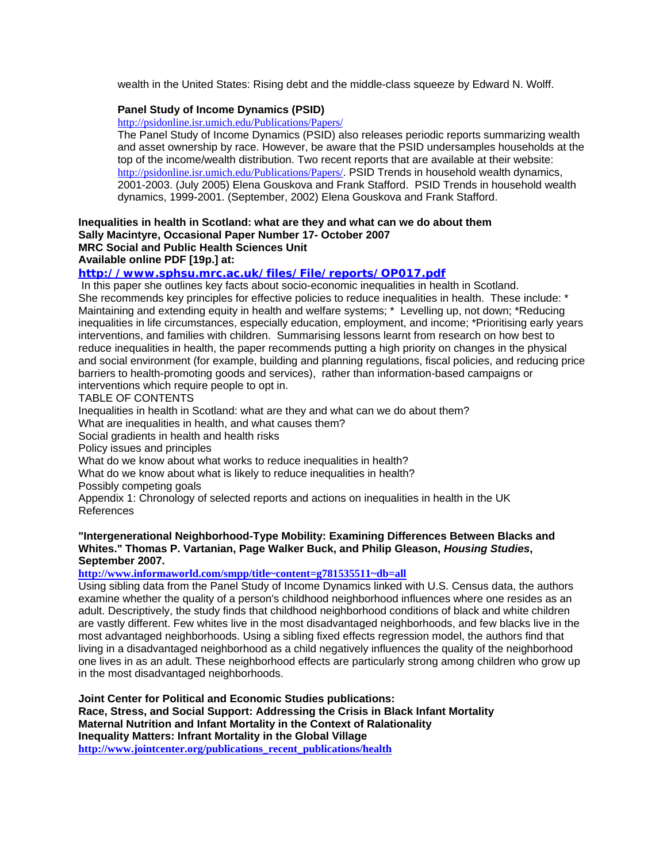wealth in the United States: Rising debt and the middle-class squeeze by Edward N. Wolff.

# **Panel Study of Income Dynamics (PSID)**

http://psidonline.isr.umich.edu/Publications/Papers/

The Panel Study of Income Dynamics (PSID) also releases periodic reports summarizing wealth and asset ownership by race. However, be aware that the PSID undersamples households at the top of the income/wealth distribution. Two recent reports that are available at their website: http://psidonline.isr.umich.edu/Publications/Papers/. PSID Trends in household wealth dynamics, 2001-2003. (July 2005) Elena Gouskova and Frank Stafford. PSID Trends in household wealth dynamics, 1999-2001. (September, 2002) Elena Gouskova and Frank Stafford.

# **Inequalities in health in Scotland: what are they and what can we do about them Sally Macintyre, Occasional Paper Number 17- October 2007 MRC Social and Public Health Sciences Unit**

**Available online PDF [19p.] at:** 

# **http://www.sphsu.mrc.ac.uk/files/File/reports/OP017.pdf**

 In this paper she outlines key facts about socio-economic inequalities in health in Scotland. She recommends key principles for effective policies to reduce inequalities in health. These include: \* Maintaining and extending equity in health and welfare systems; \* Levelling up, not down; \*Reducing inequalities in life circumstances, especially education, employment, and income; \*Prioritising early years interventions, and families with children. Summarising lessons learnt from research on how best to reduce inequalities in health, the paper recommends putting a high priority on changes in the physical and social environment (for example, building and planning regulations, fiscal policies, and reducing price barriers to health-promoting goods and services), rather than information-based campaigns or interventions which require people to opt in.

# TABLE OF CONTENTS

Inequalities in health in Scotland: what are they and what can we do about them?

What are inequalities in health, and what causes them?

Social gradients in health and health risks

Policy issues and principles

What do we know about what works to reduce inequalities in health?

What do we know about what is likely to reduce inequalities in health?

Possibly competing goals

Appendix 1: Chronology of selected reports and actions on inequalities in health in the UK References

# **"Intergenerational Neighborhood-Type Mobility: Examining Differences Between Blacks and Whites." Thomas P. Vartanian, Page Walker Buck, and Philip Gleason,** *Housing Studies***, September 2007.**

**http://www.informaworld.com/smpp/title~content=g781535511~db=all**

Using sibling data from the Panel Study of Income Dynamics linked with U.S. Census data, the authors examine whether the quality of a person's childhood neighborhood influences where one resides as an adult. Descriptively, the study finds that childhood neighborhood conditions of black and white children are vastly different. Few whites live in the most disadvantaged neighborhoods, and few blacks live in the most advantaged neighborhoods. Using a sibling fixed effects regression model, the authors find that living in a disadvantaged neighborhood as a child negatively influences the quality of the neighborhood one lives in as an adult. These neighborhood effects are particularly strong among children who grow up in the most disadvantaged neighborhoods.

**Joint Center for Political and Economic Studies publications: Race, Stress, and Social Support: Addressing the Crisis in Black Infant Mortality Maternal Nutrition and Infant Mortality in the Context of Ralationality Inequality Matters: Infrant Mortality in the Global Village http://www.jointcenter.org/publications\_recent\_publications/health**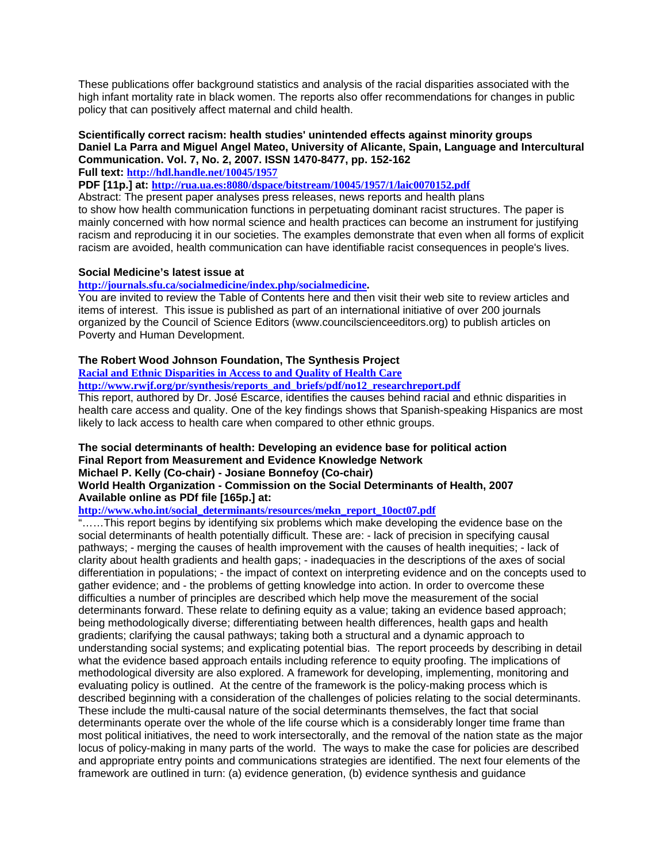These publications offer background statistics and analysis of the racial disparities associated with the high infant mortality rate in black women. The reports also offer recommendations for changes in public policy that can positively affect maternal and child health.

# **Scientifically correct racism: health studies' unintended effects against minority groups Daniel La Parra and Miguel Angel Mateo, University of Alicante, Spain, Language and Intercultural Communication. Vol. 7, No. 2, 2007. ISSN 1470-8477, pp. 152-162**

**Full text: http://hdl.handle.net/10045/1957**

**PDF [11p.] at: http://rua.ua.es:8080/dspace/bitstream/10045/1957/1/laic0070152.pdf**

Abstract: The present paper analyses press releases, news reports and health plans to show how health communication functions in perpetuating dominant racist structures. The paper is mainly concerned with how normal science and health practices can become an instrument for justifying racism and reproducing it in our societies. The examples demonstrate that even when all forms of explicit racism are avoided, health communication can have identifiable racist consequences in people's lives.

# **Social Medicine's latest issue at**

#### **http://journals.sfu.ca/socialmedicine/index.php/socialmedicine.**

You are invited to review the Table of Contents here and then visit their web site to review articles and items of interest. This issue is published as part of an international initiative of over 200 journals organized by the Council of Science Editors (www.councilscienceeditors.org) to publish articles on Poverty and Human Development.

# **The Robert Wood Johnson Foundation, The Synthesis Project**

**Racial and Ethnic Disparities in Access to and Quality of Health Care**

**http://www.rwjf.org/pr/synthesis/reports\_and\_briefs/pdf/no12\_researchreport.pdf**

This report, authored by Dr. José Escarce, identifies the causes behind racial and ethnic disparities in health care access and quality. One of the key findings shows that Spanish-speaking Hispanics are most likely to lack access to health care when compared to other ethnic groups.

#### **The social determinants of health: Developing an evidence base for political action Final Report from Measurement and Evidence Knowledge Network Michael P. Kelly (Co-chair) - Josiane Bonnefoy (Co-chair)**

# **World Health Organization - Commission on the Social Determinants of Health, 2007 Available online as PDf file [165p.] at:**

**http://www.who.int/social\_determinants/resources/mekn\_report\_10oct07.pdf** 

"……This report begins by identifying six problems which make developing the evidence base on the social determinants of health potentially difficult. These are: - lack of precision in specifying causal pathways; - merging the causes of health improvement with the causes of health inequities; - lack of clarity about health gradients and health gaps; - inadequacies in the descriptions of the axes of social differentiation in populations; - the impact of context on interpreting evidence and on the concepts used to gather evidence; and - the problems of getting knowledge into action. In order to overcome these difficulties a number of principles are described which help move the measurement of the social determinants forward. These relate to defining equity as a value; taking an evidence based approach; being methodologically diverse; differentiating between health differences, health gaps and health gradients; clarifying the causal pathways; taking both a structural and a dynamic approach to understanding social systems; and explicating potential bias. The report proceeds by describing in detail what the evidence based approach entails including reference to equity proofing. The implications of methodological diversity are also explored. A framework for developing, implementing, monitoring and evaluating policy is outlined. At the centre of the framework is the policy-making process which is described beginning with a consideration of the challenges of policies relating to the social determinants. These include the multi-causal nature of the social determinants themselves, the fact that social determinants operate over the whole of the life course which is a considerably longer time frame than most political initiatives, the need to work intersectorally, and the removal of the nation state as the major locus of policy-making in many parts of the world. The ways to make the case for policies are described and appropriate entry points and communications strategies are identified. The next four elements of the framework are outlined in turn: (a) evidence generation, (b) evidence synthesis and guidance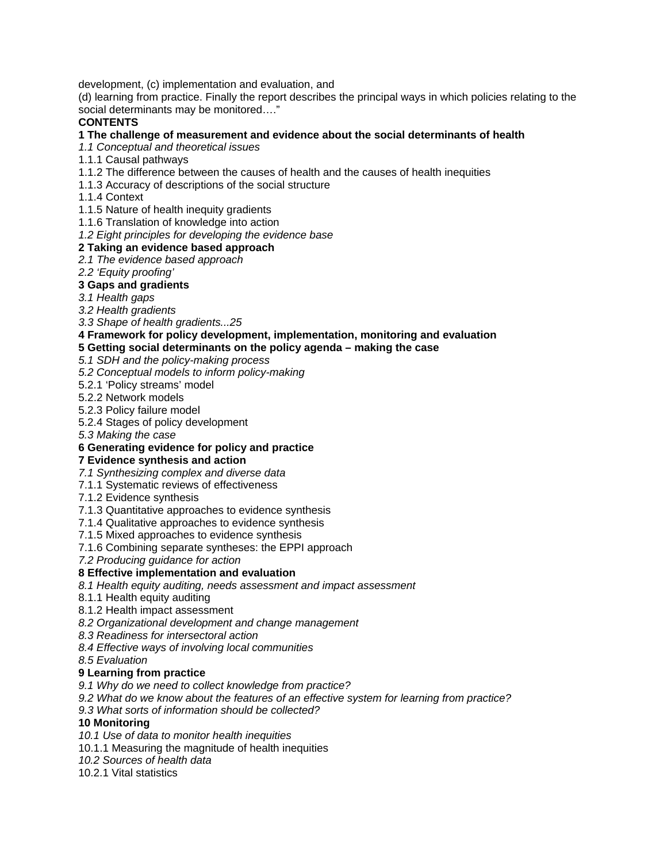development, (c) implementation and evaluation, and

(d) learning from practice. Finally the report describes the principal ways in which policies relating to the social determinants may be monitored…."

# **CONTENTS**

# **1 The challenge of measurement and evidence about the social determinants of health**

*1.1 Conceptual and theoretical issues* 

- 1.1.1 Causal pathways
- 1.1.2 The difference between the causes of health and the causes of health inequities
- 1.1.3 Accuracy of descriptions of the social structure
- 1.1.4 Context
- 1.1.5 Nature of health inequity gradients
- 1.1.6 Translation of knowledge into action
- *1.2 Eight principles for developing the evidence base*

# **2 Taking an evidence based approach**

# *2.1 The evidence based approach*

*2.2 'Equity proofing'*

# **3 Gaps and gradients**

*3.1 Health gaps*

*3.2 Health gradients*

*3.3 Shape of health gradients...25*

**4 Framework for policy development, implementation, monitoring and evaluation** 

# **5 Getting social determinants on the policy agenda – making the case**

*5.1 SDH and the policy-making process*

*5.2 Conceptual models to inform policy-making*

5.2.1 'Policy streams' model

5.2.2 Network models

5.2.3 Policy failure model

5.2.4 Stages of policy development

*5.3 Making the case*

# **6 Generating evidence for policy and practice**

# **7 Evidence synthesis and action**

*7.1 Synthesizing complex and diverse data*

- 7.1.1 Systematic reviews of effectiveness
- 7.1.2 Evidence synthesis
- 7.1.3 Quantitative approaches to evidence synthesis
- 7.1.4 Qualitative approaches to evidence synthesis

7.1.5 Mixed approaches to evidence synthesis

7.1.6 Combining separate syntheses: the EPPI approach

*7.2 Producing guidance for action* 

# **8 Effective implementation and evaluation**

*8.1 Health equity auditing, needs assessment and impact assessment* 

8.1.1 Health equity auditing

8.1.2 Health impact assessment

*8.2 Organizational development and change management* 

*8.3 Readiness for intersectoral action*

*8.4 Effective ways of involving local communities* 

*8.5 Evaluation* 

# **9 Learning from practice**

*9.1 Why do we need to collect knowledge from practice?* 

*9.2 What do we know about the features of an effective system for learning from practice?* 

*9.3 What sorts of information should be collected?* 

# **10 Monitoring**

*10.1 Use of data to monitor health inequities*

10.1.1 Measuring the magnitude of health inequities

*10.2 Sources of health data* 

10.2.1 Vital statistics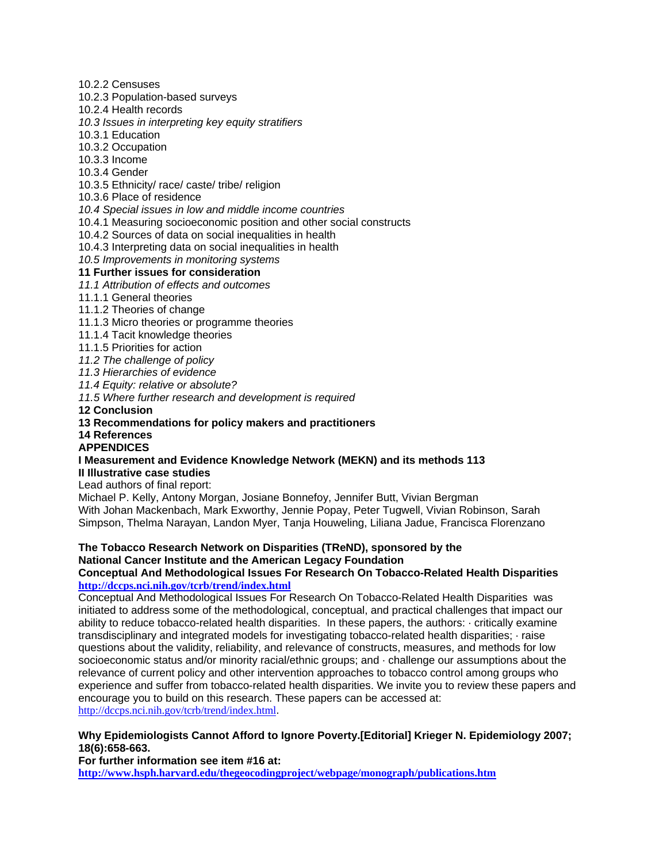10.2.2 Censuses

10.2.3 Population-based surveys

10.2.4 Health records

*10.3 Issues in interpreting key equity stratifiers* 

10.3.1 Education

10.3.2 Occupation

10.3.3 Income

10.3.4 Gender

10.3.5 Ethnicity/ race/ caste/ tribe/ religion

10.3.6 Place of residence

*10.4 Special issues in low and middle income countries*

10.4.1 Measuring socioeconomic position and other social constructs

10.4.2 Sources of data on social inequalities in health

10.4.3 Interpreting data on social inequalities in health

*10.5 Improvements in monitoring systems* 

# **11 Further issues for consideration**

*11.1 Attribution of effects and outcomes*

11.1.1 General theories

11.1.2 Theories of change

11.1.3 Micro theories or programme theories

11.1.4 Tacit knowledge theories

11.1.5 Priorities for action

*11.2 The challenge of policy* 

*11.3 Hierarchies of evidence* 

*11.4 Equity: relative or absolute?*

*11.5 Where further research and development is required*

**12 Conclusion**

# **13 Recommendations for policy makers and practitioners**

**14 References**

# **APPENDICES**

#### **I Measurement and Evidence Knowledge Network (MEKN) and its methods 113 II Illustrative case studies**

Lead authors of final report:

Michael P. Kelly, Antony Morgan, Josiane Bonnefoy, Jennifer Butt, Vivian Bergman With Johan Mackenbach, Mark Exworthy, Jennie Popay, Peter Tugwell, Vivian Robinson, Sarah Simpson, Thelma Narayan, Landon Myer, Tanja Houweling, Liliana Jadue, Francisca Florenzano

# **The Tobacco Research Network on Disparities (TReND), sponsored by the National Cancer Institute and the American Legacy Foundation**

#### **Conceptual And Methodological Issues For Research On Tobacco-Related Health Disparities http://dccps.nci.nih.gov/tcrb/trend/index.html**

Conceptual And Methodological Issues For Research On Tobacco-Related Health Disparities was initiated to address some of the methodological, conceptual, and practical challenges that impact our ability to reduce tobacco-related health disparities. In these papers, the authors: · critically examine transdisciplinary and integrated models for investigating tobacco-related health disparities; · raise questions about the validity, reliability, and relevance of constructs, measures, and methods for low socioeconomic status and/or minority racial/ethnic groups; and  $\cdot$  challenge our assumptions about the relevance of current policy and other intervention approaches to tobacco control among groups who experience and suffer from tobacco-related health disparities. We invite you to review these papers and encourage you to build on this research. These papers can be accessed at: http://dccps.nci.nih.gov/tcrb/trend/index.html.

# **Why Epidemiologists Cannot Afford to Ignore Poverty.[Editorial] Krieger N. Epidemiology 2007; 18(6):658-663.**

**For further information see item #16 at:** 

**http://www.hsph.harvard.edu/thegeocodingproject/webpage/monograph/publications.htm**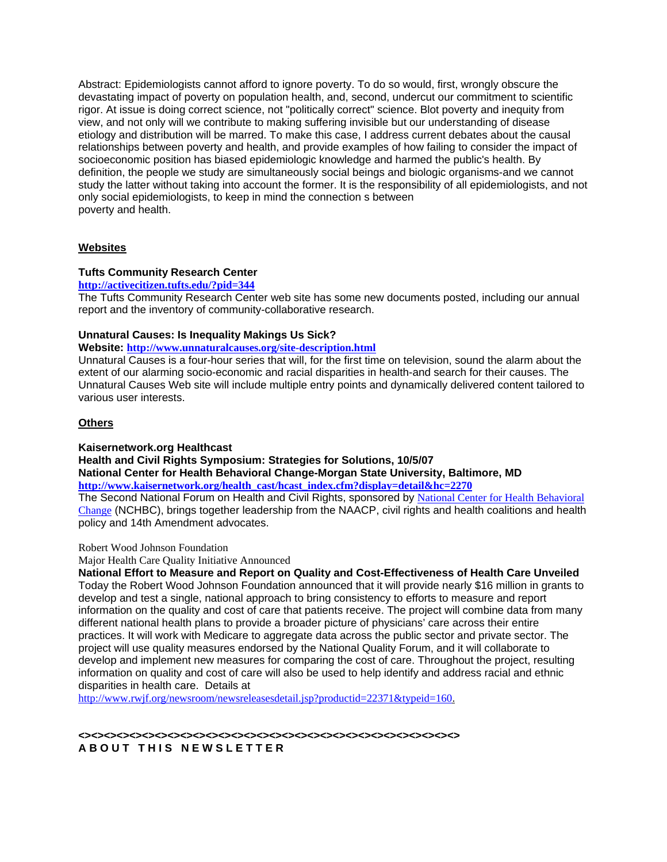Abstract: Epidemiologists cannot afford to ignore poverty. To do so would, first, wrongly obscure the devastating impact of poverty on population health, and, second, undercut our commitment to scientific rigor. At issue is doing correct science, not "politically correct" science. Blot poverty and inequity from view, and not only will we contribute to making suffering invisible but our understanding of disease etiology and distribution will be marred. To make this case, I address current debates about the causal relationships between poverty and health, and provide examples of how failing to consider the impact of socioeconomic position has biased epidemiologic knowledge and harmed the public's health. By definition, the people we study are simultaneously social beings and biologic organisms-and we cannot study the latter without taking into account the former. It is the responsibility of all epidemiologists, and not only social epidemiologists, to keep in mind the connection s between poverty and health.

# **Websites**

# **Tufts Community Research Center**

#### **http://activecitizen.tufts.edu/?pid=344**

The Tufts Community Research Center web site has some new documents posted, including our annual report and the inventory of community-collaborative research.

# **Unnatural Causes: Is Inequality Makings Us Sick?**

**Website: http://www.unnaturalcauses.org/site-description.html** 

Unnatural Causes is a four-hour series that will, for the first time on television, sound the alarm about the extent of our alarming socio-economic and racial disparities in health-and search for their causes. The Unnatural Causes Web site will include multiple entry points and dynamically delivered content tailored to various user interests.

# **Others**

# **Kaisernetwork.org Healthcast**

**Health and Civil Rights Symposium: Strategies for Solutions, 10/5/07** 

**National Center for Health Behavioral Change-Morgan State University, Baltimore, MD http://www.kaisernetwork.org/health\_cast/hcast\_index.cfm?display=detail&hc=2270**

The Second National Forum on Health and Civil Rights, sponsored by National Center for Health Behavioral Change (NCHBC), brings together leadership from the NAACP, civil rights and health coalitions and health policy and 14th Amendment advocates.

# Robert Wood Johnson Foundation

Major Health Care Quality Initiative Announced

**National Effort to Measure and Report on Quality and Cost-Effectiveness of Health Care Unveiled**  Today the Robert Wood Johnson Foundation announced that it will provide nearly \$16 million in grants to develop and test a single, national approach to bring consistency to efforts to measure and report information on the quality and cost of care that patients receive. The project will combine data from many different national health plans to provide a broader picture of physicians' care across their entire practices. It will work with Medicare to aggregate data across the public sector and private sector. The project will use quality measures endorsed by the National Quality Forum, and it will collaborate to develop and implement new measures for comparing the cost of care. Throughout the project, resulting information on quality and cost of care will also be used to help identify and address racial and ethnic disparities in health care. Details at

http://www.rwjf.org/newsroom/newsreleasesdetail.jsp?productid=22371&typeid=160.

**<><><><><><><><><><><><><><><><><><><><><><><><><><><><><><> A B O U T T H I S N E W S L E T T E R**